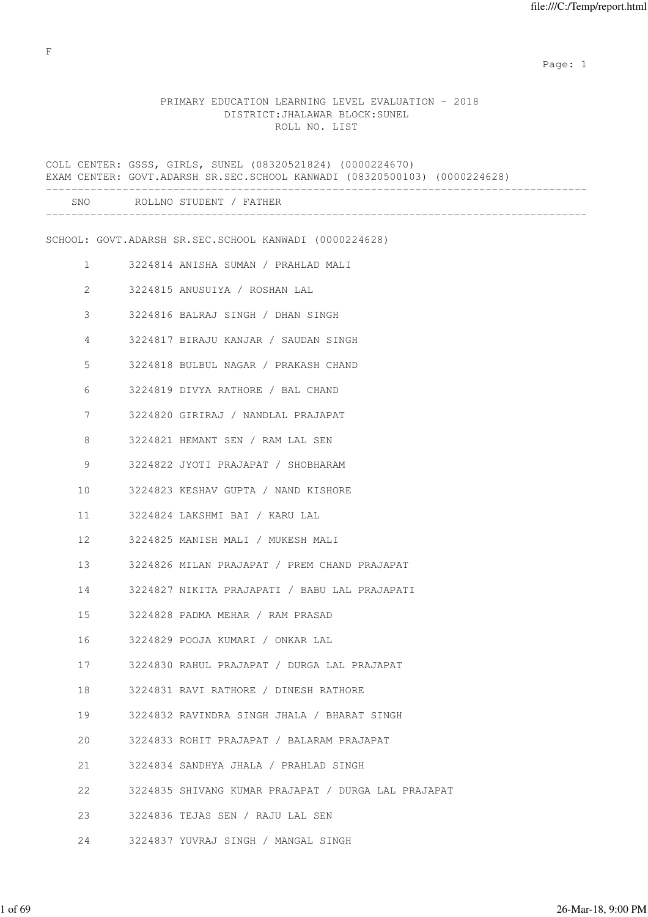expected to the control of the control of the control of the control of the control of the control of the control of the control of the control of the control of the control of the control of the control of the control of

# PRIMARY EDUCATION LEARNING LEVEL EVALUATION - 2018 DISTRICT:JHALAWAR BLOCK:SUNEL ROLL NO. LIST

|                | COLL CENTER: GSSS, GIRLS, SUNEL (08320521824) (0000224670)<br>EXAM CENTER: GOVT.ADARSH SR.SEC.SCHOOL KANWADI (08320500103) (0000224628) |
|----------------|-----------------------------------------------------------------------------------------------------------------------------------------|
|                | SNO ROLLNO STUDENT / FATHER                                                                                                             |
|                | SCHOOL: GOVT.ADARSH SR.SEC.SCHOOL KANWADI (0000224628)                                                                                  |
| $\mathbf{1}$   | 3224814 ANISHA SUMAN / PRAHLAD MALI                                                                                                     |
| 2              | 3224815 ANUSUIYA / ROSHAN LAL                                                                                                           |
| 3              | 3224816 BALRAJ SINGH / DHAN SINGH                                                                                                       |
| $\overline{4}$ | 3224817 BIRAJU KANJAR / SAUDAN SINGH                                                                                                    |
| 5              | 3224818 BULBUL NAGAR / PRAKASH CHAND                                                                                                    |
| 6              | 3224819 DIVYA RATHORE / BAL CHAND                                                                                                       |
| 7              | 3224820 GIRIRAJ / NANDLAL PRAJAPAT                                                                                                      |
| 8              | 3224821 HEMANT SEN / RAM LAL SEN                                                                                                        |
| 9              | 3224822 JYOTI PRAJAPAT / SHOBHARAM                                                                                                      |
| 10             | 3224823 KESHAV GUPTA / NAND KISHORE                                                                                                     |
| 11             | 3224824 LAKSHMI BAI / KARU LAL                                                                                                          |
| 12             | 3224825 MANISH MALI / MUKESH MALI                                                                                                       |
| 13             | 3224826 MILAN PRAJAPAT / PREM CHAND PRAJAPAT                                                                                            |
| 14             | 3224827 NIKITA PRAJAPATI / BABU LAL PRAJAPATI                                                                                           |
| 15             | 3224828 PADMA MEHAR / RAM PRASAD                                                                                                        |
| 16             | 3224829 POOJA KUMARI / ONKAR LAL                                                                                                        |
| 17             | 3224830 RAHUL PRAJAPAT / DURGA LAL PRAJAPAT                                                                                             |
| 18             | 3224831 RAVI RATHORE / DINESH RATHORE                                                                                                   |
| 19             | 3224832 RAVINDRA SINGH JHALA / BHARAT SINGH                                                                                             |
| 20             | 3224833 ROHIT PRAJAPAT / BALARAM PRAJAPAT                                                                                               |
| 21             | 3224834 SANDHYA JHALA / PRAHLAD SINGH                                                                                                   |
| 22             | 3224835 SHIVANG KUMAR PRAJAPAT / DURGA LAL PRAJAPAT                                                                                     |
| 23             | 3224836 TEJAS SEN / RAJU LAL SEN                                                                                                        |
| 24             | 3224837 YUVRAJ SINGH / MANGAL SINGH                                                                                                     |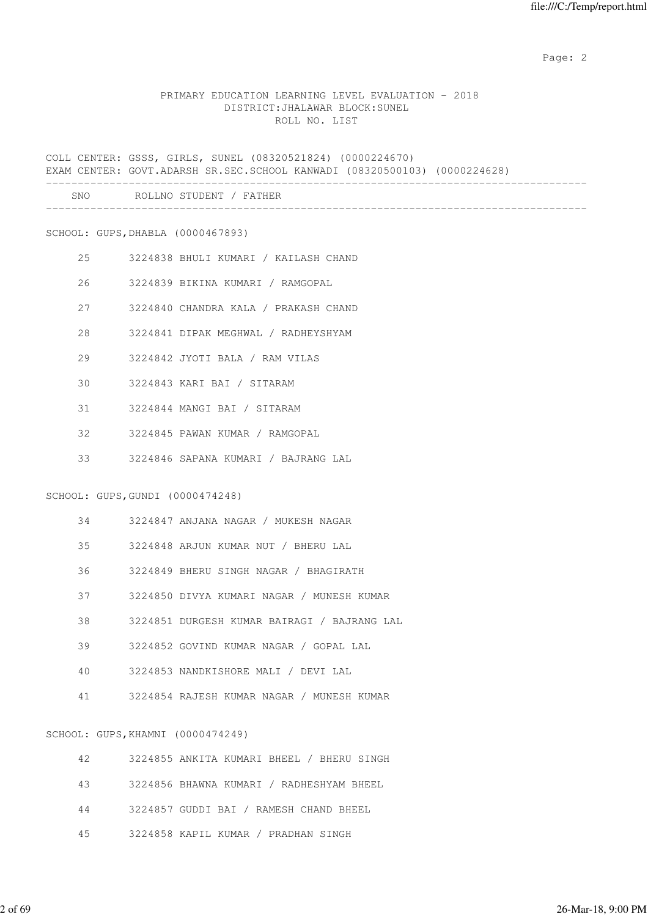#### PRIMARY EDUCATION LEARNING LEVEL EVALUATION - 2018 DISTRICT:JHALAWAR BLOCK:SUNEL ROLL NO. LIST

COLL CENTER: GSSS, GIRLS, SUNEL (08320521824) (0000224670) EXAM CENTER: GOVT.ADARSH SR.SEC.SCHOOL KANWADI (08320500103) (0000224628) ------------------------------------------------------------------------------------- SNO ROLLNO STUDENT / FATHER

-------------------------------------------------------------------------------------

SCHOOL: GUPS,DHABLA (0000467893)

- 25 3224838 BHULI KUMARI / KAILASH CHAND
- 26 3224839 BIKINA KUMARI / RAMGOPAL
- 27 3224840 CHANDRA KALA / PRAKASH CHAND
- 28 3224841 DIPAK MEGHWAL / RADHEYSHYAM
- 29 3224842 JYOTI BALA / RAM VILAS
- 30 3224843 KARI BAI / SITARAM
- 31 3224844 MANGI BAI / SITARAM
- 32 3224845 PAWAN KUMAR / RAMGOPAL
- 33 3224846 SAPANA KUMARI / BAJRANG LAL

SCHOOL: GUPS,GUNDI (0000474248)

| 34 | 3224847 ANJANA NAGAR / MUKESH NAGAR         |
|----|---------------------------------------------|
| 35 | 3224848 ARJUN KUMAR NUT / BHERU LAL         |
| 36 | 3224849 BHERU SINGH NAGAR / BHAGIRATH       |
| 37 | 3224850 DIVYA KUMARI NAGAR / MUNESH KUMAR   |
| 38 | 3224851 DURGESH KUMAR BAIRAGI / BAJRANG LAL |
| 39 | 3224852 GOVIND KUMAR NAGAR / GOPAL LAL      |
| 40 | 3224853 NANDKISHORE MALI / DEVI LAL         |
| 41 | 3224854 RAJESH KUMAR NAGAR / MUNESH KUMAR   |

#### SCHOOL: GUPS,KHAMNI (0000474249)

| 42 | 3224855 ANKITA KUMARI BHEEL / BHERU SINGH |
|----|-------------------------------------------|
| 43 | 3224856 BHAWNA KUMARI / RADHESHYAM BHEEL  |
| 44 | 3224857 GUDDI BAI / RAMESH CHAND BHEEL    |
| 45 | 3224858 KAPIL KUMAR / PRADHAN SINGH       |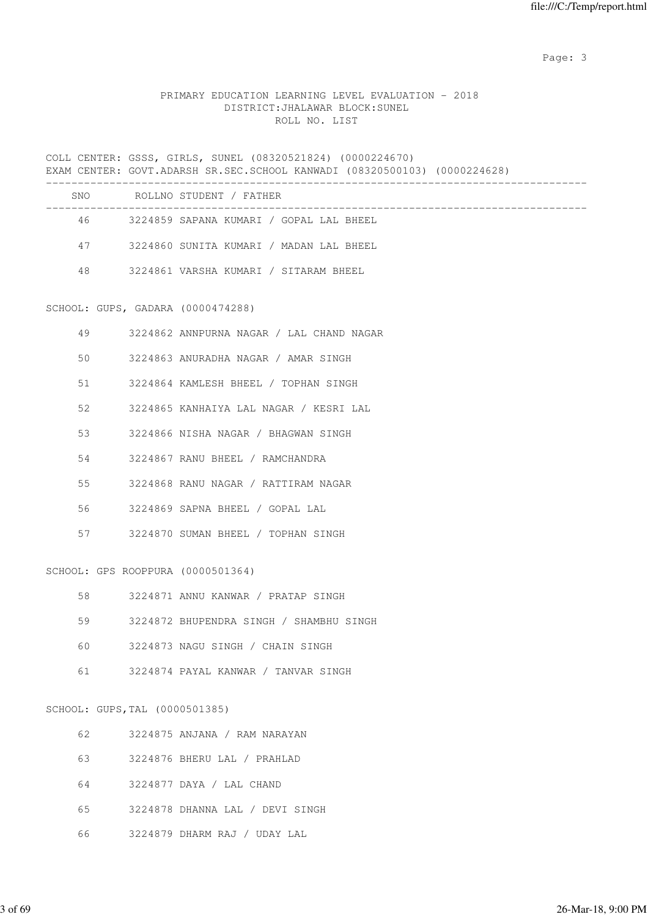#### PRIMARY EDUCATION LEARNING LEVEL EVALUATION - 2018 DISTRICT:JHALAWAR BLOCK:SUNEL ROLL NO. LIST

COLL CENTER: GSSS, GIRLS, SUNEL (08320521824) (0000224670) EXAM CENTER: GOVT.ADARSH SR.SEC.SCHOOL KANWADI (08320500103) (0000224628) ------------------------------------------------------------------------------------- SNO ROLLNO STUDENT / FATHER ------------------------------------------------------------------------------------- 46 3224859 SAPANA KUMARI / GOPAL LAL BHEEL 47 3224860 SUNITA KUMARI / MADAN LAL BHEEL 48 3224861 VARSHA KUMARI / SITARAM BHEEL SCHOOL: GUPS, GADARA (0000474288) 49 3224862 ANNPURNA NAGAR / LAL CHAND NAGAR 50 3224863 ANURADHA NAGAR / AMAR SINGH 51 3224864 KAMLESH BHEEL / TOPHAN SINGH 52 3224865 KANHAIYA LAL NAGAR / KESRI LAL 53 3224866 NISHA NAGAR / BHAGWAN SINGH 54 3224867 RANU BHEEL / RAMCHANDRA 55 3224868 RANU NAGAR / RATTIRAM NAGAR 56 3224869 SAPNA BHEEL / GOPAL LAL 57 3224870 SUMAN BHEEL / TOPHAN SINGH SCHOOL: GPS ROOPPURA (0000501364) 58 3224871 ANNU KANWAR / PRATAP SINGH 59 3224872 BHUPENDRA SINGH / SHAMBHU SINGH 60 3224873 NAGU SINGH / CHAIN SINGH 61 3224874 PAYAL KANWAR / TANVAR SINGH SCHOOL: GUPS,TAL (0000501385) 62 3224875 ANJANA / RAM NARAYAN 63 3224876 BHERU LAL / PRAHLAD 64 3224877 DAYA / LAL CHAND 65 3224878 DHANNA LAL / DEVI SINGH

66 3224879 DHARM RAJ / UDAY LAL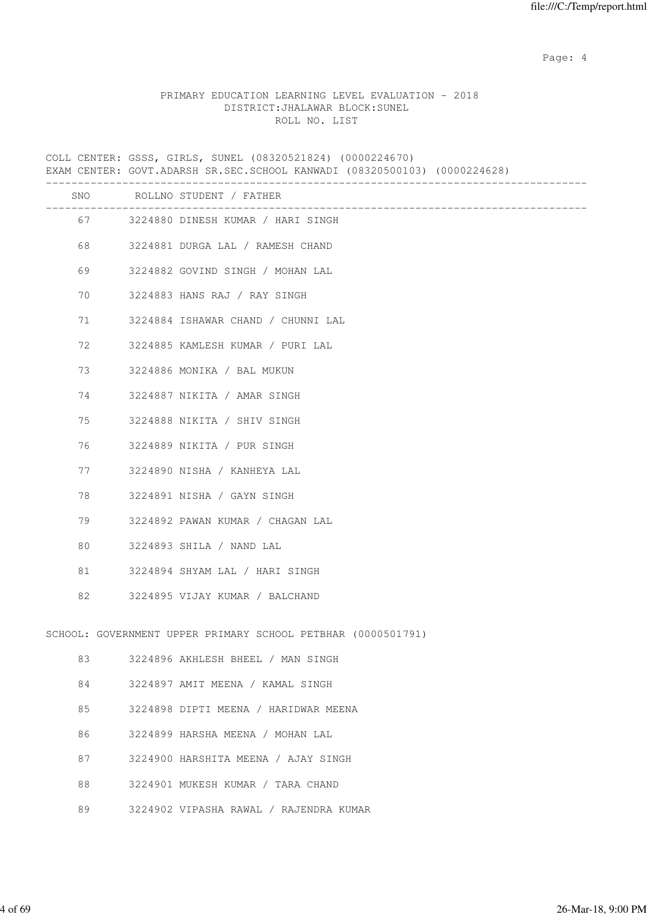Page: 4  $P$ 

## PRIMARY EDUCATION LEARNING LEVEL EVALUATION - 2018 DISTRICT:JHALAWAR BLOCK:SUNEL ROLL NO. LIST

COLL CENTER: GSSS, GIRLS, SUNEL (08320521824) (0000224670) EXAM CENTER: GOVT.ADARSH SR.SEC.SCHOOL KANWADI (08320500103) (0000224628) ------------------------------------------------------------------------------------- SNO ROLLNO STUDENT / FATHER ------------------------------------------------------------------------------------- 67 3224880 DINESH KUMAR / HARI SINGH 68 3224881 DURGA LAL / RAMESH CHAND 69 3224882 GOVIND SINGH / MOHAN LAL 70 3224883 HANS RAJ / RAY SINGH 71 3224884 ISHAWAR CHAND / CHUNNI LAL 72 3224885 KAMLESH KUMAR / PURI LAL 73 3224886 MONIKA / BAL MUKUN 74 3224887 NIKITA / AMAR SINGH 75 3224888 NIKITA / SHIV SINGH 76 3224889 NIKITA / PUR SINGH 77 3224890 NISHA / KANHEYA LAL 78 3224891 NISHA / GAYN SINGH 79 3224892 PAWAN KUMAR / CHAGAN LAL 80 3224893 SHILA / NAND LAL 81 3224894 SHYAM LAL / HARI SINGH 82 3224895 VIJAY KUMAR / BALCHAND SCHOOL: GOVERNMENT UPPER PRIMARY SCHOOL PETBHAR (0000501791) 83 3224896 AKHLESH BHEEL / MAN SINGH 84 3224897 AMIT MEENA / KAMAL SINGH 85 3224898 DIPTI MEENA / HARIDWAR MEENA 86 3224899 HARSHA MEENA / MOHAN LAL 87 3224900 HARSHITA MEENA / AJAY SINGH 88 3224901 MUKESH KUMAR / TARA CHAND 89 3224902 VIPASHA RAWAL / RAJENDRA KUMAR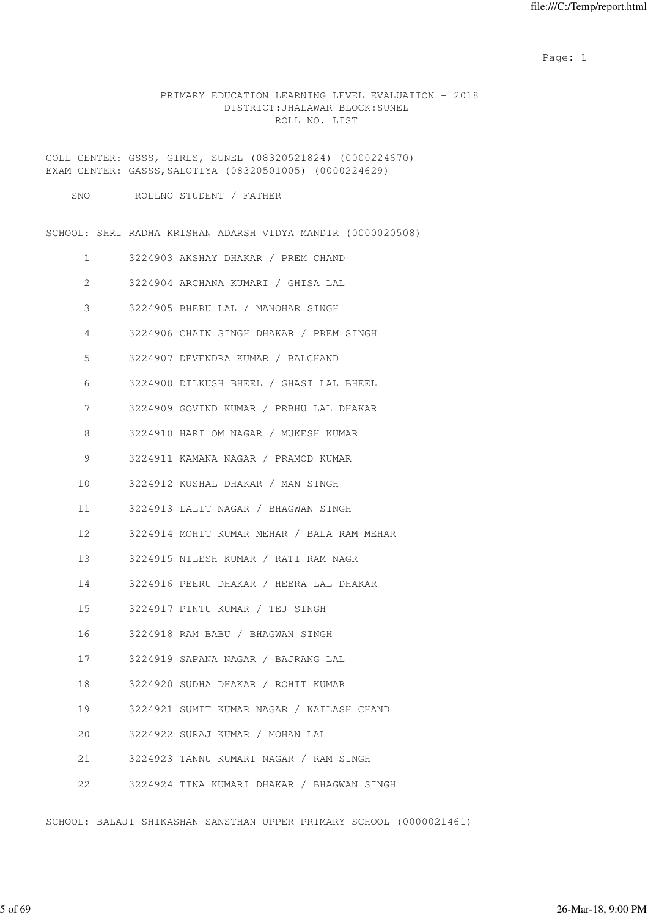expected to the control of the control of the control of the control of the control of the control of the control of the control of the control of the control of the control of the control of the control of the control of

#### PRIMARY EDUCATION LEARNING LEVEL EVALUATION - 2018 DISTRICT:JHALAWAR BLOCK:SUNEL ROLL NO. LIST

COLL CENTER: GSSS, GIRLS, SUNEL (08320521824) (0000224670) EXAM CENTER: GASSS,SALOTIYA (08320501005) (0000224629) ------------------------------------------------------------------------------------- SNO ROLLNO STUDENT / FATHER ------------------------------------------------------------------------------------- SCHOOL: SHRI RADHA KRISHAN ADARSH VIDYA MANDIR (0000020508) 1 3224903 AKSHAY DHAKAR / PREM CHAND 2 3224904 ARCHANA KUMARI / GHISA LAL 3 3224905 BHERU LAL / MANOHAR SINGH 4 3224906 CHAIN SINGH DHAKAR / PREM SINGH 5 3224907 DEVENDRA KUMAR / BALCHAND 6 3224908 DILKUSH BHEEL / GHASI LAL BHEEL 7 3224909 GOVIND KUMAR / PRBHU LAL DHAKAR 8 3224910 HARI OM NAGAR / MUKESH KUMAR 9 3224911 KAMANA NAGAR / PRAMOD KUMAR 10 3224912 KUSHAL DHAKAR / MAN SINGH 11 3224913 LALIT NAGAR / BHAGWAN SINGH 12 3224914 MOHIT KUMAR MEHAR / BALA RAM MEHAR 13 3224915 NILESH KUMAR / RATI RAM NAGR 14 3224916 PEERU DHAKAR / HEERA LAL DHAKAR 15 3224917 PINTU KUMAR / TEJ SINGH 16 3224918 RAM BABU / BHAGWAN SINGH 17 3224919 SAPANA NAGAR / BAJRANG LAL 18 3224920 SUDHA DHAKAR / ROHIT KUMAR 19 3224921 SUMIT KUMAR NAGAR / KAILASH CHAND 20 3224922 SURAJ KUMAR / MOHAN LAL 21 3224923 TANNU KUMARI NAGAR / RAM SINGH 22 3224924 TINA KUMARI DHAKAR / BHAGWAN SINGH

SCHOOL: BALAJI SHIKASHAN SANSTHAN UPPER PRIMARY SCHOOL (0000021461)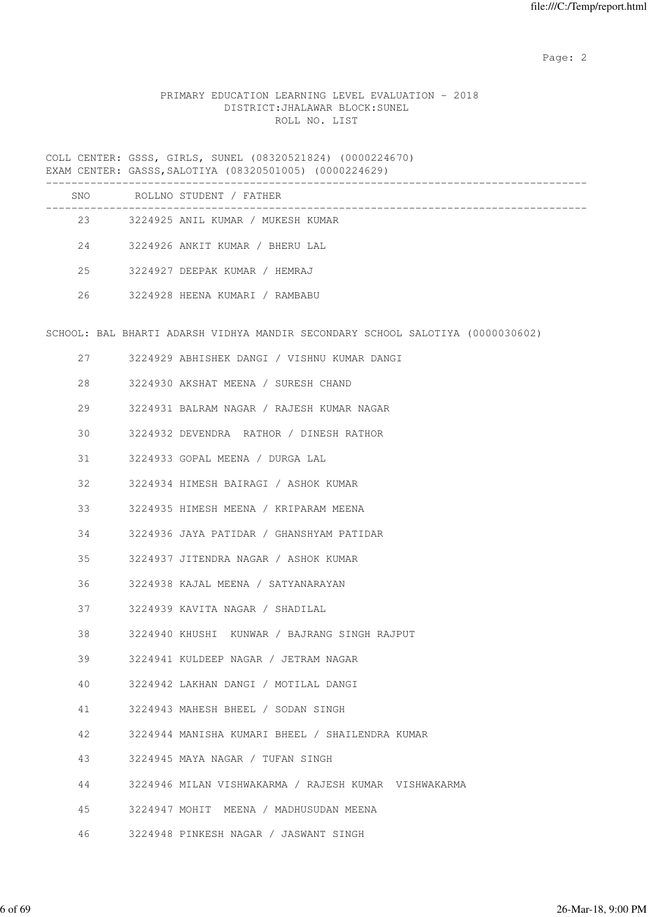# PRIMARY EDUCATION LEARNING LEVEL EVALUATION - 2018 DISTRICT:JHALAWAR BLOCK:SUNEL ROLL NO. LIST

COLL CENTER: GSSS, GIRLS, SUNEL (08320521824) (0000224670) EXAM CENTER: GASSS,SALOTIYA (08320501005) (0000224629)

| SNO | ROLLNO STUDENT / FATHER           |  |
|-----|-----------------------------------|--|
| 23  | 3224925 ANIL KUMAR / MUKESH KUMAR |  |
| 24  | 3224926 ANKIT KUMAR / BHERU LAL   |  |
| 2.5 | 3224927 DEEPAK KUMAR / HEMRAJ     |  |
| 26  | 3224928 HEENA KUMARI / RAMBABU    |  |
|     |                                   |  |

SCHOOL: BAL BHARTI ADARSH VIDHYA MANDIR SECONDARY SCHOOL SALOTIYA (0000030602)

| 27 — 27 | 3224929 ABHISHEK DANGI / VISHNU KUMAR DANGI          |
|---------|------------------------------------------------------|
| 28      | 3224930 AKSHAT MEENA / SURESH CHAND                  |
| 29      | 3224931 BALRAM NAGAR / RAJESH KUMAR NAGAR            |
| 30      | 3224932 DEVENDRA RATHOR / DINESH RATHOR              |
|         | 31 3224933 GOPAL MEENA / DURGA LAL                   |
|         | 32 3224934 HIMESH BAIRAGI / ASHOK KUMAR              |
| 33      | 3224935 HIMESH MEENA / KRIPARAM MEENA                |
| 34      | 3224936 JAYA PATIDAR / GHANSHYAM PATIDAR             |
| 35      | 3224937 JITENDRA NAGAR / ASHOK KUMAR                 |
|         | 36 3224938 KAJAL MEENA / SATYANARAYAN                |
|         | 37 3224939 KAVITA NAGAR / SHADILAL                   |
| 38      | 3224940 KHUSHI KUNWAR / BAJRANG SINGH RAJPUT         |
| 39      | 3224941 KULDEEP NAGAR / JETRAM NAGAR                 |
| 40      | 3224942 LAKHAN DANGI / MOTILAL DANGI                 |
|         | 41 3224943 MAHESH BHEEL / SODAN SINGH                |
|         | 42 3224944 MANISHA KUMARI BHEEL / SHAILENDRA KUMAR   |
| 43      | 3224945 MAYA NAGAR / TUFAN SINGH                     |
| 44      | 3224946 MILAN VISHWAKARMA / RAJESH KUMAR VISHWAKARMA |
| 45      | 3224947 MOHIT  MEENA / MADHUSUDAN MEENA              |
|         | 46 3224948 PINKESH NAGAR / JASWANT SINGH             |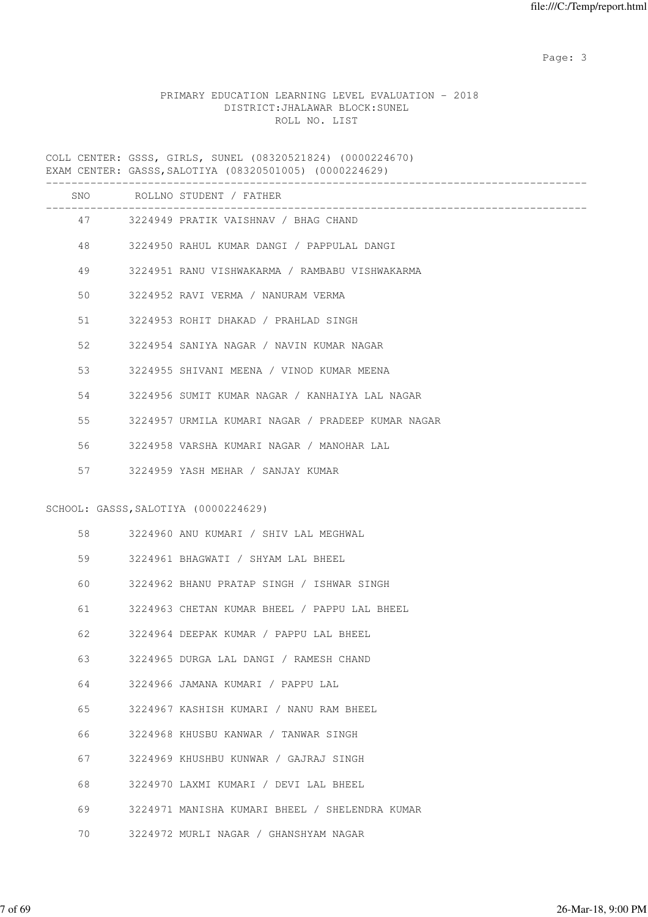# PRIMARY EDUCATION LEARNING LEVEL EVALUATION - 2018 DISTRICT:JHALAWAR BLOCK:SUNEL ROLL NO. LIST

COLL CENTER: GSSS, GIRLS, SUNEL (08320521824) (0000224670) EXAM CENTER: GASSS,SALOTIYA (08320501005) (0000224629)

|    |      | SNO ROLLNO STUDENT / FATHER                                         |
|----|------|---------------------------------------------------------------------|
|    |      | ________________________<br>47 3224949 PRATIK VAISHNAV / BHAG CHAND |
|    |      | 48 3224950 RAHUL KUMAR DANGI / PAPPULAL DANGI                       |
| 49 |      | 3224951 RANU VISHWAKARMA / RAMBABU VISHWAKARMA                      |
| 50 |      | 3224952 RAVI VERMA / NANURAM VERMA                                  |
| 51 |      | 3224953 ROHIT DHAKAD / PRAHLAD SINGH                                |
| 52 |      | 3224954 SANIYA NAGAR / NAVIN KUMAR NAGAR                            |
| 53 |      | 3224955 SHIVANI MEENA / VINOD KUMAR MEENA                           |
| 54 |      | 3224956 SUMIT KUMAR NAGAR / KANHAIYA LAL NAGAR                      |
| 55 |      | 3224957 URMILA KUMARI NAGAR / PRADEEP KUMAR NAGAR                   |
| 56 |      | 3224958 VARSHA KUMARI NAGAR / MANOHAR LAL                           |
| 57 |      | 3224959 YASH MEHAR / SANJAY KUMAR                                   |
|    |      | SCHOOL: GASSS, SALOTIYA (0000224629)                                |
|    |      | 3224960 ANU KUMARI / SHIV LAL MEGHWAL                               |
|    | 59 7 | 3224961 BHAGWATI / SHYAM LAL BHEEL                                  |
| 60 |      | 3224962 BHANU PRATAP SINGH / ISHWAR SINGH                           |
| 61 |      | 3224963 CHETAN KUMAR BHEEL / PAPPU LAL BHEEL                        |
| 62 |      | 3224964 DEEPAK KUMAR / PAPPU LAL BHEEL                              |
| 63 |      | 3224965 DURGA LAL DANGI / RAMESH CHAND                              |
| 64 |      | 3224966 JAMANA KUMARI / PAPPU LAL                                   |
| 65 |      | 3224967 KASHISH KUMARI / NANU RAM BHEEL                             |
| 66 |      | 3224968 KHUSBU KANWAR / TANWAR SINGH                                |
| 67 |      | 3224969 KHUSHBU KUNWAR / GAJRAJ SINGH                               |
| 68 |      | 3224970 LAXMI KUMARI / DEVI LAL BHEEL                               |
| 69 |      | 3224971 MANISHA KUMARI BHEEL / SHELENDRA KUMAR                      |
| 70 |      | 3224972 MURLI NAGAR / GHANSHYAM NAGAR                               |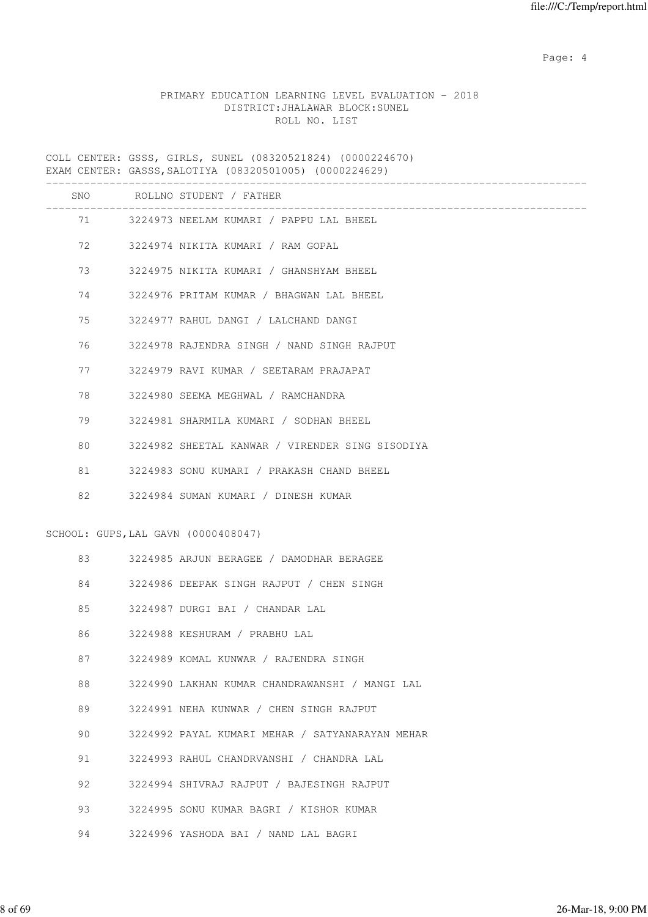Page: 4  $P$ 

# PRIMARY EDUCATION LEARNING LEVEL EVALUATION - 2018 DISTRICT:JHALAWAR BLOCK:SUNEL ROLL NO. LIST

COLL CENTER: GSSS, GIRLS, SUNEL (08320521824) (0000224670) EXAM CENTER: GASSS,SALOTIYA (08320501005) (0000224629)

|    | SNO ROLLNO STUDENT / FATHER                     |
|----|-------------------------------------------------|
|    | 71 3224973 NEELAM KUMARI / PAPPU LAL BHEEL      |
| 72 | 3224974 NIKITA KUMARI / RAM GOPAL               |
| 73 | 3224975 NIKITA KUMARI / GHANSHYAM BHEEL         |
| 74 | 3224976 PRITAM KUMAR / BHAGWAN LAL BHEEL        |
| 75 | 3224977 RAHUL DANGI / LALCHAND DANGI            |
| 76 | 3224978 RAJENDRA SINGH / NAND SINGH RAJPUT      |
| 77 | 3224979 RAVI KUMAR / SEETARAM PRAJAPAT          |
| 78 | 3224980 SEEMA MEGHWAL / RAMCHANDRA              |
| 79 | 3224981 SHARMILA KUMARI / SODHAN BHEEL          |
| 80 | 3224982 SHEETAL KANWAR / VIRENDER SING SISODIYA |
| 81 | 3224983 SONU KUMARI / PRAKASH CHAND BHEEL       |
| 82 | 3224984 SUMAN KUMARI / DINESH KUMAR             |
|    | SCHOOL: GUPS, LAL GAVN (0000408047)             |
| 83 | 3224985 ARJUN BERAGEE / DAMODHAR BERAGEE        |
| 84 | 3224986 DEEPAK SINGH RAJPUT / CHEN SINGH        |
| 85 | 3224987 DURGI BAI / CHANDAR LAL                 |
| 86 | 3224988 KESHURAM / PRABHU LAL                   |
| 87 | 3224989 KOMAL KUNWAR / RAJENDRA SINGH           |
| 88 | 3224990 LAKHAN KUMAR CHANDRAWANSHI / MANGI LAL  |
| 89 | 3224991 NEHA KUNWAR / CHEN SINGH RAJPUT         |
| 90 | 3224992 PAYAL KUMARI MEHAR / SATYANARAYAN MEHAR |
| 91 | 3224993 RAHUL CHANDRVANSHI / CHANDRA LAL        |
| 92 | 3224994 SHIVRAJ RAJPUT / BAJESINGH RAJPUT       |
| 93 | 3224995 SONU KUMAR BAGRI / KISHOR KUMAR         |
| 94 | 3224996 YASHODA BAI / NAND LAL BAGRI            |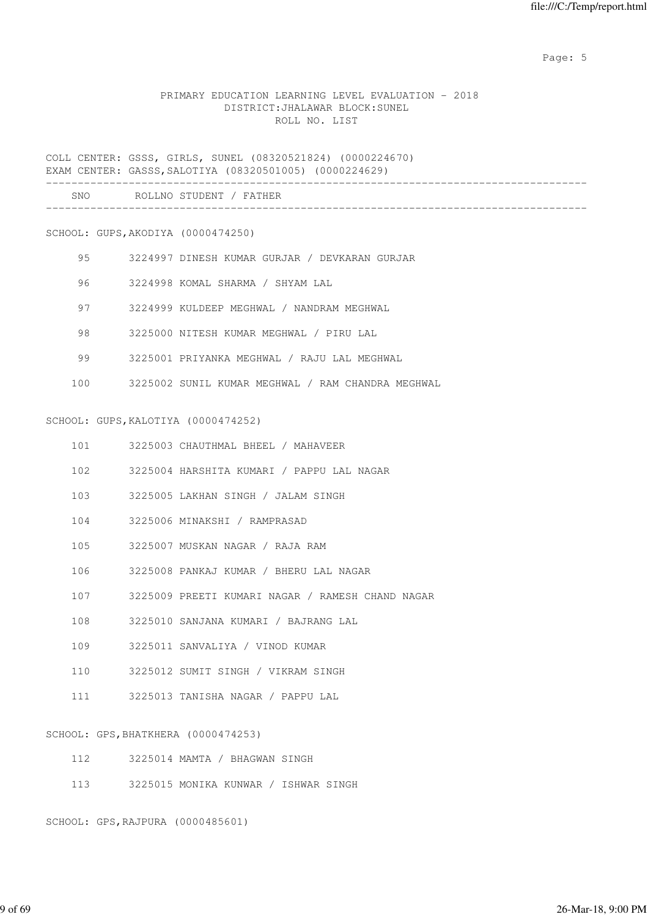Page: 5  $P$  and  $P$  and  $P$  and  $P$  and  $P$  and  $P$  and  $P$  and  $P$  and  $P$  and  $P$  and  $P$  and  $P$  and  $P$  and  $P$  and  $P$  and  $P$  and  $P$  and  $P$  and  $P$  and  $P$  and  $P$  and  $P$  and  $P$  and  $P$  and  $P$  and  $P$  and  $P$  an

# PRIMARY EDUCATION LEARNING LEVEL EVALUATION - 2018 DISTRICT:JHALAWAR BLOCK:SUNEL ROLL NO. LIST

COLL CENTER: GSSS, GIRLS, SUNEL (08320521824) (0000224670) EXAM CENTER: GASSS,SALOTIYA (08320501005) (0000224629)

| SNO | ROLLNO STUDENT / FATHER |  |
|-----|-------------------------|--|
|     |                         |  |

SCHOOL: GUPS,AKODIYA (0000474250)

- 95 3224997 DINESH KUMAR GURJAR / DEVKARAN GURJAR
- 96 3224998 KOMAL SHARMA / SHYAM LAL
- 97 3224999 KULDEEP MEGHWAL / NANDRAM MEGHWAL
- 98 3225000 NITESH KUMAR MEGHWAL / PIRU LAL
- 99 3225001 PRIYANKA MEGHWAL / RAJU LAL MEGHWAL
- 100 3225002 SUNIL KUMAR MEGHWAL / RAM CHANDRA MEGHWAL

#### SCHOOL: GUPS,KALOTIYA (0000474252)

- 101 3225003 CHAUTHMAL BHEEL / MAHAVEER
- 102 3225004 HARSHITA KUMARI / PAPPU LAL NAGAR
- 103 3225005 LAKHAN SINGH / JALAM SINGH
- 104 3225006 MINAKSHI / RAMPRASAD
- 105 3225007 MUSKAN NAGAR / RAJA RAM
- 106 3225008 PANKAJ KUMAR / BHERU LAL NAGAR
- 107 3225009 PREETI KUMARI NAGAR / RAMESH CHAND NAGAR
- 108 3225010 SANJANA KUMARI / BAJRANG LAL
- 109 3225011 SANVALIYA / VINOD KUMAR
- 110 3225012 SUMIT SINGH / VIKRAM SINGH
- 111 3225013 TANISHA NAGAR / PAPPU LAL

SCHOOL: GPS,BHATKHERA (0000474253)

- 112 3225014 MAMTA / BHAGWAN SINGH
- 113 3225015 MONIKA KUNWAR / ISHWAR SINGH

SCHOOL: GPS,RAJPURA (0000485601)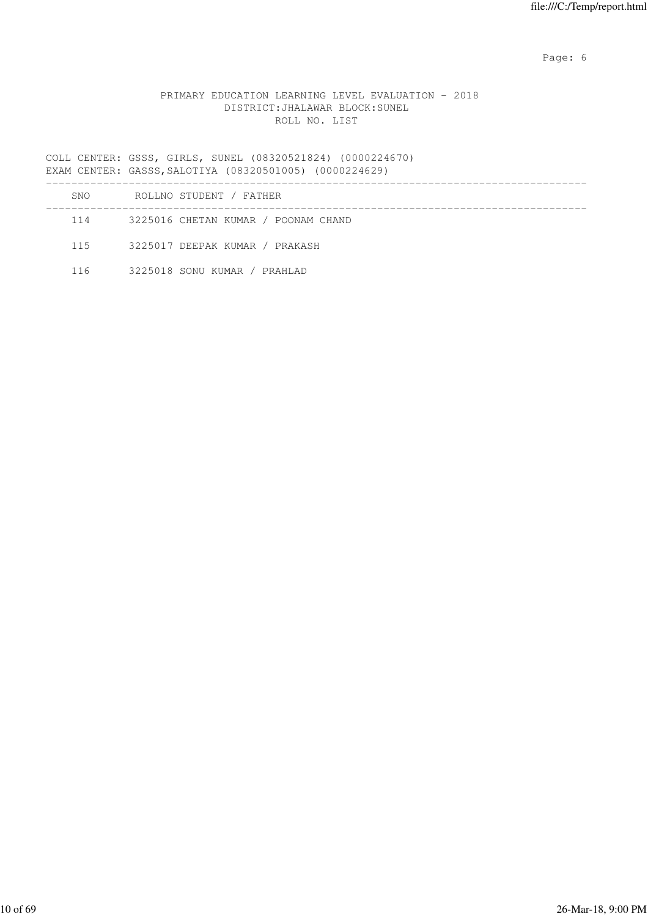Page: 6  $P$  and  $P$  and  $P$  and  $P$  and  $P$  and  $P$  and  $P$  and  $P$  and  $P$  and  $P$  and  $P$  and  $P$  and  $P$  and  $P$  and  $P$  and  $P$  and  $P$  and  $P$  and  $P$  and  $P$  and  $P$  and  $P$  and  $P$  and  $P$  and  $P$  and  $P$  and  $P$  an

### PRIMARY EDUCATION LEARNING LEVEL EVALUATION - 2018 DISTRICT:JHALAWAR BLOCK:SUNEL ROLL NO. LIST

COLL CENTER: GSSS, GIRLS, SUNEL (08320521824) (0000224670) EXAM CENTER: GASSS,SALOTIYA (08320501005) (0000224629)

| <b>SNO</b> | ROLLNO STUDENT / FATHER             |
|------------|-------------------------------------|
| 114        | 3225016 CHETAN KUMAR / POONAM CHAND |
| 115        | 3225017 DEEPAK KUMAR / PRAKASH      |
| 116        | 3225018 SONU KUMAR / PRAHLAD        |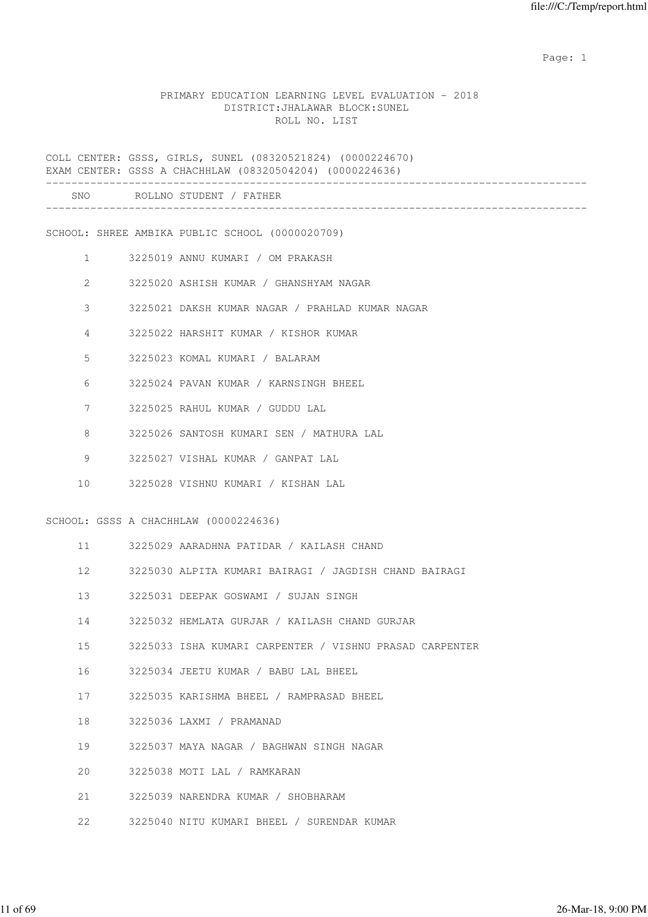expected to the control of the control of the control of the control of the control of the control of the control of the control of the control of the control of the control of the control of the control of the control of

#### PRIMARY EDUCATION LEARNING LEVEL EVALUATION - 2018 DISTRICT:JHALAWAR BLOCK:SUNEL ROLL NO. LIST

COLL CENTER: GSSS, GIRLS, SUNEL (08320521824) (0000224670) EXAM CENTER: GSSS A CHACHHLAW (08320504204) (0000224636)

| LAAM CLNILK; GSSS A CHACHHLAW (U83ZU304Z04) (UUUUZZ4636) |                   |                                                         |  |  |
|----------------------------------------------------------|-------------------|---------------------------------------------------------|--|--|
| SNO                                                      |                   | ROLLNO STUDENT / FATHER                                 |  |  |
|                                                          |                   | SCHOOL: SHREE AMBIKA PUBLIC SCHOOL (0000020709)         |  |  |
|                                                          | $1 \qquad \qquad$ | 3225019 ANNU KUMARI / OM PRAKASH                        |  |  |
| $\mathbf{2}^{\prime}$                                    |                   | 3225020 ASHISH KUMAR / GHANSHYAM NAGAR                  |  |  |
| 3                                                        |                   | 3225021 DAKSH KUMAR NAGAR / PRAHLAD KUMAR NAGAR         |  |  |
| 4                                                        |                   | 3225022 HARSHIT KUMAR / KISHOR KUMAR                    |  |  |
| 5                                                        |                   | 3225023 KOMAL KUMARI / BALARAM                          |  |  |
| 6                                                        |                   | 3225024 PAVAN KUMAR / KARNSINGH BHEEL                   |  |  |
| 7                                                        |                   | 3225025 RAHUL KUMAR / GUDDU LAL                         |  |  |
| 8                                                        |                   | 3225026 SANTOSH KUMARI SEN / MATHURA LAL                |  |  |
| 9                                                        |                   | 3225027 VISHAL KUMAR / GANPAT LAL                       |  |  |
| 10                                                       |                   | 3225028 VISHNU KUMARI / KISHAN LAL                      |  |  |
|                                                          |                   | SCHOOL: GSSS A CHACHHLAW (0000224636)                   |  |  |
| 11                                                       |                   | 3225029 AARADHNA PATIDAR / KAILASH CHAND                |  |  |
| 12 <sup>°</sup>                                          |                   | 3225030 ALPITA KUMARI BAIRAGI / JAGDISH CHAND BAIRAGI   |  |  |
| 13                                                       |                   | 3225031 DEEPAK GOSWAMI / SUJAN SINGH                    |  |  |
| 14                                                       |                   | 3225032 HEMLATA GURJAR / KAILASH CHAND GURJAR           |  |  |
| 15                                                       |                   | 3225033 ISHA KUMARI CARPENTER / VISHNU PRASAD CARPENTER |  |  |
| 16                                                       |                   | 3225034 JEETU KUMAR / BABU LAL BHEEL                    |  |  |
| 17                                                       |                   | 3225035 KARISHMA BHEEL / RAMPRASAD BHEEL                |  |  |
| 18                                                       |                   | 3225036 LAXMI / PRAMANAD                                |  |  |
| 19                                                       |                   | 3225037 MAYA NAGAR / BAGHWAN SINGH NAGAR                |  |  |
| 20                                                       |                   | 3225038 MOTI LAL / RAMKARAN                             |  |  |
| 21                                                       |                   | 3225039 NARENDRA KUMAR / SHOBHARAM                      |  |  |
|                                                          |                   |                                                         |  |  |

22 3225040 NITU KUMARI BHEEL / SURENDAR KUMAR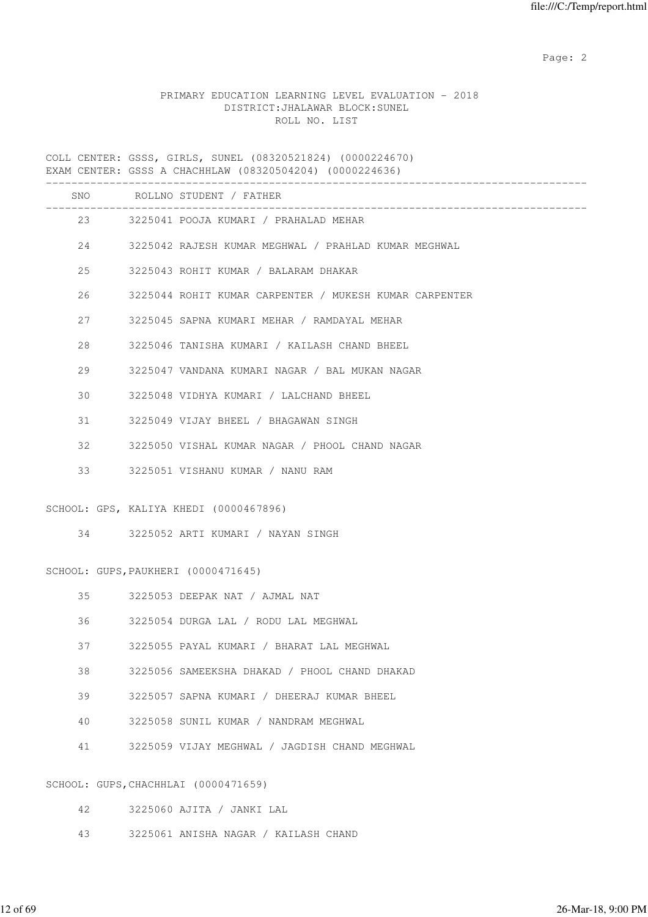# PRIMARY EDUCATION LEARNING LEVEL EVALUATION - 2018 DISTRICT:JHALAWAR BLOCK:SUNEL ROLL NO. LIST

COLL CENTER: GSSS, GIRLS, SUNEL (08320521824) (0000224670) EXAM CENTER: GSSS A CHACHHLAW (08320504204) (0000224636)

|    |         | SNO ROLLNO STUDENT / FATHER                                              |
|----|---------|--------------------------------------------------------------------------|
|    |         | ----------------------------<br>23 3225041 POOJA KUMARI / PRAHALAD MEHAR |
|    |         | 24 3225042 RAJESH KUMAR MEGHWAL / PRAHLAD KUMAR MEGHWAL                  |
| 25 |         | 3225043 ROHIT KUMAR / BALARAM DHAKAR                                     |
| 26 |         | 3225044 ROHIT KUMAR CARPENTER / MUKESH KUMAR CARPENTER                   |
|    | 27 — 27 | 3225045 SAPNA KUMARI MEHAR / RAMDAYAL MEHAR                              |
| 28 |         | 3225046 TANISHA KUMARI / KAILASH CHAND BHEEL                             |
| 29 |         | 3225047 VANDANA KUMARI NAGAR / BAL MUKAN NAGAR                           |
| 30 |         | 3225048 VIDHYA KUMARI / LALCHAND BHEEL                                   |
| 31 |         | 3225049 VIJAY BHEEL / BHAGAWAN SINGH                                     |
| 32 |         | 3225050 VISHAL KUMAR NAGAR / PHOOL CHAND NAGAR                           |
| 33 |         | 3225051 VISHANU KUMAR / NANU RAM                                         |
|    |         | SCHOOL: GPS, KALIYA KHEDI (0000467896)                                   |
|    |         | 34 3225052 ARTI KUMARI / NAYAN SINGH                                     |
|    |         |                                                                          |
|    |         | SCHOOL: GUPS, PAUKHERI (0000471645)                                      |
|    | 35      | 3225053 DEEPAK NAT / AJMAL NAT                                           |
|    | 36      | 3225054 DURGA LAL / RODU LAL MEGHWAL                                     |
| 37 |         | 3225055 PAYAL KUMARI / BHARAT LAL MEGHWAL                                |
| 38 |         | 3225056 SAMEEKSHA DHAKAD / PHOOL CHAND DHAKAD                            |
| 39 |         | 3225057 SAPNA KUMARI / DHEERAJ KUMAR BHEEL                               |
| 40 |         | 3225058 SUNIL KUMAR / NANDRAM MEGHWAL                                    |
| 41 |         | 3225059 VIJAY MEGHWAL / JAGDISH CHAND MEGHWAL                            |
|    |         | SCHOOL: GUPS, CHACHHLAI (0000471659)                                     |
| 42 |         | 3225060 AJITA / JANKI LAL                                                |

43 3225061 ANISHA NAGAR / KAILASH CHAND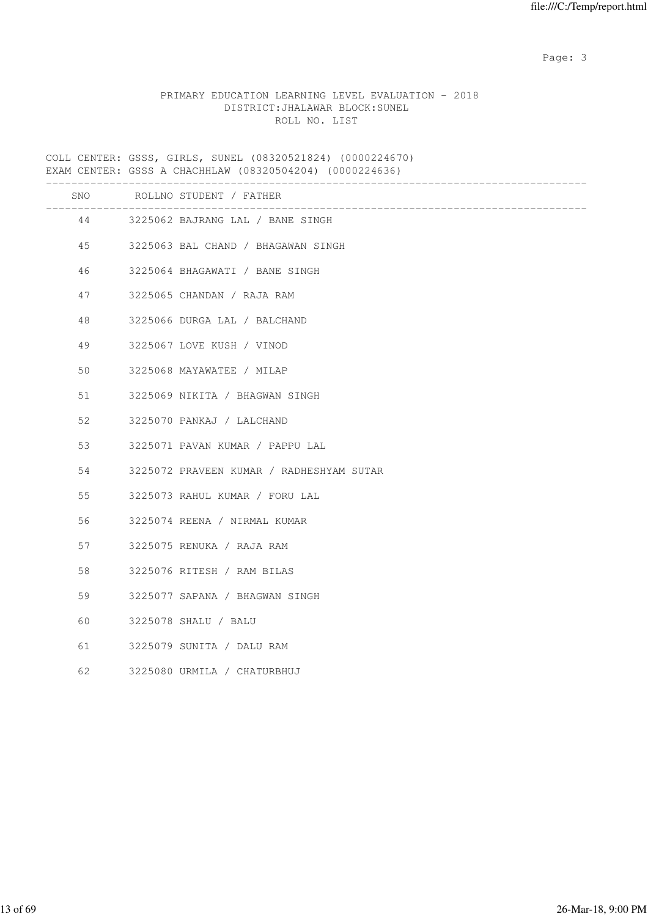### PRIMARY EDUCATION LEARNING LEVEL EVALUATION - 2018 DISTRICT:JHALAWAR BLOCK:SUNEL ROLL NO. LIST

COLL CENTER: GSSS, GIRLS, SUNEL (08320521824) (0000224670) EXAM CENTER: GSSS A CHACHHLAW (08320504204) (0000224636)

| SNO | ROLLNO STUDENT / FATHER                  |
|-----|------------------------------------------|
|     | --------------                           |
|     | 44 3225062 BAJRANG LAL / BANE SINGH      |
| 45  | 3225063 BAL CHAND / BHAGAWAN SINGH       |
| 46  | 3225064 BHAGAWATI / BANE SINGH           |
| 47  | 3225065 CHANDAN / RAJA RAM               |
| 48  | 3225066 DURGA LAL / BALCHAND             |
| 49  | 3225067 LOVE KUSH / VINOD                |
| 50  | 3225068 MAYAWATEE / MILAP                |
| 51  | 3225069 NIKITA / BHAGWAN SINGH           |
| 52  | 3225070 PANKAJ / LALCHAND                |
| 53  | 3225071 PAVAN KUMAR / PAPPU LAL          |
| 54  | 3225072 PRAVEEN KUMAR / RADHESHYAM SUTAR |
| 55  | 3225073 RAHUL KUMAR / FORU LAL           |
| 56  | 3225074 REENA / NIRMAL KUMAR             |
| 57  | 3225075 RENUKA / RAJA RAM                |
| 58  | 3225076 RITESH / RAM BILAS               |
| 59  | 3225077 SAPANA / BHAGWAN SINGH           |
| 60  | 3225078 SHALU / BALU                     |
| 61  | 3225079 SUNITA / DALU RAM                |
| 62  | 3225080 URMILA / CHATURBHUJ              |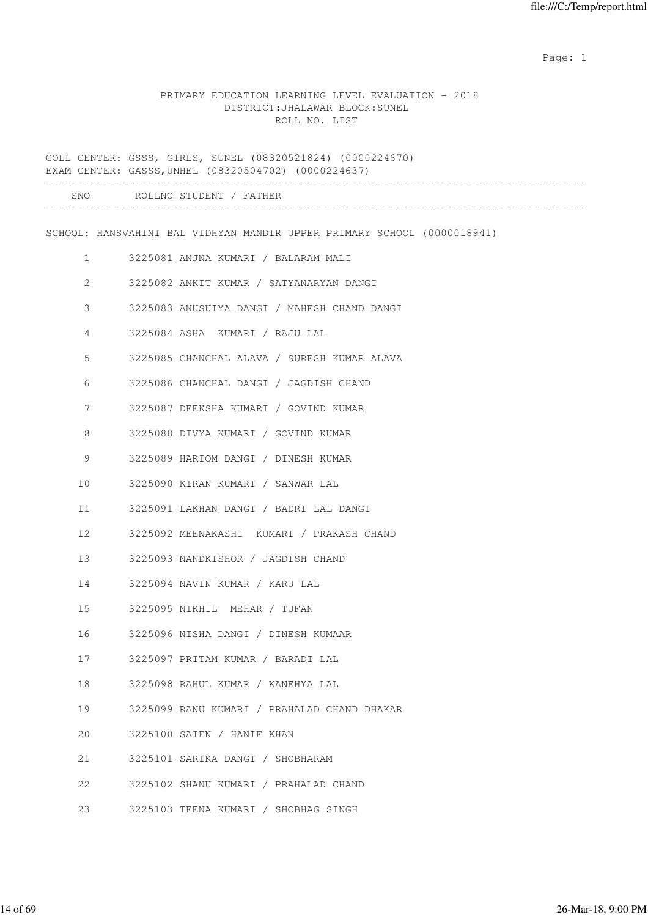expected to the control of the control of the control of the control of the control of the control of the control of the control of the control of the control of the control of the control of the control of the control of

#### PRIMARY EDUCATION LEARNING LEVEL EVALUATION - 2018 DISTRICT:JHALAWAR BLOCK:SUNEL ROLL NO. LIST

COLL CENTER: GSSS, GIRLS, SUNEL (08320521824) (0000224670) EXAM CENTER: GASSS,UNHEL (08320504702) (0000224637) ------------------------------------------------------------------------------------- SNO ROLLNO STUDENT / FATHER ------------------------------------------------------------------------------------- SCHOOL: HANSVAHINI BAL VIDHYAN MANDIR UPPER PRIMARY SCHOOL (0000018941) 1 3225081 ANJNA KUMARI / BALARAM MALI 2 3225082 ANKIT KUMAR / SATYANARYAN DANGI 3 3225083 ANUSUIYA DANGI / MAHESH CHAND DANGI 4 3225084 ASHA KUMARI / RAJU LAL 5 3225085 CHANCHAL ALAVA / SURESH KUMAR ALAVA 6 3225086 CHANCHAL DANGI / JAGDISH CHAND 7 3225087 DEEKSHA KUMARI / GOVIND KUMAR 8 3225088 DIVYA KUMARI / GOVIND KUMAR 9 3225089 HARIOM DANGI / DINESH KUMAR 10 3225090 KIRAN KUMARI / SANWAR LAL 11 3225091 LAKHAN DANGI / BADRI LAL DANGI 12 3225092 MEENAKASHI KUMARI / PRAKASH CHAND 13 3225093 NANDKISHOR / JAGDISH CHAND 14 3225094 NAVIN KUMAR / KARU LAL 15 3225095 NIKHIL MEHAR / TUFAN 16 3225096 NISHA DANGI / DINESH KUMAAR 17 3225097 PRITAM KUMAR / BARADI LAL 18 3225098 RAHUL KUMAR / KANEHYA LAL 19 3225099 RANU KUMARI / PRAHALAD CHAND DHAKAR 20 3225100 SAIEN / HANIF KHAN 21 3225101 SARIKA DANGI / SHOBHARAM 22 3225102 SHANU KUMARI / PRAHALAD CHAND 23 3225103 TEENA KUMARI / SHOBHAG SINGH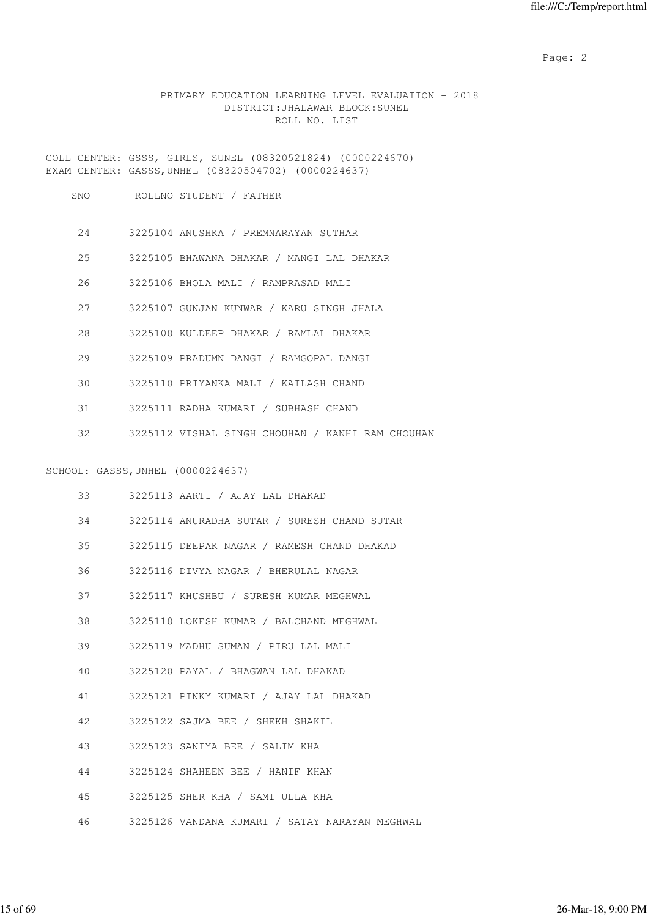# PRIMARY EDUCATION LEARNING LEVEL EVALUATION - 2018 DISTRICT:JHALAWAR BLOCK:SUNEL ROLL NO. LIST

COLL CENTER: GSSS, GIRLS, SUNEL (08320521824) (0000224670) EXAM CENTER: GASSS,UNHEL (08320504702) (0000224637) ------------------------------------------------------------------------------------- SNO ROLLNO STUDENT / FATHER ------------------------------------------------------------------------------------- 24 3225104 ANUSHKA / PREMNARAYAN SUTHAR 25 3225105 BHAWANA DHAKAR / MANGI LAL DHAKAR 26 3225106 BHOLA MALI / RAMPRASAD MALI 27 3225107 GUNJAN KUNWAR / KARU SINGH JHALA 28 3225108 KULDEEP DHAKAR / RAMLAL DHAKAR 29 3225109 PRADUMN DANGI / RAMGOPAL DANGI 30 3225110 PRIYANKA MALI / KAILASH CHAND 31 3225111 RADHA KUMARI / SUBHASH CHAND 32 3225112 VISHAL SINGH CHOUHAN / KANHI RAM CHOUHAN SCHOOL: GASSS,UNHEL (0000224637) 33 3225113 AARTI / AJAY LAL DHAKAD 34 3225114 ANURADHA SUTAR / SURESH CHAND SUTAR 35 3225115 DEEPAK NAGAR / RAMESH CHAND DHAKAD 36 3225116 DIVYA NAGAR / BHERULAL NAGAR 37 3225117 KHUSHBU / SURESH KUMAR MEGHWAL 38 3225118 LOKESH KUMAR / BALCHAND MEGHWAL 39 3225119 MADHU SUMAN / PIRU LAL MALI 40 3225120 PAYAL / BHAGWAN LAL DHAKAD 41 3225121 PINKY KUMARI / AJAY LAL DHAKAD 42 3225122 SAJMA BEE / SHEKH SHAKIL 43 3225123 SANIYA BEE / SALIM KHA 44 3225124 SHAHEEN BEE / HANIF KHAN 45 3225125 SHER KHA / SAMI ULLA KHA 46 3225126 VANDANA KUMARI / SATAY NARAYAN MEGHWAL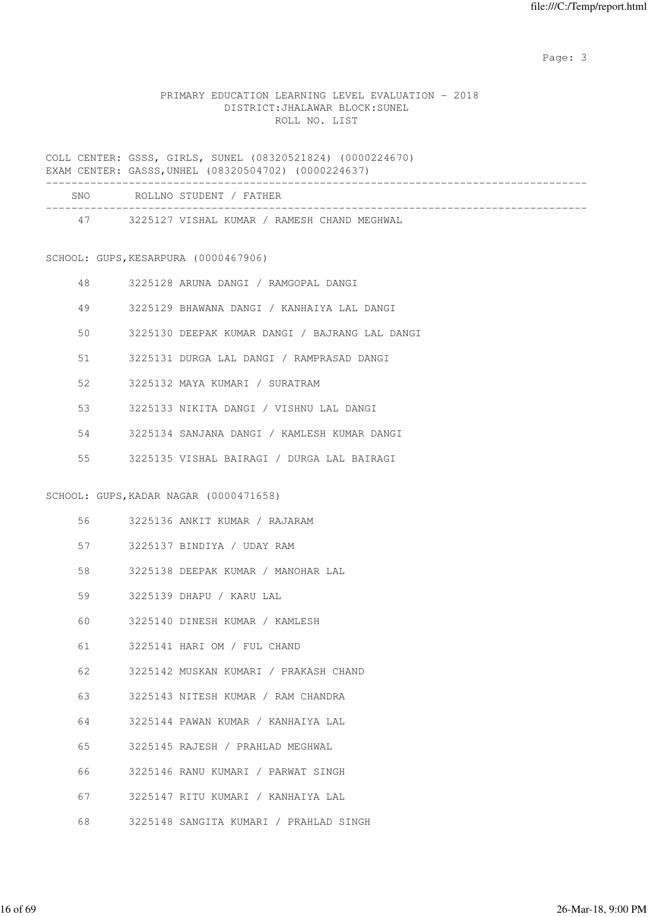# PRIMARY EDUCATION LEARNING LEVEL EVALUATION - 2018 DISTRICT:JHALAWAR BLOCK:SUNEL ROLL NO. LIST

COLL CENTER: GSSS, GIRLS, SUNEL (08320521824) (0000224670) EXAM CENTER: GASSS,UNHEL (08320504702) (0000224637)

| SNO | ROLLNO STUDENT / FATHER                     |
|-----|---------------------------------------------|
| 47  | 3225127 VISHAL KUMAR / RAMESH CHAND MEGHWAL |

# SCHOOL: GUPS,KESARPURA (0000467906)

| 48 | 3225128 ARUNA DANGI / RAMGOPAL DANGI           |
|----|------------------------------------------------|
| 49 | 3225129 BHAWANA DANGI / KANHAIYA LAL DANGI     |
| 50 | 3225130 DEEPAK KUMAR DANGI / BAJRANG LAL DANGI |
| 51 | 3225131 DURGA LAL DANGI / RAMPRASAD DANGI      |
| 52 | 3225132 MAYA KUMARI / SURATRAM                 |
| 53 | 3225133 NIKITA DANGI / VISHNU LAL DANGI        |
| 54 | 3225134 SANJANA DANGI / KAMLESH KUMAR DANGI    |
| 55 | 3225135 VISHAL BAIRAGI / DURGA LAL BAIRAGI     |
|    |                                                |
|    | SCHOOL: GUPS, KADAR NAGAR (0000471658)         |

| 3225136 ANKIT KUMAR |  |  |  | RAJARAM |
|---------------------|--|--|--|---------|
|---------------------|--|--|--|---------|

- 57 3225137 BINDIYA / UDAY RAM
- 58 3225138 DEEPAK KUMAR / MANOHAR LAL
- 59 3225139 DHAPU / KARU LAL
- 60 3225140 DINESH KUMAR / KAMLESH
- 61 3225141 HARI OM / FUL CHAND
- 62 3225142 MUSKAN KUMARI / PRAKASH CHAND
- 63 3225143 NITESH KUMAR / RAM CHANDRA
- 64 3225144 PAWAN KUMAR / KANHAIYA LAL
- 65 3225145 RAJESH / PRAHLAD MEGHWAL
- 66 3225146 RANU KUMARI / PARWAT SINGH
- 67 3225147 RITU KUMARI / KANHAIYA LAL
- 68 3225148 SANGITA KUMARI / PRAHLAD SINGH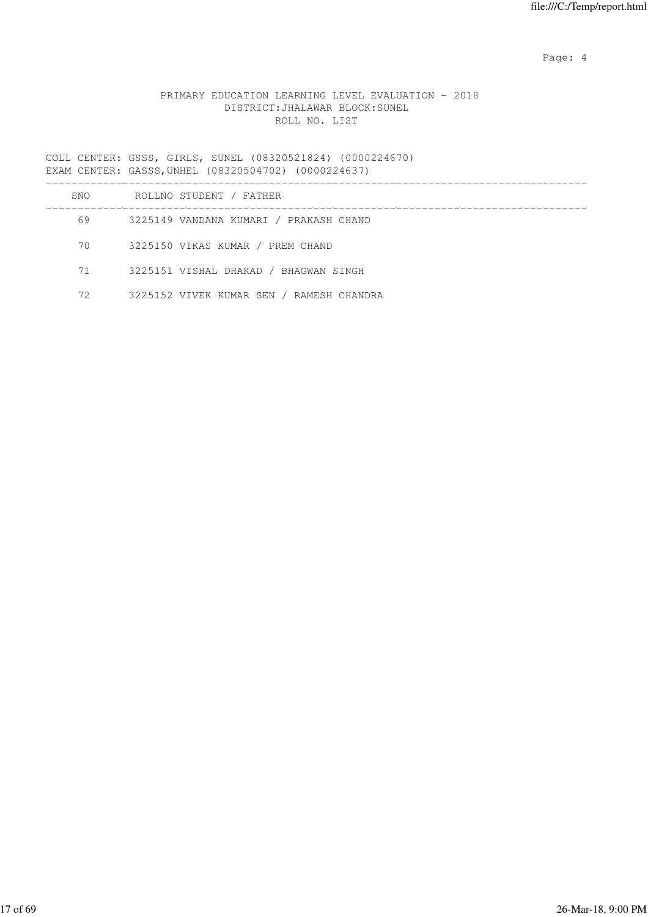Page: 4  $P$ 

# PRIMARY EDUCATION LEARNING LEVEL EVALUATION - 2018 DISTRICT:JHALAWAR BLOCK:SUNEL ROLL NO. LIST

COLL CENTER: GSSS, GIRLS, SUNEL (08320521824) (0000224670) EXAM CENTER: GASSS,UNHEL (08320504702) (0000224637)

| <b>SNO</b> | ROLLNO STUDENT / FATHER                  |
|------------|------------------------------------------|
| 69         | 3225149 VANDANA KUMARI / PRAKASH CHAND   |
| 70         | 3225150 VIKAS KUMAR / PREM CHAND         |
| 71         | 3225151 VISHAL DHAKAD / BHAGWAN SINGH    |
| 72         | 3225152 VIVEK KUMAR SEN / RAMESH CHANDRA |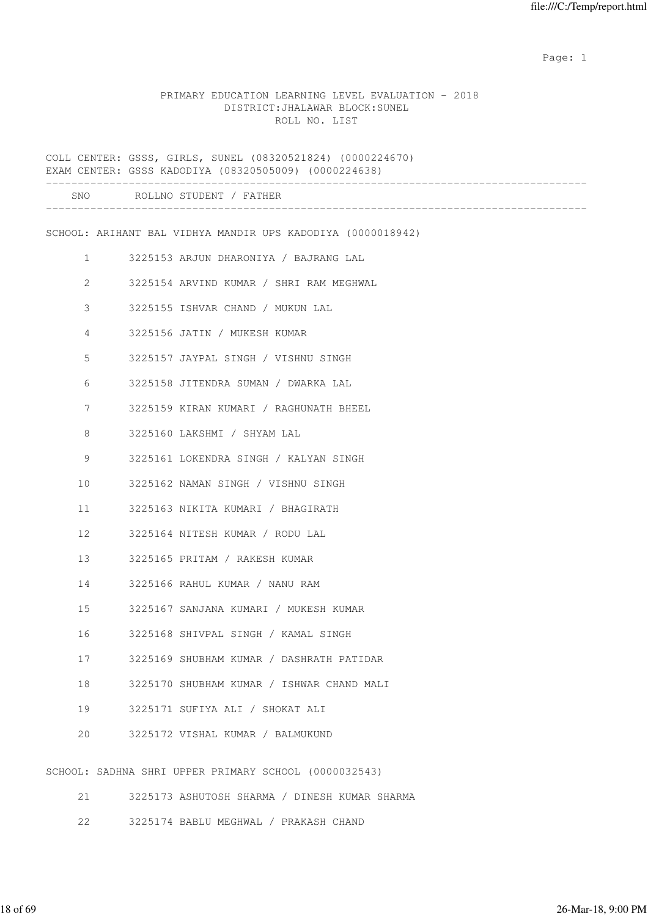expected to the control of the control of the control of the control of the control of the control of the control of the control of the control of the control of the control of the control of the control of the control of

#### PRIMARY EDUCATION LEARNING LEVEL EVALUATION - 2018 DISTRICT:JHALAWAR BLOCK:SUNEL ROLL NO. LIST

COLL CENTER: GSSS, GIRLS, SUNEL (08320521824) (0000224670) EXAM CENTER: GSSS KADODIYA (08320505009) (0000224638) ------------------------------------------------------------------------------------- SNO ROLLNO STUDENT / FATHER ------------------------------------------------------------------------------------- SCHOOL: ARIHANT BAL VIDHYA MANDIR UPS KADODIYA (0000018942) 1 3225153 ARJUN DHARONIYA / BAJRANG LAL 2 3225154 ARVIND KUMAR / SHRI RAM MEGHWAL 3 3225155 ISHVAR CHAND / MUKUN LAL 4 3225156 JATIN / MUKESH KUMAR 5 3225157 JAYPAL SINGH / VISHNU SINGH 6 3225158 JITENDRA SUMAN / DWARKA LAL 7 3225159 KIRAN KUMARI / RAGHUNATH BHEEL 8 3225160 LAKSHMI / SHYAM LAL 9 3225161 LOKENDRA SINGH / KALYAN SINGH 10 3225162 NAMAN SINGH / VISHNU SINGH 11 3225163 NIKITA KUMARI / BHAGIRATH 12 3225164 NITESH KUMAR / RODU LAL 13 3225165 PRITAM / RAKESH KUMAR 14 3225166 RAHUL KUMAR / NANU RAM 15 3225167 SANJANA KUMARI / MUKESH KUMAR 16 3225168 SHIVPAL SINGH / KAMAL SINGH 17 3225169 SHUBHAM KUMAR / DASHRATH PATIDAR 18 3225170 SHUBHAM KUMAR / ISHWAR CHAND MALI 19 3225171 SUFIYA ALI / SHOKAT ALI 20 3225172 VISHAL KUMAR / BALMUKUND SCHOOL: SADHNA SHRI UPPER PRIMARY SCHOOL (0000032543)

- 21 3225173 ASHUTOSH SHARMA / DINESH KUMAR SHARMA
- 22 3225174 BABLU MEGHWAL / PRAKASH CHAND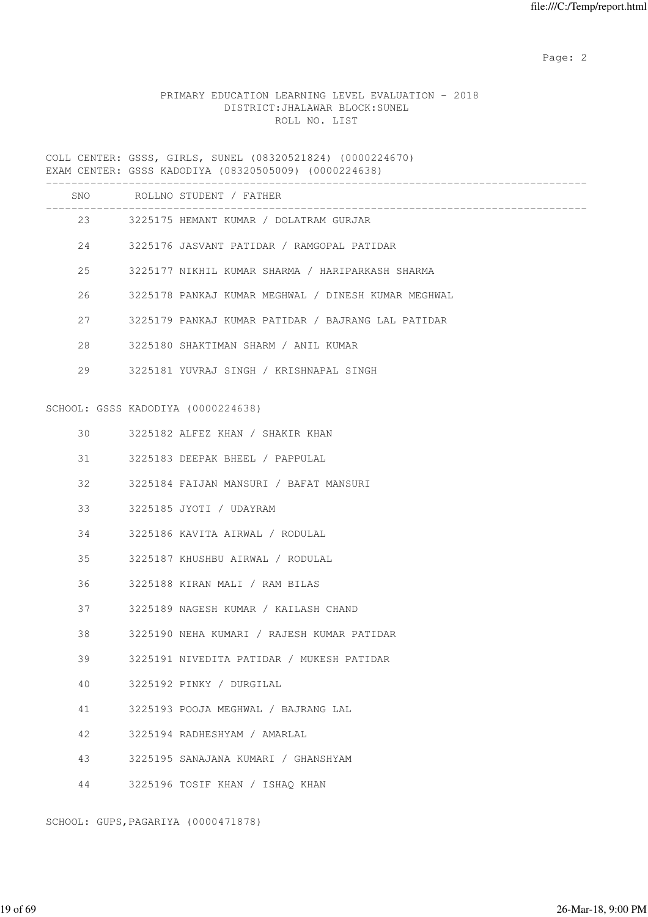# PRIMARY EDUCATION LEARNING LEVEL EVALUATION - 2018 DISTRICT:JHALAWAR BLOCK:SUNEL ROLL NO. LIST

COLL CENTER: GSSS, GIRLS, SUNEL (08320521824) (0000224670) EXAM CENTER: GSSS KADODIYA (08320505009) (0000224638)

|    | SNO ROLLNO STUDENT / FATHER                         |
|----|-----------------------------------------------------|
|    | 23 3225175 HEMANT KUMAR / DOLATRAM GURJAR           |
|    | 24 3225176 JASVANT PATIDAR / RAMGOPAL PATIDAR       |
| 25 | 3225177 NIKHIL KUMAR SHARMA / HARIPARKASH SHARMA    |
| 26 | 3225178 PANKAJ KUMAR MEGHWAL / DINESH KUMAR MEGHWAL |
| 27 | 3225179 PANKAJ KUMAR PATIDAR / BAJRANG LAL PATIDAR  |
| 28 | 3225180 SHAKTIMAN SHARM / ANIL KUMAR                |
| 29 | 3225181 YUVRAJ SINGH / KRISHNAPAL SINGH             |
|    | SCHOOL: GSSS KADODIYA (0000224638)                  |
| 30 | 3225182 ALFEZ KHAN / SHAKIR KHAN                    |
| 31 | 3225183 DEEPAK BHEEL / PAPPULAL                     |
| 32 | 3225184 FAIJAN MANSURI / BAFAT MANSURI              |
| 33 | 3225185 JYOTI / UDAYRAM                             |
| 34 | 3225186 KAVITA AIRWAL / RODULAL                     |
| 35 | 3225187 KHUSHBU AIRWAL / RODULAL                    |
| 36 | 3225188 KIRAN MALI / RAM BILAS                      |
| 37 | 3225189 NAGESH KUMAR / KAILASH CHAND                |
| 38 | 3225190 NEHA KUMARI / RAJESH KUMAR PATIDAR          |
| 39 | 3225191 NIVEDITA PATIDAR / MUKESH PATIDAR           |
| 40 | 3225192 PINKY / DURGILAL                            |
| 41 | 3225193 POOJA MEGHWAL / BAJRANG LAL                 |
| 42 | 3225194 RADHESHYAM / AMARLAL                        |
| 43 | 3225195 SANAJANA KUMARI / GHANSHYAM                 |
| 44 | 3225196 TOSIF KHAN / ISHAQ KHAN                     |

SCHOOL: GUPS,PAGARIYA (0000471878)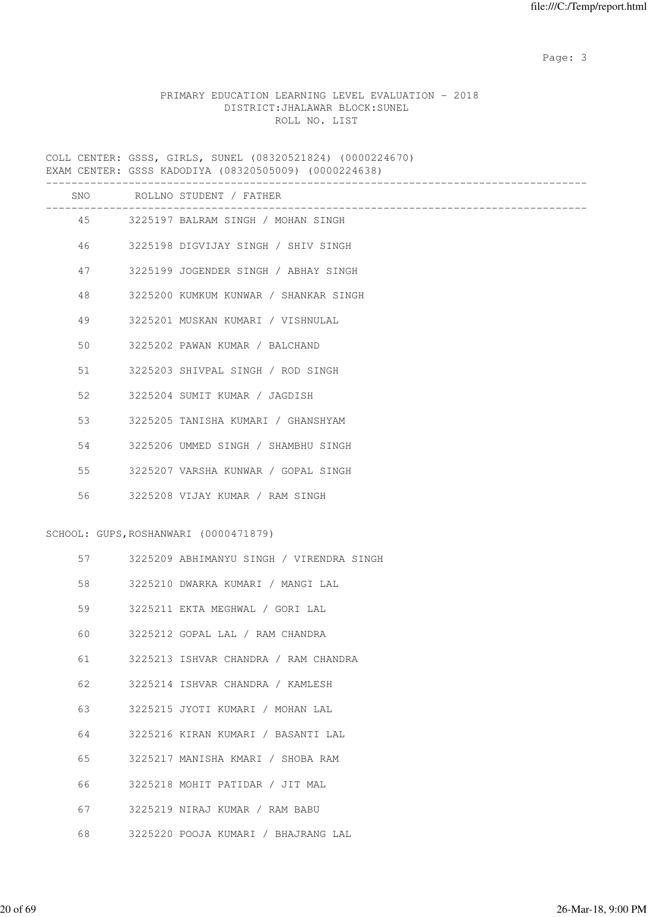# PRIMARY EDUCATION LEARNING LEVEL EVALUATION - 2018 DISTRICT:JHALAWAR BLOCK:SUNEL ROLL NO. LIST

COLL CENTER: GSSS, GIRLS, SUNEL (08320521824) (0000224670) EXAM CENTER: GSSS KADODIYA (08320505009) (0000224638)

|    | SNO ROLLNO STUDENT / FATHER              |
|----|------------------------------------------|
|    | 45 3225197 BALRAM SINGH / MOHAN SINGH    |
| 46 | 3225198 DIGVIJAY SINGH / SHIV SINGH      |
| 47 | 3225199 JOGENDER SINGH / ABHAY SINGH     |
| 48 | 3225200 KUMKUM KUNWAR / SHANKAR SINGH    |
| 49 | 3225201 MUSKAN KUMARI / VISHNULAL        |
| 50 | 3225202 PAWAN KUMAR / BALCHAND           |
| 51 | 3225203 SHIVPAL SINGH / ROD SINGH        |
| 52 | 3225204 SUMIT KUMAR / JAGDISH            |
| 53 | 3225205 TANISHA KUMARI / GHANSHYAM       |
| 54 | 3225206 UMMED SINGH / SHAMBHU SINGH      |
| 55 | 3225207 VARSHA KUNWAR / GOPAL SINGH      |
| 56 | 3225208 VIJAY KUMAR / RAM SINGH          |
|    |                                          |
|    | SCHOOL: GUPS, ROSHANWARI (0000471879)    |
| 57 | 3225209 ABHIMANYU SINGH / VIRENDRA SINGH |
| 58 | 3225210 DWARKA KUMARI / MANGI LAL        |
| 59 | 3225211 EKTA MEGHWAL / GORI LAL          |
| 60 | 3225212 GOPAL LAL / RAM CHANDRA          |
| 61 | 3225213 ISHVAR CHANDRA / RAM CHANDRA     |
| 62 | 3225214 ISHVAR CHANDRA / KAMLESH         |
| 63 | 3225215 JYOTI KUMARI / MOHAN LAL         |
| 64 | 3225216 KIRAN KUMARI / BASANTI LAL       |
| 65 | 3225217 MANISHA KMARI / SHOBA RAM        |
| 66 | 3225218 MOHIT PATIDAR / JIT MAL          |
| 67 | 3225219 NIRAJ KUMAR / RAM BABU           |
| 68 | 3225220 POOJA KUMARI / BHAJRANG LAL      |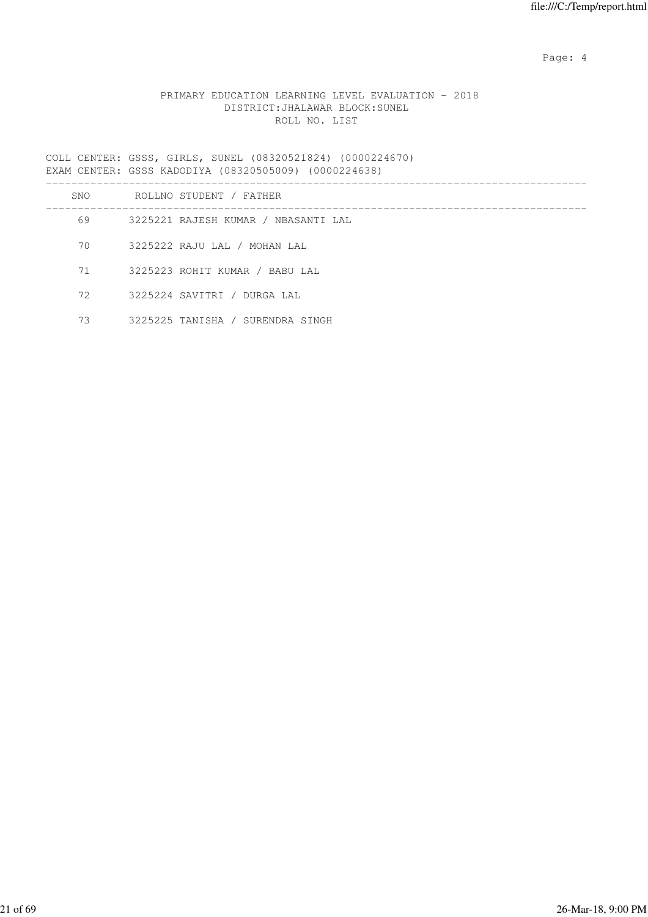Page: 4  $P$ 

# PRIMARY EDUCATION LEARNING LEVEL EVALUATION - 2018 DISTRICT:JHALAWAR BLOCK:SUNEL ROLL NO. LIST

COLL CENTER: GSSS, GIRLS, SUNEL (08320521824) (0000224670) EXAM CENTER: GSSS KADODIYA (08320505009) (0000224638)

| SNO | ROLLNO STUDENT / FATHER             |
|-----|-------------------------------------|
| 69  | 3225221 RAJESH KUMAR / NBASANTI LAL |
| 70  | 3225222 RAJU LAL / MOHAN LAL        |
| 71  | 3225223 ROHIT KUMAR / BABU LAL      |
| 72  | 3225224 SAVITRI / DURGA LAL         |
| 73  | 3225225 TANISHA / SURENDRA SINGH    |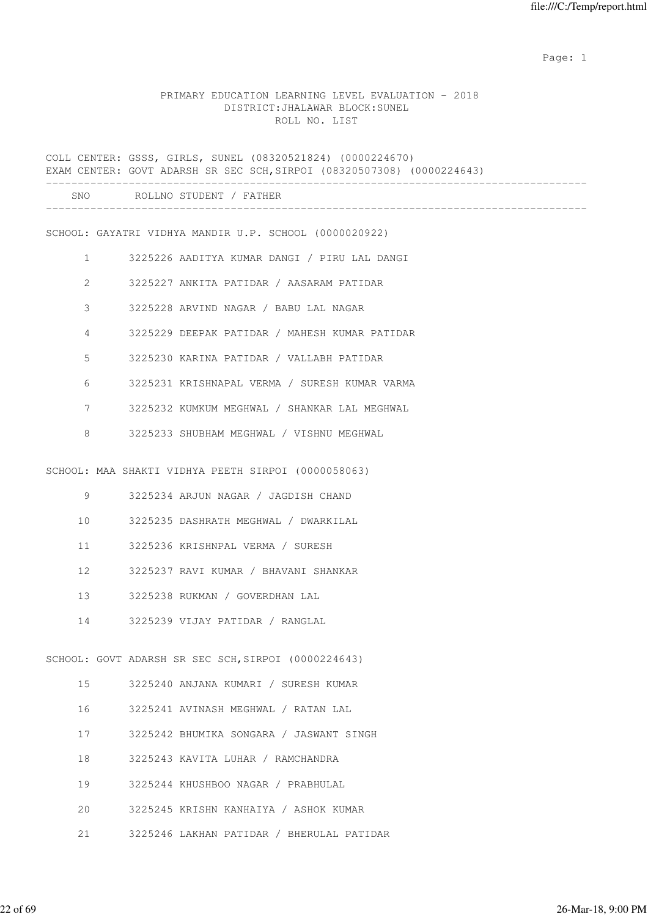expected to the control of the control of the control of the control of the control of the control of the control of the control of the control of the control of the control of the control of the control of the control of

#### PRIMARY EDUCATION LEARNING LEVEL EVALUATION - 2018 DISTRICT:JHALAWAR BLOCK:SUNEL ROLL NO. LIST

COLL CENTER: GSSS, GIRLS, SUNEL (08320521824) (0000224670) EXAM CENTER: GOVT ADARSH SR SEC SCH,SIRPOI (08320507308) (0000224643) ------------------------------------------------------------------------------------- SNO ROLLNO STUDENT / FATHER ------------------------------------------------------------------------------------- SCHOOL: GAYATRI VIDHYA MANDIR U.P. SCHOOL (0000020922) 1 3225226 AADITYA KUMAR DANGI / PIRU LAL DANGI 2 3225227 ANKITA PATIDAR / AASARAM PATIDAR 3 3225228 ARVIND NAGAR / BABU LAL NAGAR 4 3225229 DEEPAK PATIDAR / MAHESH KUMAR PATIDAR 5 3225230 KARINA PATIDAR / VALLABH PATIDAR 6 3225231 KRISHNAPAL VERMA / SURESH KUMAR VARMA 7 3225232 KUMKUM MEGHWAL / SHANKAR LAL MEGHWAL 8 3225233 SHUBHAM MEGHWAL / VISHNU MEGHWAL SCHOOL: MAA SHAKTI VIDHYA PEETH SIRPOI (0000058063) 9 3225234 ARJUN NAGAR / JAGDISH CHAND 10 3225235 DASHRATH MEGHWAL / DWARKILAL 11 3225236 KRISHNPAL VERMA / SURESH 12 3225237 RAVI KUMAR / BHAVANI SHANKAR 13 3225238 RUKMAN / GOVERDHAN LAL 14 3225239 VIJAY PATIDAR / RANGLAL SCHOOL: GOVT ADARSH SR SEC SCH, SIRPOI (0000224643) 15 3225240 ANJANA KUMARI / SURESH KUMAR 16 3225241 AVINASH MEGHWAL / RATAN LAL 17 3225242 BHUMIKA SONGARA / JASWANT SINGH 18 3225243 KAVITA LUHAR / RAMCHANDRA 19 3225244 KHUSHBOO NAGAR / PRABHULAL 20 3225245 KRISHN KANHAIYA / ASHOK KUMAR 21 3225246 LAKHAN PATIDAR / BHERULAL PATIDAR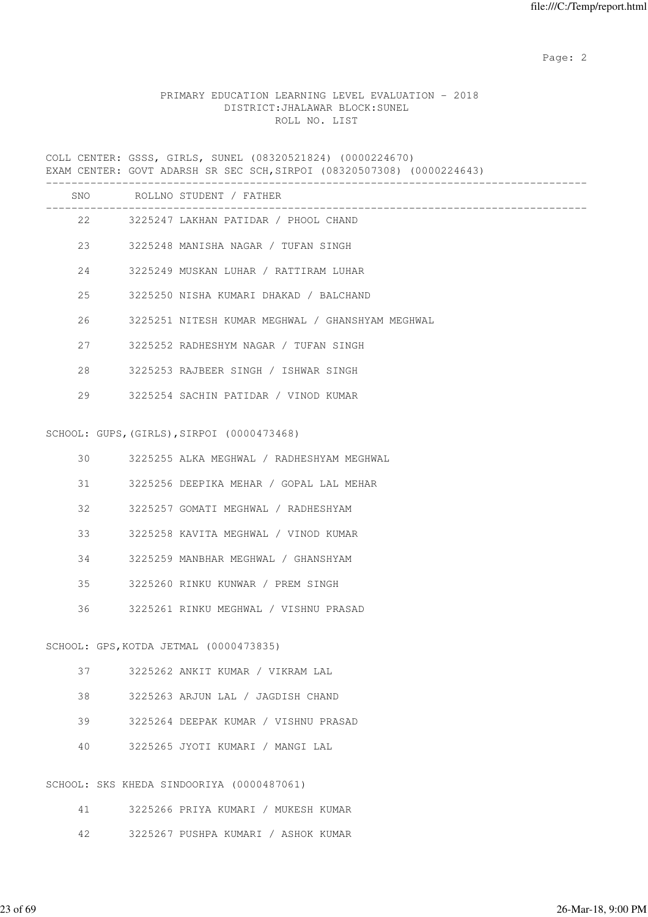# PRIMARY EDUCATION LEARNING LEVEL EVALUATION - 2018 DISTRICT:JHALAWAR BLOCK:SUNEL ROLL NO. LIST

COLL CENTER: GSSS, GIRLS, SUNEL (08320521824) (0000224670) EXAM CENTER: GOVT ADARSH SR SEC SCH,SIRPOI (08320507308) (0000224643) -------------------------------------------------------------------------------------

| SNO |    | ROLLNO STUDENT / FATHER                          |
|-----|----|--------------------------------------------------|
|     |    | 22 3225247 LAKHAN PATIDAR / PHOOL CHAND          |
|     |    | 23 3225248 MANISHA NAGAR / TUFAN SINGH           |
|     |    | 3225249 MUSKAN LUHAR / RATTIRAM LUHAR            |
|     | 25 | 3225250 NISHA KUMARI DHAKAD / BALCHAND           |
|     | 26 | 3225251 NITESH KUMAR MEGHWAL / GHANSHYAM MEGHWAL |
|     | 27 | 3225252 RADHESHYM NAGAR / TUFAN SINGH            |
|     | 28 | 3225253 RAJBEER SINGH / ISHWAR SINGH             |
|     | 29 | 3225254 SACHIN PATIDAR / VINOD KUMAR             |
|     |    | SCHOOL: GUPS, (GIRLS), SIRPOI (0000473468)       |
|     | 30 | 3225255 ALKA MEGHWAL / RADHESHYAM MEGHWAL        |

- 31 3225256 DEEPIKA MEHAR / GOPAL LAL MEHAR
- 32 3225257 GOMATI MEGHWAL / RADHESHYAM
- 33 3225258 KAVITA MEGHWAL / VINOD KUMAR
- 34 3225259 MANBHAR MEGHWAL / GHANSHYAM
- 35 3225260 RINKU KUNWAR / PREM SINGH
- 36 3225261 RINKU MEGHWAL / VISHNU PRASAD

#### SCHOOL: GPS,KOTDA JETMAL (0000473835)

- 37 3225262 ANKIT KUMAR / VIKRAM LAL
- 38 3225263 ARJUN LAL / JAGDISH CHAND
- 39 3225264 DEEPAK KUMAR / VISHNU PRASAD
- 40 3225265 JYOTI KUMARI / MANGI LAL

#### SCHOOL: SKS KHEDA SINDOORIYA (0000487061)

- 41 3225266 PRIYA KUMARI / MUKESH KUMAR
- 42 3225267 PUSHPA KUMARI / ASHOK KUMAR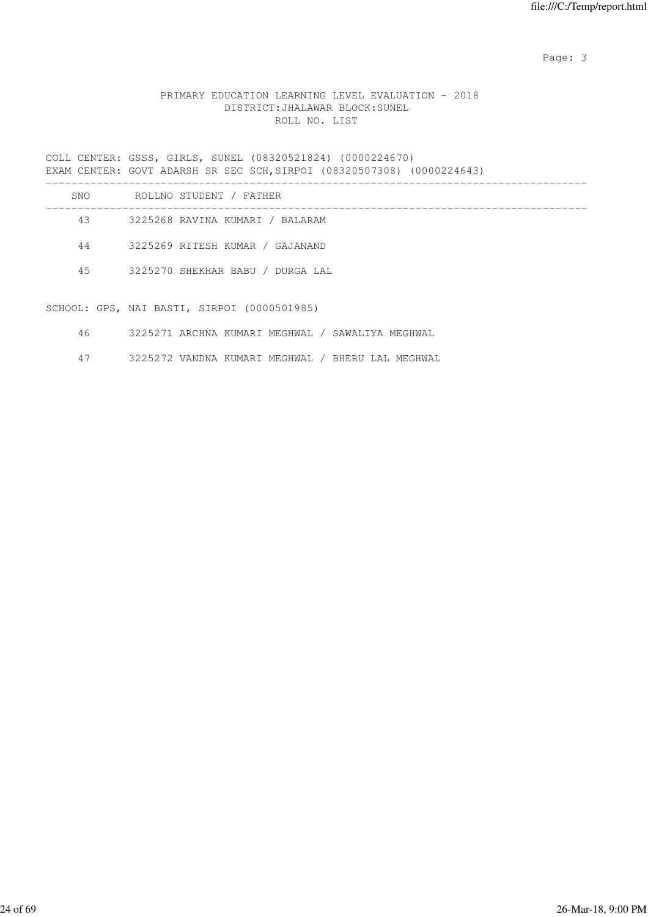# PRIMARY EDUCATION LEARNING LEVEL EVALUATION - 2018 DISTRICT:JHALAWAR BLOCK:SUNEL ROLL NO. LIST

COLL CENTER: GSSS, GIRLS, SUNEL (08320521824) (0000224670) EXAM CENTER: GOVT ADARSH SR SEC SCH,SIRPOI (08320507308) (0000224643) -------------------------------------------------------------------------------------

| SNO | ROLLNO STUDENT / FATHER          |
|-----|----------------------------------|
| 43  | 3225268 RAVINA KUMARI / BALARAM  |
| 44  | 3225269 RITESH KUMAR / GAJANAND  |
| 45  | 3225270 SHEKHAR BABU / DURGA LAL |
|     |                                  |

SCHOOL: GPS, NAI BASTI, SIRPOI (0000501985)

- 46 3225271 ARCHNA KUMARI MEGHWAL / SAWALIYA MEGHWAL
- 47 3225272 VANDNA KUMARI MEGHWAL / BHERU LAL MEGHWAL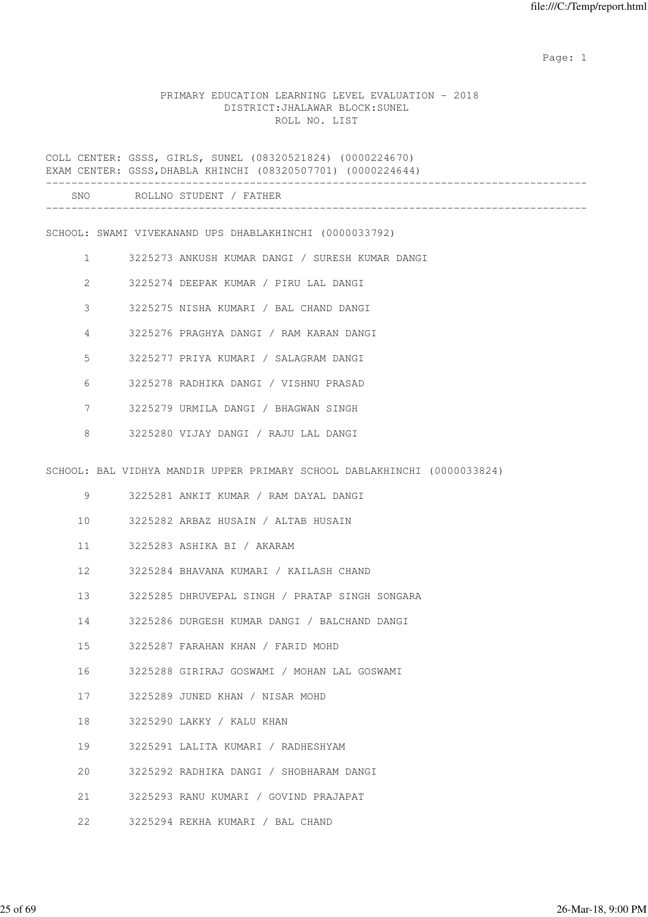expected to the control of the control of the control of the control of the control of the control of the control of the control of the control of the control of the control of the control of the control of the control of

### PRIMARY EDUCATION LEARNING LEVEL EVALUATION - 2018 DISTRICT:JHALAWAR BLOCK:SUNEL ROLL NO. LIST

COLL CENTER: GSSS, GIRLS, SUNEL (08320521824) (0000224670) EXAM CENTER: GSSS,DHABLA KHINCHI (08320507701) (0000224644)

SCHOOL: SWAMI VIVEKANAND UPS DHABLAKHINCHI (0000033792)

- 1 3225273 ANKUSH KUMAR DANGI / SURESH KUMAR DANGI
- 2 3225274 DEEPAK KUMAR / PIRU LAL DANGI
- 3 3225275 NISHA KUMARI / BAL CHAND DANGI
- 4 3225276 PRAGHYA DANGI / RAM KARAN DANGI
- 5 3225277 PRIYA KUMARI / SALAGRAM DANGI
- 6 3225278 RADHIKA DANGI / VISHNU PRASAD
- 7 3225279 URMILA DANGI / BHAGWAN SINGH
- 8 3225280 VIJAY DANGI / RAJU LAL DANGI

SCHOOL: BAL VIDHYA MANDIR UPPER PRIMARY SCHOOL DABLAKHINCHI (0000033824)

- 9 3225281 ANKIT KUMAR / RAM DAYAL DANGI
- 10 3225282 ARBAZ HUSAIN / ALTAB HUSAIN
- 11 3225283 ASHIKA BI / AKARAM
- 12 3225284 BHAVANA KUMARI / KAILASH CHAND
- 13 3225285 DHRUVEPAL SINGH / PRATAP SINGH SONGARA
- 14 3225286 DURGESH KUMAR DANGI / BALCHAND DANGI
- 15 3225287 FARAHAN KHAN / FARID MOHD
- 16 3225288 GIRIRAJ GOSWAMI / MOHAN LAL GOSWAMI
- 17 3225289 JUNED KHAN / NISAR MOHD
- 18 3225290 LAKKY / KALU KHAN
- 19 3225291 LALITA KUMARI / RADHESHYAM
- 20 3225292 RADHIKA DANGI / SHOBHARAM DANGI
- 21 3225293 RANU KUMARI / GOVIND PRAJAPAT
- 22 3225294 REKHA KUMARI / BAL CHAND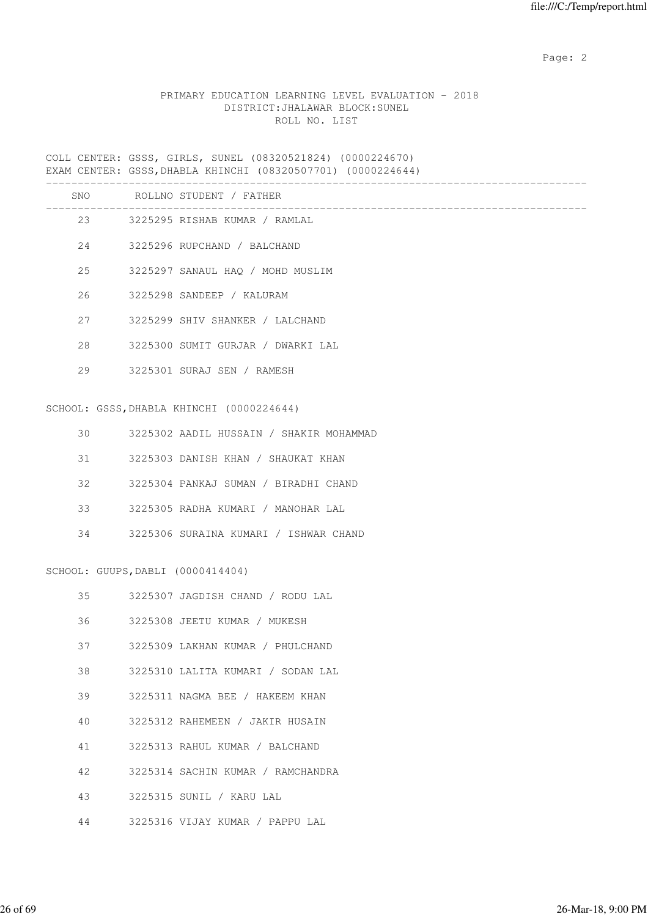### PRIMARY EDUCATION LEARNING LEVEL EVALUATION - 2018 DISTRICT:JHALAWAR BLOCK:SUNEL ROLL NO. LIST

COLL CENTER: GSSS, GIRLS, SUNEL (08320521824) (0000224670) EXAM CENTER: GSSS,DHABLA KHINCHI (08320507701) (0000224644)

| SNO | ROLLNO STUDENT / FATHER           |
|-----|-----------------------------------|
|     | 23 3225295 RISHAB KUMAR / RAMLAL  |
|     | 24 3225296 RUPCHAND / BALCHAND    |
| 25  | 3225297 SANAUL HAO / MOHD MUSLIM  |
|     | 26 3225298 SANDEEP / KALURAM      |
| 27  | 3225299 SHIV SHANKER / LALCHAND   |
| 2.8 | 3225300 SUMIT GURJAR / DWARKI LAL |
| 29  | 3225301 SURAJ SEN / RAMESH        |
|     |                                   |

### SCHOOL: GSSS,DHABLA KHINCHI (0000224644)

| 30  | 3225302 AADIL HUSSAIN / SHAKIR MOHAMMAD |
|-----|-----------------------------------------|
| 31  | 3225303 DANISH KHAN / SHAUKAT KHAN      |
| 32. | 3225304 PANKAJ SUMAN / BIRADHI CHAND    |
| 33  | 3225305 RADHA KUMARI / MANOHAR LAL      |
| 34  | 3225306 SURAINA KUMARI / ISHWAR CHAND   |

# SCHOOL: GUUPS,DABLI (0000414404)

| 35 | 3225307 JAGDISH CHAND / RODU LAL  |
|----|-----------------------------------|
| 36 | 3225308 JEETU KUMAR / MUKESH      |
| 37 | 3225309 LAKHAN KUMAR / PHULCHAND  |
| 38 | 3225310 LALITA KUMARI / SODAN LAL |
| 39 | 3225311 NAGMA BEE / HAKEEM KHAN   |
| 40 | 3225312 RAHEMEEN / JAKIR HUSAIN   |
| 41 | 3225313 RAHUL KUMAR / BALCHAND    |
| 42 | 3225314 SACHIN KUMAR / RAMCHANDRA |
| 43 | 3225315 SUNIL / KARU LAL          |
| 44 | 3225316 VIJAY KUMAR / PAPPU LAL   |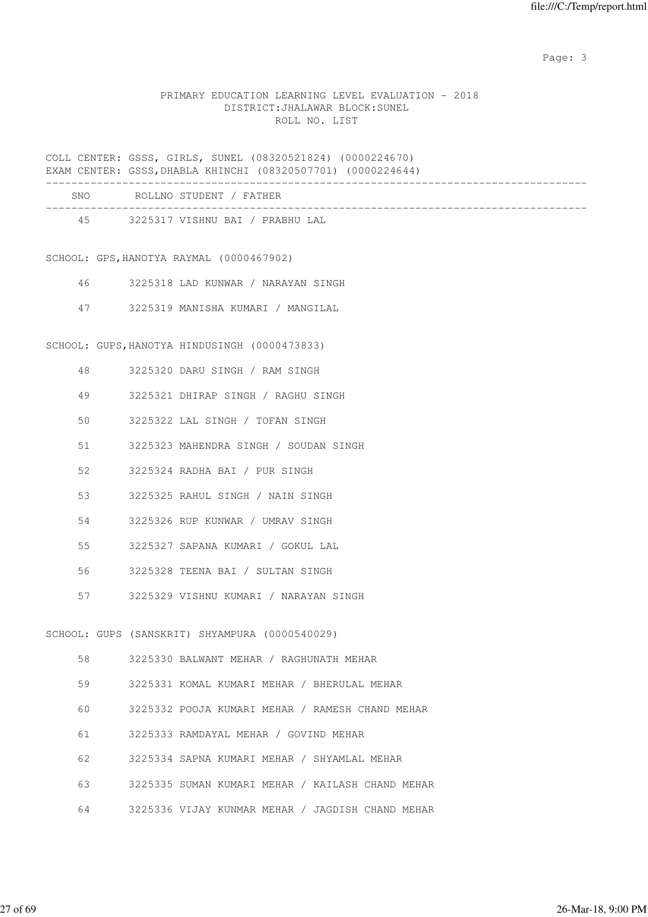#### PRIMARY EDUCATION LEARNING LEVEL EVALUATION - 2018 DISTRICT:JHALAWAR BLOCK:SUNEL ROLL NO. LIST

COLL CENTER: GSSS, GIRLS, SUNEL (08320521824) (0000224670) EXAM CENTER: GSSS,DHABLA KHINCHI (08320507701) (0000224644)

| SNO | ROLLNO STUDENT / FATHER         |
|-----|---------------------------------|
| 45  | 3225317 VISHNU BAI / PRABHU LAL |

SCHOOL: GPS,HANOTYA RAYMAL (0000467902)

- 46 3225318 LAD KUNWAR / NARAYAN SINGH
- 47 3225319 MANISHA KUMARI / MANGILAL

SCHOOL: GUPS,HANOTYA HINDUSINGH (0000473833)

- 48 3225320 DARU SINGH / RAM SINGH
- 49 3225321 DHIRAP SINGH / RAGHU SINGH
- 50 3225322 LAL SINGH / TOFAN SINGH
- 51 3225323 MAHENDRA SINGH / SOUDAN SINGH
- 52 3225324 RADHA BAI / PUR SINGH
- 53 3225325 RAHUL SINGH / NAIN SINGH
- 54 3225326 RUP KUNWAR / UMRAV SINGH
- 55 3225327 SAPANA KUMARI / GOKUL LAL
- 56 3225328 TEENA BAI / SULTAN SINGH
- 57 3225329 VISHNU KUMARI / NARAYAN SINGH

SCHOOL: GUPS (SANSKRIT) SHYAMPURA (0000540029)

| 58 | 3225330 BALWANT MEHAR / RAGHUNATH MEHAR          |
|----|--------------------------------------------------|
| 59 | 3225331 KOMAL KUMARI MEHAR / BHERULAL MEHAR      |
| 60 | 3225332 POOJA KUMARI MEHAR / RAMESH CHAND MEHAR  |
| 61 | 3225333 RAMDAYAL MEHAR / GOVIND MEHAR            |
| 62 | 3225334 SAPNA KUMARI MEHAR / SHYAMLAL MEHAR      |
| 63 | 3225335 SUMAN KUMARI MEHAR / KAILASH CHAND MEHAR |
| 64 | 3225336 VIJAY KUNMAR MEHAR / JAGDISH CHAND MEHAR |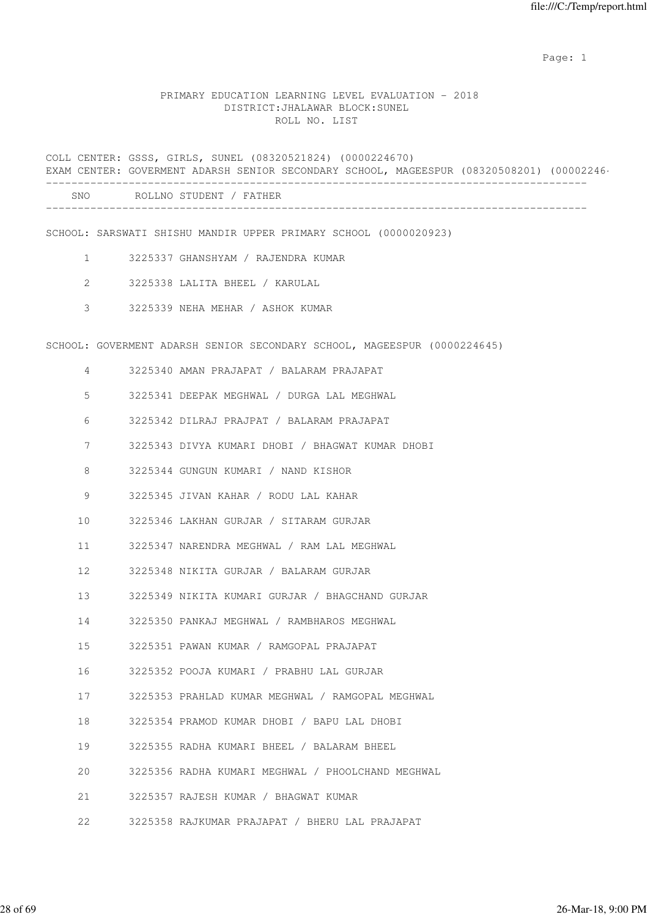expected to the control of the control of the control of the control of the control of the control of the control of the control of the control of the control of the control of the control of the control of the control of

#### PRIMARY EDUCATION LEARNING LEVEL EVALUATION - 2018 DISTRICT:JHALAWAR BLOCK:SUNEL ROLL NO. LIST

COLL CENTER: GSSS, GIRLS, SUNEL (08320521824) (0000224670) EXAM CENTER: GOVERMENT ADARSH SENIOR SECONDARY SCHOOL, MAGEESPUR (08320508201) (00002246 ------------------------------------------------------------------------------------- SNO ROLLNO STUDENT / FATHER ------------------------------------------------------------------------------------- SCHOOL: SARSWATI SHISHU MANDIR UPPER PRIMARY SCHOOL (0000020923) 1 3225337 GHANSHYAM / RAJENDRA KUMAR 2 3225338 LALITA BHEEL / KARULAL 3 3225339 NEHA MEHAR / ASHOK KUMAR SCHOOL: GOVERMENT ADARSH SENIOR SECONDARY SCHOOL, MAGEESPUR (0000224645) 4 3225340 AMAN PRAJAPAT / BALARAM PRAJAPAT 5 3225341 DEEPAK MEGHWAL / DURGA LAL MEGHWAL 6 3225342 DILRAJ PRAJPAT / BALARAM PRAJAPAT 7 3225343 DIVYA KUMARI DHOBI / BHAGWAT KUMAR DHOBI 8 3225344 GUNGUN KUMARI / NAND KISHOR 9 3225345 JIVAN KAHAR / RODU LAL KAHAR 10 3225346 LAKHAN GURJAR / SITARAM GURJAR 11 3225347 NARENDRA MEGHWAL / RAM LAL MEGHWAL 12 3225348 NIKITA GURJAR / BALARAM GURJAR 13 3225349 NIKITA KUMARI GURJAR / BHAGCHAND GURJAR 14 3225350 PANKAJ MEGHWAL / RAMBHAROS MEGHWAL 15 3225351 PAWAN KUMAR / RAMGOPAL PRAJAPAT 16 3225352 POOJA KUMARI / PRABHU LAL GURJAR 17 3225353 PRAHLAD KUMAR MEGHWAL / RAMGOPAL MEGHWAL 18 3225354 PRAMOD KUMAR DHOBI / BAPU LAL DHOBI 19 3225355 RADHA KUMARI BHEEL / BALARAM BHEEL 20 3225356 RADHA KUMARI MEGHWAL / PHOOLCHAND MEGHWAL 21 3225357 RAJESH KUMAR / BHAGWAT KUMAR 22 3225358 RAJKUMAR PRAJAPAT / BHERU LAL PRAJAPAT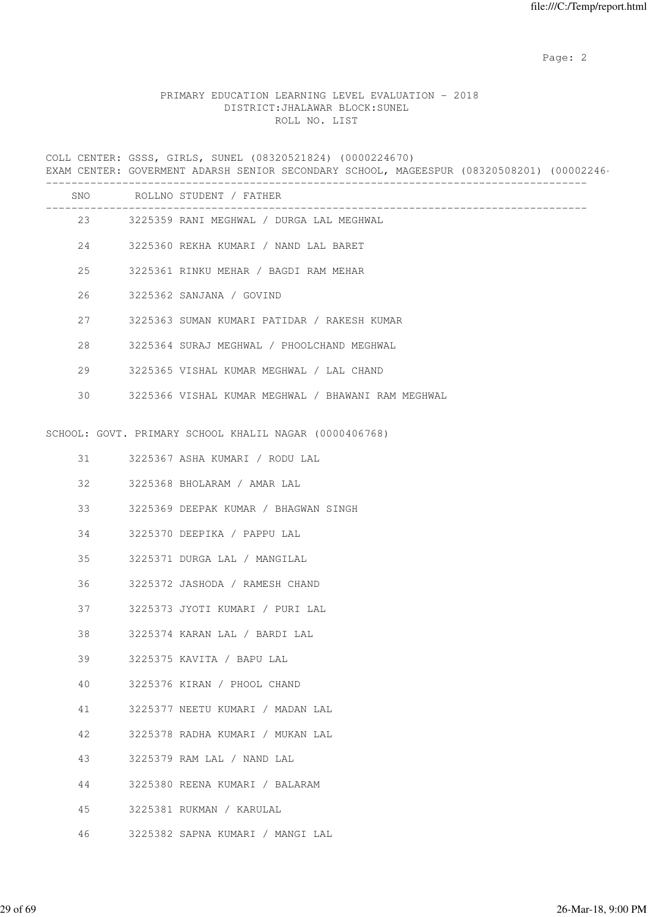# PRIMARY EDUCATION LEARNING LEVEL EVALUATION - 2018 DISTRICT:JHALAWAR BLOCK:SUNEL ROLL NO. LIST

COLL CENTER: GSSS, GIRLS, SUNEL (08320521824) (0000224670) EXAM CENTER: GOVERMENT ADARSH SENIOR SECONDARY SCHOOL, MAGEESPUR (08320508201) (00002246

|    |    | SNO ROLLNO STUDENT / FATHER<br>___________________________ |
|----|----|------------------------------------------------------------|
|    |    | 23 3225359 RANI MEGHWAL / DURGA LAL MEGHWAL                |
|    |    | 24 3225360 REKHA KUMARI / NAND LAL BARET                   |
| 25 |    | 3225361 RINKU MEHAR / BAGDI RAM MEHAR                      |
| 26 |    | 3225362 SANJANA / GOVIND                                   |
|    | 27 | 3225363 SUMAN KUMARI PATIDAR / RAKESH KUMAR                |
| 28 |    | 3225364 SURAJ MEGHWAL / PHOOLCHAND MEGHWAL                 |
| 29 |    | 3225365 VISHAL KUMAR MEGHWAL / LAL CHAND                   |
| 30 |    | 3225366 VISHAL KUMAR MEGHWAL / BHAWANI RAM MEGHWAL         |
|    |    | SCHOOL: GOVT. PRIMARY SCHOOL KHALIL NAGAR (0000406768)     |
|    | 31 | 3225367 ASHA KUMARI / RODU LAL                             |
| 32 |    | 3225368 BHOLARAM / AMAR LAL                                |
| 33 |    | 3225369 DEEPAK KUMAR / BHAGWAN SINGH                       |
| 34 |    | 3225370 DEEPIKA / PAPPU LAL                                |
| 35 |    | 3225371 DURGA LAL / MANGILAL                               |
| 36 |    | 3225372 JASHODA / RAMESH CHAND                             |
| 37 |    | 3225373 JYOTI KUMARI / PURI LAL                            |
| 38 |    | 3225374 KARAN LAL / BARDI LAL                              |
| 39 |    | 3225375 KAVITA / BAPU LAL                                  |
| 40 |    | 3225376 KIRAN / PHOOL CHAND                                |
| 41 |    | 3225377 NEETU KUMARI / MADAN LAL                           |
| 42 |    | 3225378 RADHA KUMARI / MUKAN LAL                           |
| 43 |    | 3225379 RAM LAL / NAND LAL                                 |
| 44 |    | 3225380 REENA KUMARI / BALARAM                             |
| 45 |    | 3225381 RUKMAN / KARULAL                                   |
| 46 |    | 3225382 SAPNA KUMARI / MANGI LAL                           |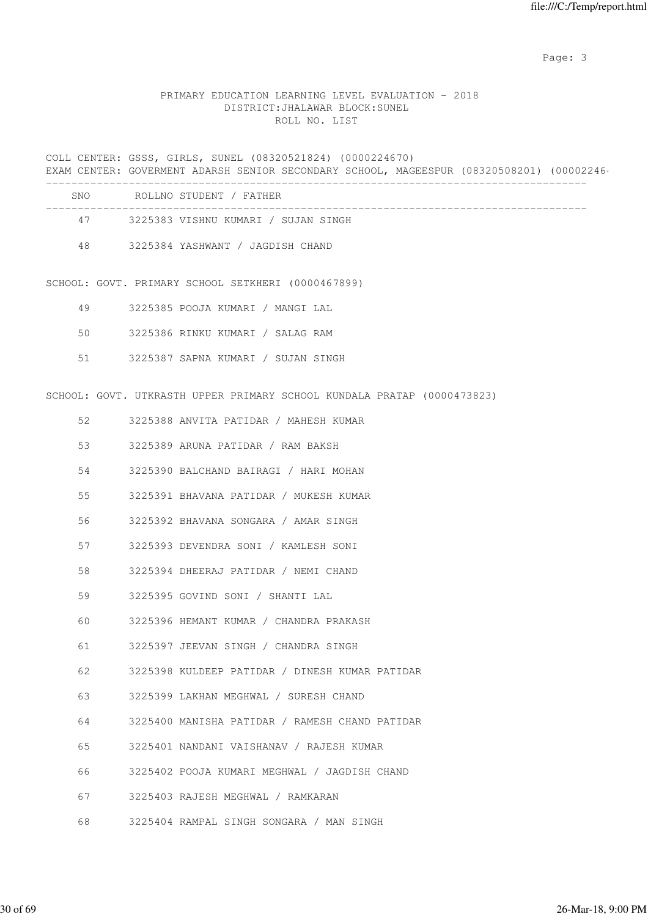# PRIMARY EDUCATION LEARNING LEVEL EVALUATION - 2018 DISTRICT:JHALAWAR BLOCK:SUNEL ROLL NO. LIST

COLL CENTER: GSSS, GIRLS, SUNEL (08320521824) (0000224670) EXAM CENTER: GOVERMENT ADARSH SENIOR SECONDARY SCHOOL, MAGEESPUR (08320508201) (00002246 ------------------------------------------------------------------------------------- SNO ROLLNO STUDENT / FATHER ------------------------------------------------------------------------------------- 47 3225383 VISHNU KUMARI / SUJAN SINGH 48 3225384 YASHWANT / JAGDISH CHAND SCHOOL: GOVT. PRIMARY SCHOOL SETKHERI (0000467899) 49 3225385 POOJA KUMARI / MANGI LAL 50 3225386 RINKU KUMARI / SALAG RAM 51 3225387 SAPNA KUMARI / SUJAN SINGH SCHOOL: GOVT. UTKRASTH UPPER PRIMARY SCHOOL KUNDALA PRATAP (0000473823) 52 3225388 ANVITA PATIDAR / MAHESH KUMAR 53 3225389 ARUNA PATIDAR / RAM BAKSH 54 3225390 BALCHAND BAIRAGI / HARI MOHAN 55 3225391 BHAVANA PATIDAR / MUKESH KUMAR 56 3225392 BHAVANA SONGARA / AMAR SINGH 57 3225393 DEVENDRA SONI / KAMLESH SONI 58 3225394 DHEERAJ PATIDAR / NEMI CHAND 59 3225395 GOVIND SONI / SHANTI LAL 60 3225396 HEMANT KUMAR / CHANDRA PRAKASH 61 3225397 JEEVAN SINGH / CHANDRA SINGH 62 3225398 KULDEEP PATIDAR / DINESH KUMAR PATIDAR 63 3225399 LAKHAN MEGHWAL / SURESH CHAND 64 3225400 MANISHA PATIDAR / RAMESH CHAND PATIDAR 65 3225401 NANDANI VAISHANAV / RAJESH KUMAR 66 3225402 POOJA KUMARI MEGHWAL / JAGDISH CHAND 67 3225403 RAJESH MEGHWAL / RAMKARAN 68 3225404 RAMPAL SINGH SONGARA / MAN SINGH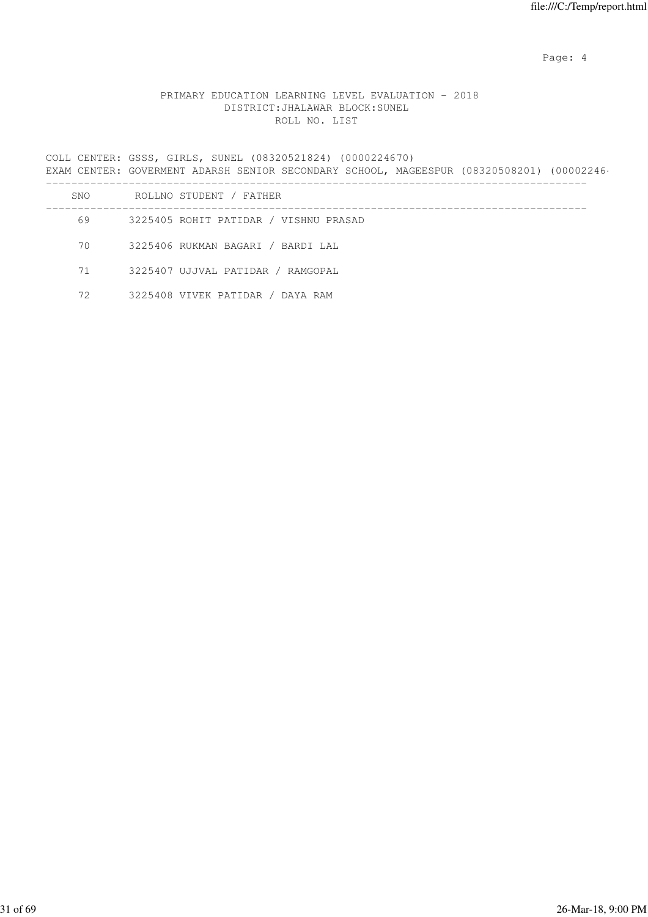Page: 4  $P$ 

# PRIMARY EDUCATION LEARNING LEVEL EVALUATION - 2018 DISTRICT:JHALAWAR BLOCK:SUNEL ROLL NO. LIST

COLL CENTER: GSSS, GIRLS, SUNEL (08320521824) (0000224670) EXAM CENTER: GOVERMENT ADARSH SENIOR SECONDARY SCHOOL, MAGEESPUR (08320508201) (00002246 -------------------------------------------------------------------------------------

| SNO | ROLLNO STUDENT / FATHER               |
|-----|---------------------------------------|
| 69  | 3225405 ROHIT PATIDAR / VISHNU PRASAD |
| 70  | 3225406 RUKMAN BAGARI / BARDI LAL     |
| 71  | 3225407 UJJVAL PATIDAR / RAMGOPAL     |
| 72  | 3225408 VIVEK PATIDAR / DAYA RAM      |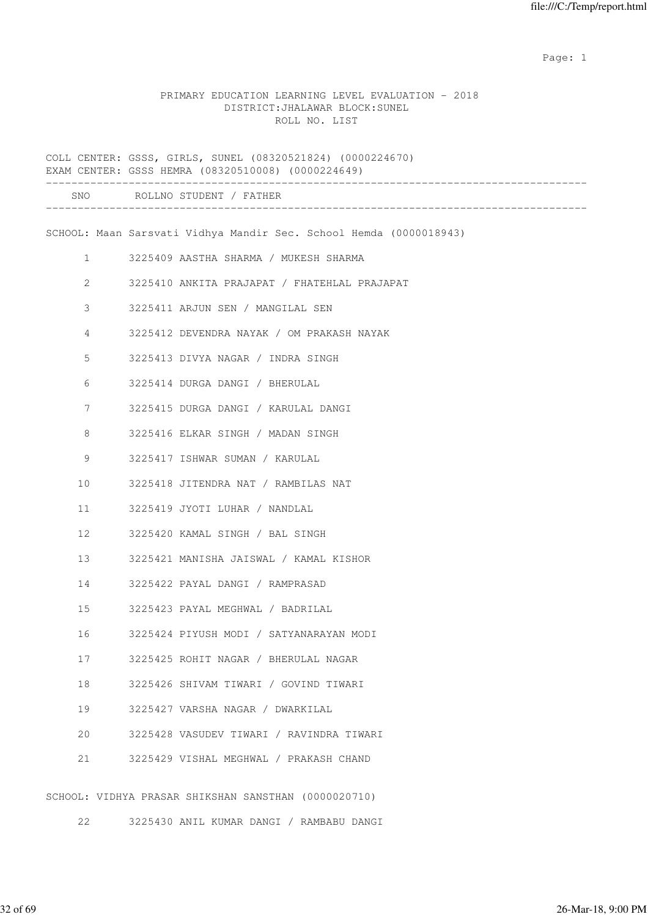expected to the control of the control of the control of the control of the control of the control of the control of the control of the control of the control of the control of the control of the control of the control of

#### PRIMARY EDUCATION LEARNING LEVEL EVALUATION - 2018 DISTRICT:JHALAWAR BLOCK:SUNEL ROLL NO. LIST

COLL CENTER: GSSS, GIRLS, SUNEL (08320521824) (0000224670) EXAM CENTER: GSSS HEMRA (08320510008) (0000224649) ------------------------------------------------------------------------------------- SNO ROLLNO STUDENT / FATHER ------------------------------------------------------------------------------------- SCHOOL: Maan Sarsvati Vidhya Mandir Sec. School Hemda (0000018943) 1 3225409 AASTHA SHARMA / MUKESH SHARMA 2 3225410 ANKITA PRAJAPAT / FHATEHLAL PRAJAPAT 3 3225411 ARJUN SEN / MANGILAL SEN 4 3225412 DEVENDRA NAYAK / OM PRAKASH NAYAK 5 3225413 DIVYA NAGAR / INDRA SINGH 6 3225414 DURGA DANGI / BHERULAL 7 3225415 DURGA DANGI / KARULAL DANGI 8 3225416 ELKAR SINGH / MADAN SINGH 9 3225417 ISHWAR SUMAN / KARULAL 10 3225418 JITENDRA NAT / RAMBILAS NAT 11 3225419 JYOTI LUHAR / NANDLAL 12 3225420 KAMAL SINGH / BAL SINGH 13 3225421 MANISHA JAISWAL / KAMAL KISHOR 14 3225422 PAYAL DANGI / RAMPRASAD 15 3225423 PAYAL MEGHWAL / BADRILAL 16 3225424 PIYUSH MODI / SATYANARAYAN MODI 17 3225425 ROHIT NAGAR / BHERULAL NAGAR 18 3225426 SHIVAM TIWARI / GOVIND TIWARI 19 3225427 VARSHA NAGAR / DWARKILAL 20 3225428 VASUDEV TIWARI / RAVINDRA TIWARI 21 3225429 VISHAL MEGHWAL / PRAKASH CHAND SCHOOL: VIDHYA PRASAR SHIKSHAN SANSTHAN (0000020710)

22 3225430 ANIL KUMAR DANGI / RAMBABU DANGI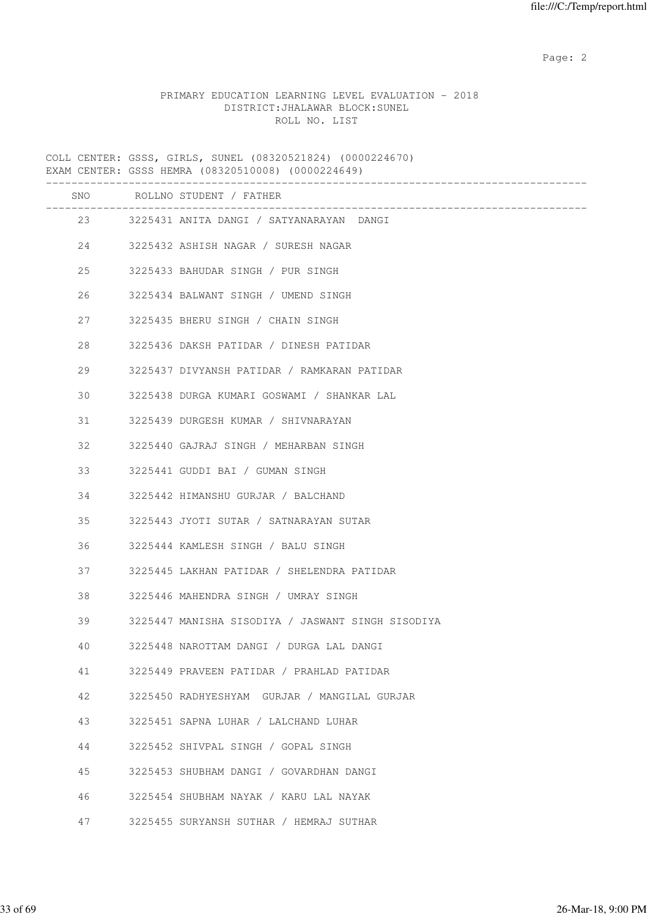# PRIMARY EDUCATION LEARNING LEVEL EVALUATION - 2018 DISTRICT:JHALAWAR BLOCK:SUNEL ROLL NO. LIST

COLL CENTER: GSSS, GIRLS, SUNEL (08320521824) (0000224670) EXAM CENTER: GSSS HEMRA (08320510008) (0000224649)

|    | SNO ROLLNO STUDENT / FATHER<br>-------------------- |
|----|-----------------------------------------------------|
|    | 23 3225431 ANITA DANGI / SATYANARAYAN DANGI         |
| 24 | 3225432 ASHISH NAGAR / SURESH NAGAR                 |
| 25 | 3225433 BAHUDAR SINGH / PUR SINGH                   |
| 26 | 3225434 BALWANT SINGH / UMEND SINGH                 |
| 27 | 3225435 BHERU SINGH / CHAIN SINGH                   |
| 28 | 3225436 DAKSH PATIDAR / DINESH PATIDAR              |
| 29 | 3225437 DIVYANSH PATIDAR / RAMKARAN PATIDAR         |
| 30 | 3225438 DURGA KUMARI GOSWAMI / SHANKAR LAL          |
| 31 | 3225439 DURGESH KUMAR / SHIVNARAYAN                 |
| 32 | 3225440 GAJRAJ SINGH / MEHARBAN SINGH               |
| 33 | 3225441 GUDDI BAI / GUMAN SINGH                     |
| 34 | 3225442 HIMANSHU GURJAR / BALCHAND                  |
| 35 | 3225443 JYOTI SUTAR / SATNARAYAN SUTAR              |
| 36 | 3225444 KAMLESH SINGH / BALU SINGH                  |
| 37 | 3225445 LAKHAN PATIDAR / SHELENDRA PATIDAR          |
| 38 | 3225446 MAHENDRA SINGH / UMRAY SINGH                |
| 39 | 3225447 MANISHA SISODIYA / JASWANT SINGH SISODIYA   |
| 40 | 3225448 NAROTTAM DANGI / DURGA LAL DANGI            |
| 41 | 3225449 PRAVEEN PATIDAR / PRAHLAD PATIDAR           |
| 42 | 3225450 RADHYESHYAM GURJAR / MANGILAL GURJAR        |
| 43 | 3225451 SAPNA LUHAR / LALCHAND LUHAR                |
| 44 | 3225452 SHIVPAL SINGH / GOPAL SINGH                 |
| 45 | 3225453 SHUBHAM DANGI / GOVARDHAN DANGI             |
| 46 | 3225454 SHUBHAM NAYAK / KARU LAL NAYAK              |
| 47 | 3225455 SURYANSH SUTHAR / HEMRAJ SUTHAR             |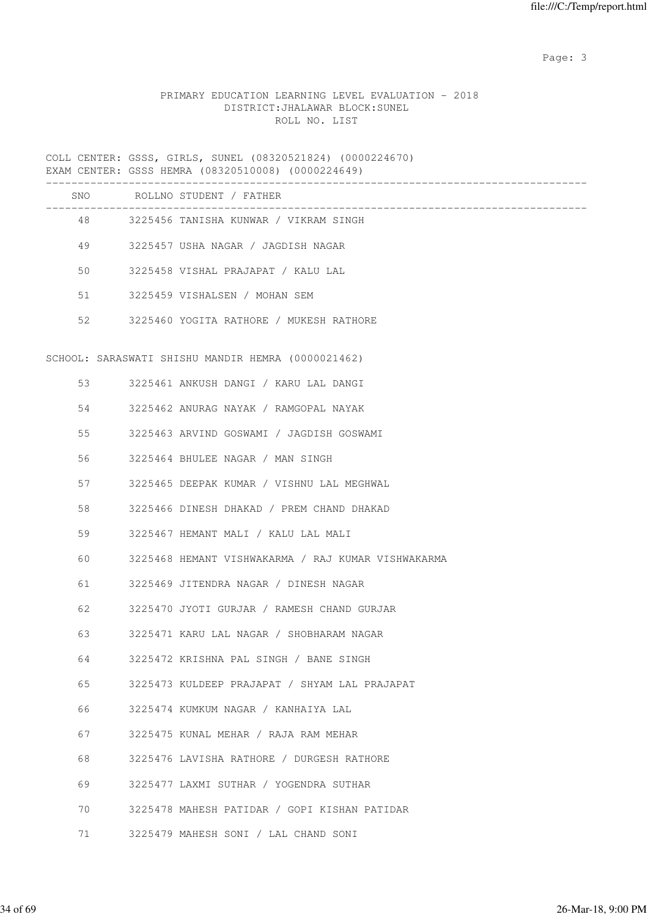# PRIMARY EDUCATION LEARNING LEVEL EVALUATION - 2018 DISTRICT:JHALAWAR BLOCK:SUNEL ROLL NO. LIST

COLL CENTER: GSSS, GIRLS, SUNEL (08320521824) (0000224670) EXAM CENTER: GSSS HEMRA (08320510008) (0000224649)

|    | SNO ROLLNO STUDENT / FATHER                        |
|----|----------------------------------------------------|
|    | 48 3225456 TANISHA KUNWAR / VIKRAM SINGH           |
| 49 | 3225457 USHA NAGAR / JAGDISH NAGAR                 |
| 50 | 3225458 VISHAL PRAJAPAT / KALU LAL                 |
| 51 | 3225459 VISHALSEN / MOHAN SEM                      |
| 52 | 3225460 YOGITA RATHORE / MUKESH RATHORE            |
|    | SCHOOL: SARASWATI SHISHU MANDIR HEMRA (0000021462) |
| 53 | 3225461 ANKUSH DANGI / KARU LAL DANGI              |
| 54 | 3225462 ANURAG NAYAK / RAMGOPAL NAYAK              |
| 55 | 3225463 ARVIND GOSWAMI / JAGDISH GOSWAMI           |
| 56 | 3225464 BHULEE NAGAR / MAN SINGH                   |
| 57 | 3225465 DEEPAK KUMAR / VISHNU LAL MEGHWAL          |
| 58 | 3225466 DINESH DHAKAD / PREM CHAND DHAKAD          |
| 59 | 3225467 HEMANT MALI / KALU LAL MALI                |
| 60 | 3225468 HEMANT VISHWAKARMA / RAJ KUMAR VISHWAKARMA |
| 61 | 3225469 JITENDRA NAGAR / DINESH NAGAR              |
| 62 | 3225470 JYOTI GURJAR / RAMESH CHAND GURJAR         |
| 63 | 3225471 KARU LAL NAGAR / SHOBHARAM NAGAR           |
| 64 | 3225472 KRISHNA PAL SINGH / BANE SINGH             |
| 65 | 3225473 KULDEEP PRAJAPAT / SHYAM LAL PRAJAPAT      |
| 66 | 3225474 KUMKUM NAGAR / KANHAIYA LAL                |
| 67 | 3225475 KUNAL MEHAR / RAJA RAM MEHAR               |
| 68 | 3225476 LAVISHA RATHORE / DURGESH RATHORE          |
| 69 | 3225477 LAXMI SUTHAR / YOGENDRA SUTHAR             |
| 70 | 3225478 MAHESH PATIDAR / GOPI KISHAN PATIDAR       |
| 71 | 3225479 MAHESH SONI / LAL CHAND SONI               |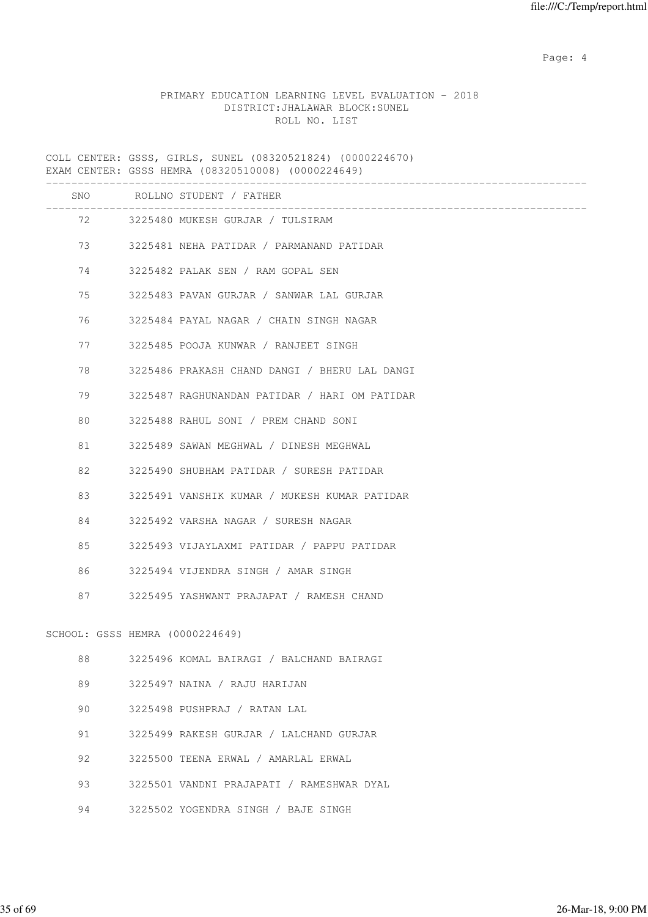Page: 4  $P$ 

# PRIMARY EDUCATION LEARNING LEVEL EVALUATION - 2018 DISTRICT:JHALAWAR BLOCK:SUNEL ROLL NO. LIST

COLL CENTER: GSSS, GIRLS, SUNEL (08320521824) (0000224670) EXAM CENTER: GSSS HEMRA (08320510008) (0000224649)

|    |                                 | SNO ROLLNO STUDENT / FATHER                                |
|----|---------------------------------|------------------------------------------------------------|
|    |                                 | ___________________<br>72 3225480 MUKESH GURJAR / TULSIRAM |
|    | 73 — 17                         | 3225481 NEHA PATIDAR / PARMANAND PATIDAR                   |
| 74 |                                 | 3225482 PALAK SEN / RAM GOPAL SEN                          |
| 75 |                                 | 3225483 PAVAN GURJAR / SANWAR LAL GURJAR                   |
| 76 |                                 | 3225484 PAYAL NAGAR / CHAIN SINGH NAGAR                    |
| 77 |                                 | 3225485 POOJA KUNWAR / RANJEET SINGH                       |
| 78 |                                 | 3225486 PRAKASH CHAND DANGI / BHERU LAL DANGI              |
| 79 |                                 | 3225487 RAGHUNANDAN PATIDAR / HARI OM PATIDAR              |
| 80 |                                 | 3225488 RAHUL SONI / PREM CHAND SONI                       |
| 81 |                                 | 3225489 SAWAN MEGHWAL / DINESH MEGHWAL                     |
| 82 |                                 | 3225490 SHUBHAM PATIDAR / SURESH PATIDAR                   |
| 83 |                                 | 3225491 VANSHIK KUMAR / MUKESH KUMAR PATIDAR               |
| 84 |                                 | 3225492 VARSHA NAGAR / SURESH NAGAR                        |
| 85 |                                 | 3225493 VIJAYLAXMI PATIDAR / PAPPU PATIDAR                 |
| 86 |                                 | 3225494 VIJENDRA SINGH / AMAR SINGH                        |
| 87 |                                 | 3225495 YASHWANT PRAJAPAT / RAMESH CHAND                   |
|    | SCHOOL: GSSS HEMRA (0000224649) |                                                            |
| 88 |                                 | 3225496 KOMAL BAIRAGI / BALCHAND BAIRAGI                   |
| 89 |                                 | 3225497 NAINA / RAJU HARIJAN                               |
| 90 |                                 | 3225498 PUSHPRAJ / RATAN LAL                               |
| 91 |                                 | 3225499 RAKESH GURJAR / LALCHAND GURJAR                    |
| 92 |                                 | 3225500 TEENA ERWAL / AMARLAL ERWAL                        |
| 93 |                                 | 3225501 VANDNI PRAJAPATI / RAMESHWAR DYAL                  |
|    |                                 |                                                            |

94 3225502 YOGENDRA SINGH / BAJE SINGH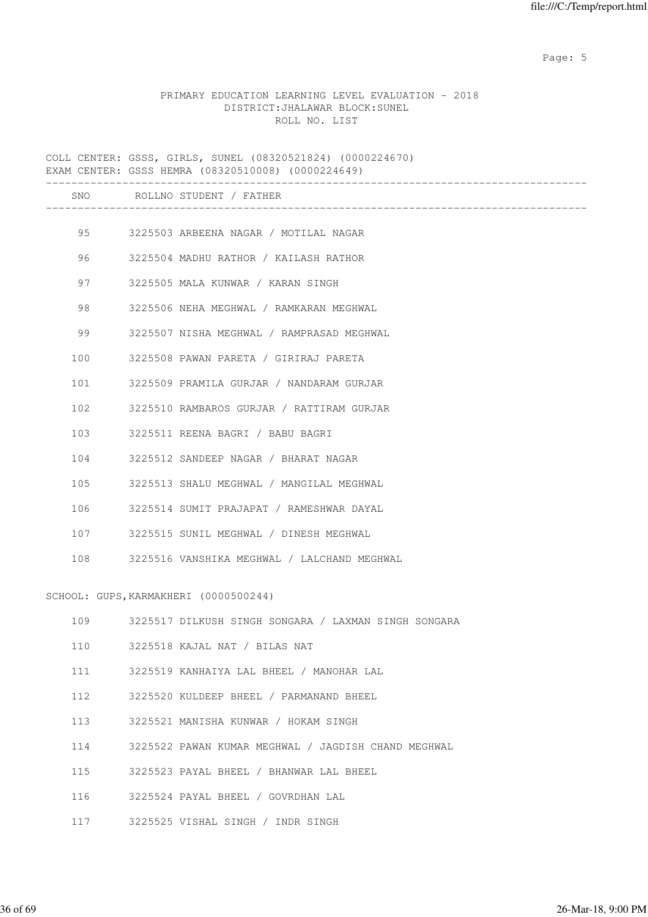Page: 5  $P$  and  $P$  and  $P$  and  $P$  and  $P$  and  $P$  and  $P$  and  $P$  and  $P$  and  $P$  and  $P$  and  $P$  and  $P$  and  $P$  and  $P$  and  $P$  and  $P$  and  $P$  and  $P$  and  $P$  and  $P$  and  $P$  and  $P$  and  $P$  and  $P$  and  $P$  and  $P$  an

#### PRIMARY EDUCATION LEARNING LEVEL EVALUATION - 2018 DISTRICT:JHALAWAR BLOCK:SUNEL ROLL NO. LIST

COLL CENTER: GSSS, GIRLS, SUNEL (08320521824) (0000224670) EXAM CENTER: GSSS HEMRA (08320510008) (0000224649) ------------------------------------------------------------------------------------- SNO ROLLNO STUDENT / FATHER ------------------------------------------------------------------------------------- 95 3225503 ARBEENA NAGAR / MOTILAL NAGAR 96 3225504 MADHU RATHOR / KAILASH RATHOR 97 3225505 MALA KUNWAR / KARAN SINGH 98 3225506 NEHA MEGHWAL / RAMKARAN MEGHWAL 99 3225507 NISHA MEGHWAL / RAMPRASAD MEGHWAL 100 3225508 PAWAN PARETA / GIRIRAJ PARETA 101 3225509 PRAMILA GURJAR / NANDARAM GURJAR 102 3225510 RAMBAROS GURJAR / RATTIRAM GURJAR 103 3225511 REENA BAGRI / BABU BAGRI 104 3225512 SANDEEP NAGAR / BHARAT NAGAR 105 3225513 SHALU MEGHWAL / MANGILAL MEGHWAL 106 3225514 SUMIT PRAJAPAT / RAMESHWAR DAYAL 107 3225515 SUNIL MEGHWAL / DINESH MEGHWAL 108 3225516 VANSHIKA MEGHWAL / LALCHAND MEGHWAL SCHOOL: GUPS,KARMAKHERI (0000500244) 109 3225517 DILKUSH SINGH SONGARA / LAXMAN SINGH SONGARA 110 3225518 KAJAL NAT / BILAS NAT 111 3225519 KANHAIYA LAL BHEEL / MANOHAR LAL 112 3225520 KULDEEP BHEEL / PARMANAND BHEEL 113 3225521 MANISHA KUNWAR / HOKAM SINGH 114 3225522 PAWAN KUMAR MEGHWAL / JAGDISH CHAND MEGHWAL 115 3225523 PAYAL BHEEL / BHANWAR LAL BHEEL 116 3225524 PAYAL BHEEL / GOVRDHAN LAL

117 3225525 VISHAL SINGH / INDR SINGH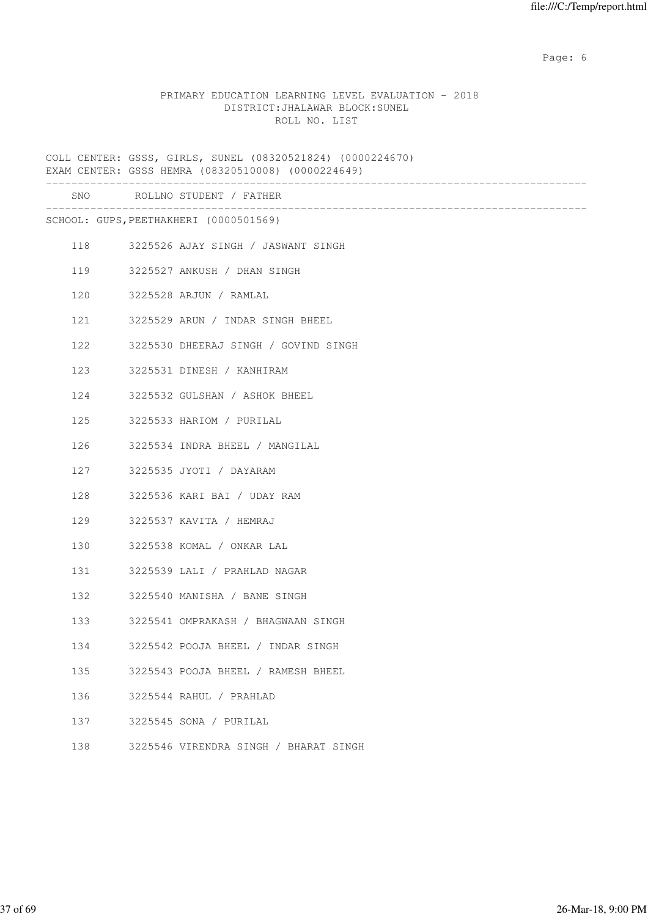Page: 6  $P$  and  $P$  and  $P$  and  $P$  and  $P$  and  $P$  and  $P$  and  $P$  and  $P$  and  $P$  and  $P$  and  $P$  and  $P$  and  $P$  and  $P$  and  $P$  and  $P$  and  $P$  and  $P$  and  $P$  and  $P$  and  $P$  and  $P$  and  $P$  and  $P$  and  $P$  and  $P$  an

## PRIMARY EDUCATION LEARNING LEVEL EVALUATION - 2018 DISTRICT:JHALAWAR BLOCK:SUNEL ROLL NO. LIST

COLL CENTER: GSSS, GIRLS, SUNEL (08320521824) (0000224670) EXAM CENTER: GSSS HEMRA (08320510008) (0000224649) ------------------------------------------------------------------------------------- SNO ROLLNO STUDENT / FATHER ------------------------------------------------------------------------------------- SCHOOL: GUPS,PEETHAKHERI (0000501569) 118 3225526 AJAY SINGH / JASWANT SINGH 119 3225527 ANKUSH / DHAN SINGH 120 3225528 ARJUN / RAMLAL 121 3225529 ARUN / INDAR SINGH BHEEL 122 3225530 DHEERAJ SINGH / GOVIND SINGH 123 3225531 DINESH / KANHIRAM 124 3225532 GULSHAN / ASHOK BHEEL 125 3225533 HARIOM / PURILAL 126 3225534 INDRA BHEEL / MANGILAL 127 3225535 JYOTI / DAYARAM 128 3225536 KARI BAI / UDAY RAM 129 3225537 KAVITA / HEMRAJ 130 3225538 KOMAL / ONKAR LAL 131 3225539 LALI / PRAHLAD NAGAR 132 3225540 MANISHA / BANE SINGH 133 3225541 OMPRAKASH / BHAGWAAN SINGH 134 3225542 POOJA BHEEL / INDAR SINGH 135 3225543 POOJA BHEEL / RAMESH BHEEL 136 3225544 RAHUL / PRAHLAD 137 3225545 SONA / PURILAL 138 3225546 VIRENDRA SINGH / BHARAT SINGH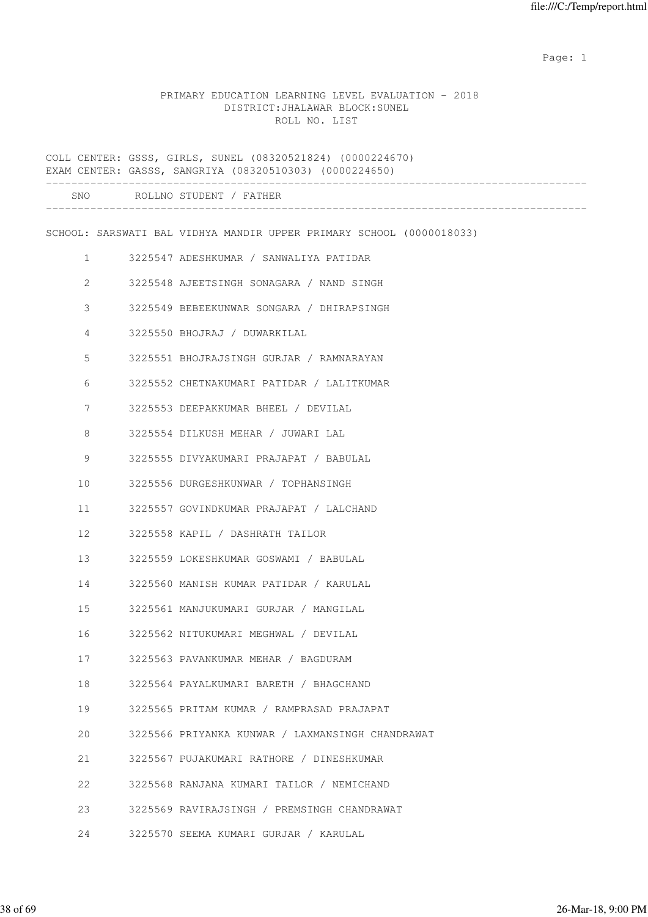expected to the control of the control of the control of the control of the control of the control of the control of the control of the control of the control of the control of the control of the control of the control of

#### PRIMARY EDUCATION LEARNING LEVEL EVALUATION - 2018 DISTRICT:JHALAWAR BLOCK:SUNEL ROLL NO. LIST

COLL CENTER: GSSS, GIRLS, SUNEL (08320521824) (0000224670) EXAM CENTER: GASSS, SANGRIYA (08320510303) (0000224650) ------------------------------------------------------------------------------------- SNO ROLLNO STUDENT / FATHER ------------------------------------------------------------------------------------- SCHOOL: SARSWATI BAL VIDHYA MANDIR UPPER PRIMARY SCHOOL (0000018033) 1 3225547 ADESHKUMAR / SANWALIYA PATIDAR 2 3225548 AJEETSINGH SONAGARA / NAND SINGH 3 3225549 BEBEEKUNWAR SONGARA / DHIRAPSINGH 4 3225550 BHOJRAJ / DUWARKILAL 5 3225551 BHOJRAJSINGH GURJAR / RAMNARAYAN 6 3225552 CHETNAKUMARI PATIDAR / LALITKUMAR 7 3225553 DEEPAKKUMAR BHEEL / DEVILAL 8 3225554 DILKUSH MEHAR / JUWARI LAL 9 3225555 DIVYAKUMARI PRAJAPAT / BABULAL 10 3225556 DURGESHKUNWAR / TOPHANSINGH 11 3225557 GOVINDKUMAR PRAJAPAT / LALCHAND 12 3225558 KAPIL / DASHRATH TAILOR 13 3225559 LOKESHKUMAR GOSWAMI / BABULAL 14 3225560 MANISH KUMAR PATIDAR / KARULAL 15 3225561 MANJUKUMARI GURJAR / MANGILAL 16 3225562 NITUKUMARI MEGHWAL / DEVILAL 17 3225563 PAVANKUMAR MEHAR / BAGDURAM 18 3225564 PAYALKUMARI BARETH / BHAGCHAND 19 3225565 PRITAM KUMAR / RAMPRASAD PRAJAPAT 20 3225566 PRIYANKA KUNWAR / LAXMANSINGH CHANDRAWAT 21 3225567 PUJAKUMARI RATHORE / DINESHKUMAR 22 3225568 RANJANA KUMARI TAILOR / NEMICHAND 23 3225569 RAVIRAJSINGH / PREMSINGH CHANDRAWAT 24 3225570 SEEMA KUMARI GURJAR / KARULAL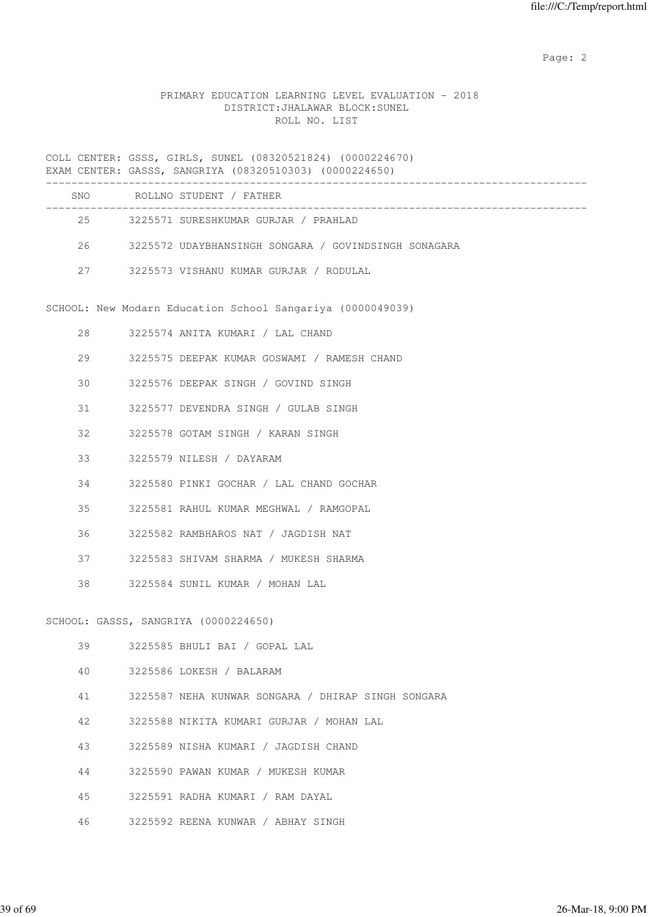# PRIMARY EDUCATION LEARNING LEVEL EVALUATION - 2018 DISTRICT:JHALAWAR BLOCK:SUNEL ROLL NO. LIST

COLL CENTER: GSSS, GIRLS, SUNEL (08320521824) (0000224670) EXAM CENTER: GASSS, SANGRIYA (08320510303) (0000224650)

| SNO. | ROLLNO STUDENT / FATHER                              |  |
|------|------------------------------------------------------|--|
| 2.5  | 3225571 SURESHKUMAR GURJAR / PRAHLAD                 |  |
| 26   | 3225572 UDAYBHANSINGH SONGARA / GOVINDSINGH SONAGARA |  |
| 27   | 3225573 VISHANU KUMAR GURJAR / RODULAL               |  |

SCHOOL: New Modarn Education School Sangariya (0000049039)

| 28 3225574 ANITA KUMARI / LAL CHAND            |
|------------------------------------------------|
| 29 3225575 DEEPAK KUMAR GOSWAMI / RAMESH CHAND |
| 30 3225576 DEEPAK SINGH / GOVIND SINGH         |
| 31 3225577 DEVENDRA SINGH / GULAB SINGH        |
| 32 3225578 GOTAM SINGH / KARAN SINGH           |
| 33 3225579 NILESH / DAYARAM                    |
| 34 3225580 PINKI GOCHAR / LAL CHAND GOCHAR     |
| 35 3225581 RAHUL KUMAR MEGHWAL / RAMGOPAL      |
| 36 3225582 RAMBHAROS NAT / JAGDISH NAT         |
| 37 3225583 SHIVAM SHARMA / MUKESH SHARMA       |
| 38 3225584 SUNIL KUMAR / MOHAN LAL             |
|                                                |
| SCHOOL: GASSS, SANGRIYA (0000224650)           |
| 39 3225585 BHULI BAI / GOPAL LAL               |

- 40 3225586 LOKESH / BALARAM
- 41 3225587 NEHA KUNWAR SONGARA / DHIRAP SINGH SONGARA
- 42 3225588 NIKITA KUMARI GURJAR / MOHAN LAL
- 43 3225589 NISHA KUMARI / JAGDISH CHAND
- 44 3225590 PAWAN KUMAR / MUKESH KUMAR
- 45 3225591 RADHA KUMARI / RAM DAYAL
- 46 3225592 REENA KUNWAR / ABHAY SINGH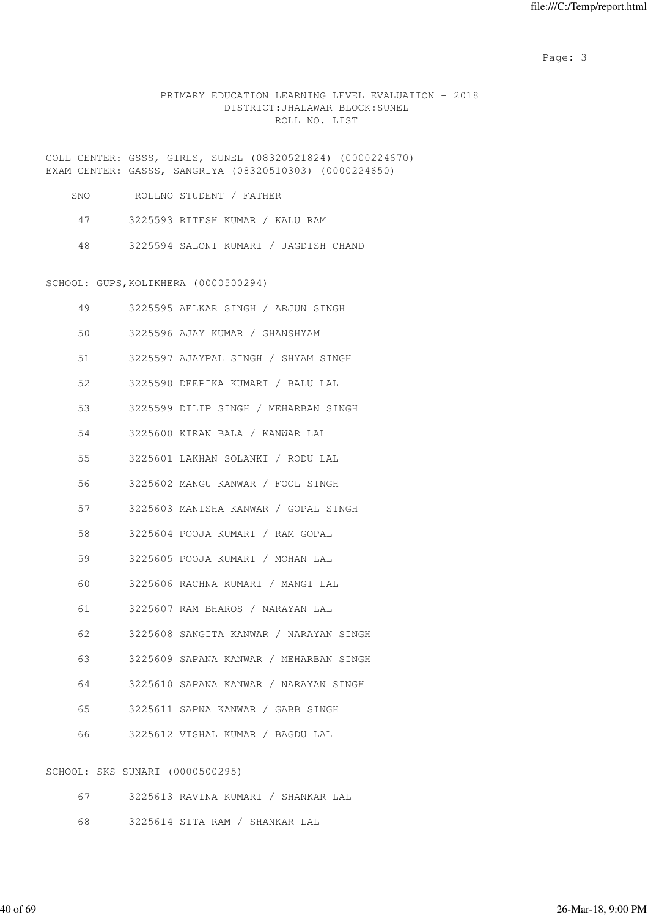# PRIMARY EDUCATION LEARNING LEVEL EVALUATION - 2018 DISTRICT:JHALAWAR BLOCK:SUNEL ROLL NO. LIST

COLL CENTER: GSSS, GIRLS, SUNEL (08320521824) (0000224670) EXAM CENTER: GASSS, SANGRIYA (08320510303) (0000224650)

| <b>SNO</b> | ROLLNO STUDENT / FATHER               |
|------------|---------------------------------------|
| 47         | 3225593 RITESH KUMAR / KALU RAM       |
| 48         | 3225594 SALONI KUMARI / JAGDISH CHAND |

SCHOOL: GUPS,KOLIKHERA (0000500294)

| 49 |  | 3225595 AELKAR SINGH / ARJUN SINGH     |
|----|--|----------------------------------------|
| 50 |  | 3225596 AJAY KUMAR / GHANSHYAM         |
| 51 |  | 3225597 AJAYPAL SINGH / SHYAM SINGH    |
| 52 |  | 3225598 DEEPIKA KUMARI / BALU LAL      |
| 53 |  | 3225599 DILIP SINGH / MEHARBAN SINGH   |
| 54 |  | 3225600 KIRAN BALA / KANWAR LAL        |
| 55 |  | 3225601 LAKHAN SOLANKI / RODU LAL      |
| 56 |  | 3225602 MANGU KANWAR / FOOL SINGH      |
| 57 |  | 3225603 MANISHA KANWAR / GOPAL SINGH   |
| 58 |  | 3225604 POOJA KUMARI / RAM GOPAL       |
| 59 |  | 3225605 POOJA KUMARI / MOHAN LAL       |
| 60 |  | 3225606 RACHNA KUMARI / MANGI LAL      |
| 61 |  | 3225607 RAM BHAROS / NARAYAN LAL       |
| 62 |  | 3225608 SANGITA KANWAR / NARAYAN SINGH |
| 63 |  | 3225609 SAPANA KANWAR / MEHARBAN SINGH |
| 64 |  | 3225610 SAPANA KANWAR / NARAYAN SINGH  |
| 65 |  | 3225611 SAPNA KANWAR / GABB SINGH      |
| 66 |  | 3225612 VISHAL KUMAR / BAGDU LAL       |
|    |  | SCHOOL: SKS SUNARI (0000500295)        |

67 3225613 RAVINA KUMARI / SHANKAR LAL

68 3225614 SITA RAM / SHANKAR LAL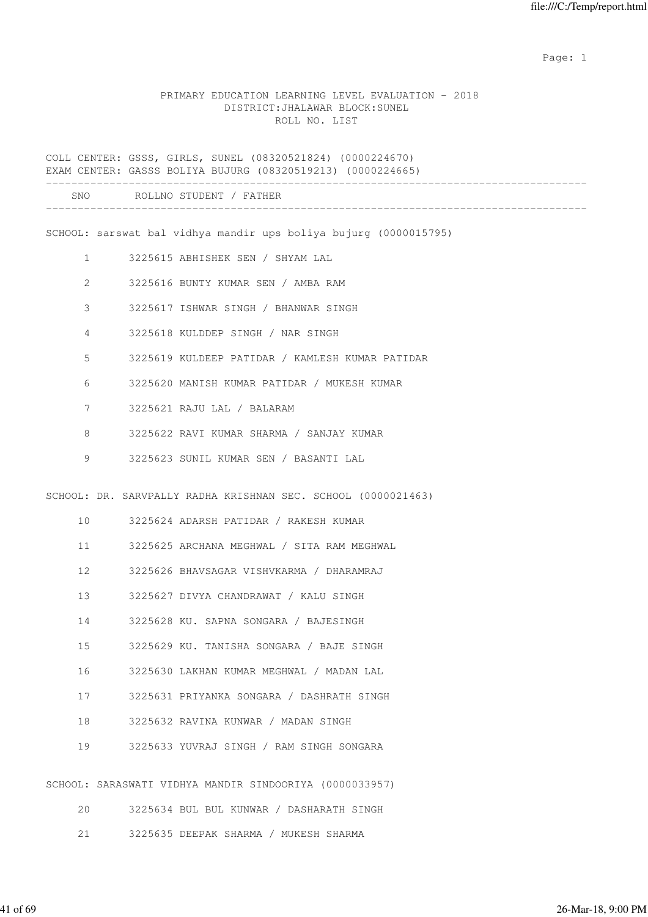expected to the control of the control of the control of the control of the control of the control of the control of the control of the control of the control of the control of the control of the control of the control of

#### PRIMARY EDUCATION LEARNING LEVEL EVALUATION - 2018 DISTRICT:JHALAWAR BLOCK:SUNEL ROLL NO. LIST

COLL CENTER: GSSS, GIRLS, SUNEL (08320521824) (0000224670) EXAM CENTER: GASSS BOLIYA BUJURG (08320519213) (0000224665) ------------------------------------------------------------------------------------- SNO ROLLNO STUDENT / FATHER ------------------------------------------------------------------------------------- SCHOOL: sarswat bal vidhya mandir ups boliya bujurg (0000015795) 1 3225615 ABHISHEK SEN / SHYAM LAL 2 3225616 BUNTY KUMAR SEN / AMBA RAM 3 3225617 ISHWAR SINGH / BHANWAR SINGH 4 3225618 KULDDEP SINGH / NAR SINGH 5 3225619 KULDEEP PATIDAR / KAMLESH KUMAR PATIDAR 6 3225620 MANISH KUMAR PATIDAR / MUKESH KUMAR 7 3225621 RAJU LAL / BALARAM 8 3225622 RAVI KUMAR SHARMA / SANJAY KUMAR 9 3225623 SUNIL KUMAR SEN / BASANTI LAL SCHOOL: DR. SARVPALLY RADHA KRISHNAN SEC. SCHOOL (0000021463) 10 3225624 ADARSH PATIDAR / RAKESH KUMAR 11 3225625 ARCHANA MEGHWAL / SITA RAM MEGHWAL 12 3225626 BHAVSAGAR VISHVKARMA / DHARAMRAJ 13 3225627 DIVYA CHANDRAWAT / KALU SINGH 14 3225628 KU. SAPNA SONGARA / BAJESINGH 15 3225629 KU. TANISHA SONGARA / BAJE SINGH 16 3225630 LAKHAN KUMAR MEGHWAL / MADAN LAL 17 3225631 PRIYANKA SONGARA / DASHRATH SINGH 18 3225632 RAVINA KUNWAR / MADAN SINGH 19 3225633 YUVRAJ SINGH / RAM SINGH SONGARA SCHOOL: SARASWATI VIDHYA MANDIR SINDOORIYA (0000033957)

|  |  |  | 3225634 BUL BUL KUNWAR / DASHARATH SINGH |  |
|--|--|--|------------------------------------------|--|
|  |  |  |                                          |  |

21 3225635 DEEPAK SHARMA / MUKESH SHARMA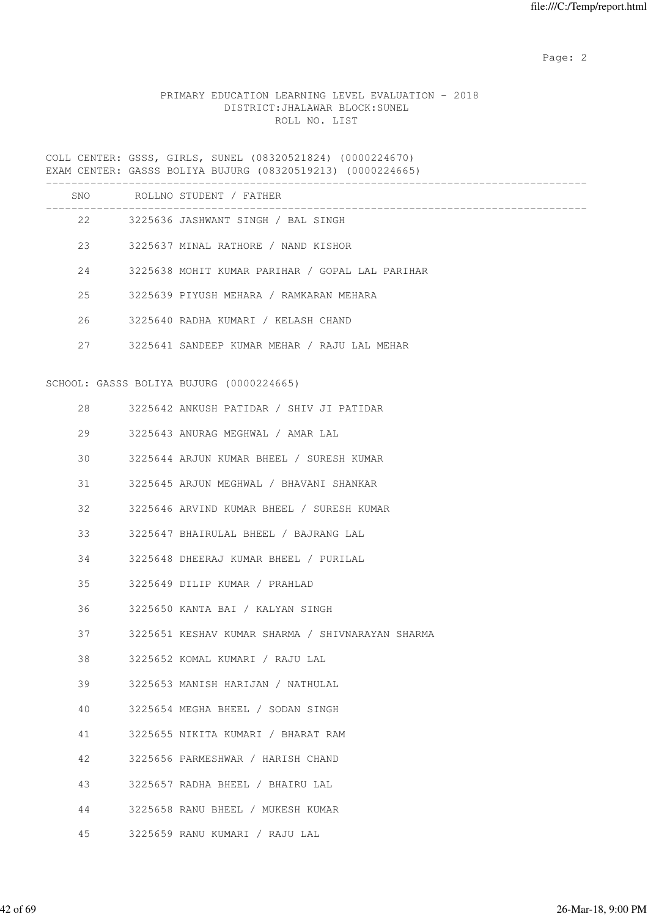# PRIMARY EDUCATION LEARNING LEVEL EVALUATION - 2018 DISTRICT:JHALAWAR BLOCK:SUNEL ROLL NO. LIST

COLL CENTER: GSSS, GIRLS, SUNEL (08320521824) (0000224670) EXAM CENTER: GASSS BOLIYA BUJURG (08320519213) (0000224665)

|    | SNO ROLLNO STUDENT / FATHER                      |
|----|--------------------------------------------------|
|    | 22 3225636 JASHWANT SINGH / BAL SINGH            |
|    | 23 3225637 MINAL RATHORE / NAND KISHOR           |
| 24 | 3225638 MOHIT KUMAR PARIHAR / GOPAL LAL PARIHAR  |
| 25 | 3225639 PIYUSH MEHARA / RAMKARAN MEHARA          |
| 26 | 3225640 RADHA KUMARI / KELASH CHAND              |
| 27 | 3225641 SANDEEP KUMAR MEHAR / RAJU LAL MEHAR     |
|    | SCHOOL: GASSS BOLIYA BUJURG (0000224665)         |
| 28 | 3225642 ANKUSH PATIDAR / SHIV JI PATIDAR         |
| 29 | 3225643 ANURAG MEGHWAL / AMAR LAL                |
| 30 | 3225644 ARJUN KUMAR BHEEL / SURESH KUMAR         |
| 31 | 3225645 ARJUN MEGHWAL / BHAVANI SHANKAR          |
| 32 | 3225646 ARVIND KUMAR BHEEL / SURESH KUMAR        |
| 33 | 3225647 BHAIRULAL BHEEL / BAJRANG LAL            |
| 34 | 3225648 DHEERAJ KUMAR BHEEL / PURILAL            |
| 35 | 3225649 DILIP KUMAR / PRAHLAD                    |
| 36 | 3225650 KANTA BAI / KALYAN SINGH                 |
| 37 | 3225651 KESHAV KUMAR SHARMA / SHIVNARAYAN SHARMA |
| 38 | 3225652 KOMAL KUMARI / RAJU LAL                  |
| 39 | 3225653 MANISH HARIJAN / NATHULAL                |
| 40 | 3225654 MEGHA BHEEL / SODAN SINGH                |
| 41 | 3225655 NIKITA KUMARI / BHARAT RAM               |
| 42 | 3225656 PARMESHWAR / HARISH CHAND                |
| 43 | 3225657 RADHA BHEEL / BHAIRU LAL                 |
| 44 | 3225658 RANU BHEEL / MUKESH KUMAR                |
| 45 | 3225659 RANU KUMARI / RAJU LAL                   |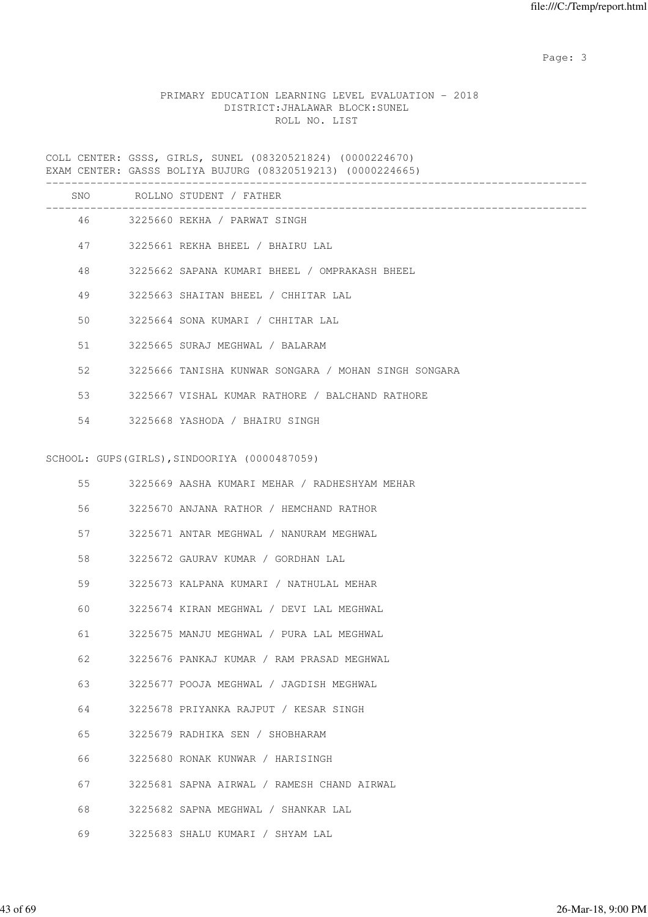# PRIMARY EDUCATION LEARNING LEVEL EVALUATION - 2018 DISTRICT:JHALAWAR BLOCK:SUNEL ROLL NO. LIST

COLL CENTER: GSSS, GIRLS, SUNEL (08320521824) (0000224670) EXAM CENTER: GASSS BOLIYA BUJURG (08320519213) (0000224665)

|    | SNO ROLLNO STUDENT / FATHER                          |
|----|------------------------------------------------------|
|    | 46 3225660 REKHA / PARWAT SINGH                      |
| 47 | 3225661 REKHA BHEEL / BHAIRU LAL                     |
| 48 | 3225662 SAPANA KUMARI BHEEL / OMPRAKASH BHEEL        |
| 49 | 3225663 SHAITAN BHEEL / CHHITAR LAL                  |
| 50 | 3225664 SONA KUMARI / CHHITAR LAL                    |
| 51 | 3225665 SURAJ MEGHWAL / BALARAM                      |
| 52 | 3225666 TANISHA KUNWAR SONGARA / MOHAN SINGH SONGARA |
| 53 | 3225667 VISHAL KUMAR RATHORE / BALCHAND RATHORE      |
| 54 | 3225668 YASHODA / BHAIRU SINGH                       |
|    |                                                      |
|    | SCHOOL: GUPS(GIRLS), SINDOORIYA (0000487059)         |
| 55 | 3225669 AASHA KUMARI MEHAR / RADHESHYAM MEHAR        |
| 56 | 3225670 ANJANA RATHOR / HEMCHAND RATHOR              |
| 57 | 3225671 ANTAR MEGHWAL / NANURAM MEGHWAL              |
| 58 | 3225672 GAURAV KUMAR / GORDHAN LAL                   |
| 59 | 3225673 KALPANA KUMARI / NATHULAL MEHAR              |
| 60 | 3225674 KIRAN MEGHWAL / DEVI LAL MEGHWAL             |
| 61 | 3225675 MANJU MEGHWAL / PURA LAL MEGHWAL             |
| 62 | 3225676 PANKAJ KUMAR / RAM PRASAD MEGHWAL            |
| 63 | 3225677 POOJA MEGHWAL / JAGDISH MEGHWAL              |
| 64 | 3225678 PRIYANKA RAJPUT / KESAR SINGH                |
| 65 | 3225679 RADHIKA SEN / SHOBHARAM                      |
| 66 | 3225680 RONAK KUNWAR / HARISINGH                     |
| 67 | 3225681 SAPNA AIRWAL / RAMESH CHAND AIRWAL           |
| 68 | 3225682 SAPNA MEGHWAL / SHANKAR LAL                  |
| 69 | 3225683 SHALU KUMARI / SHYAM LAL                     |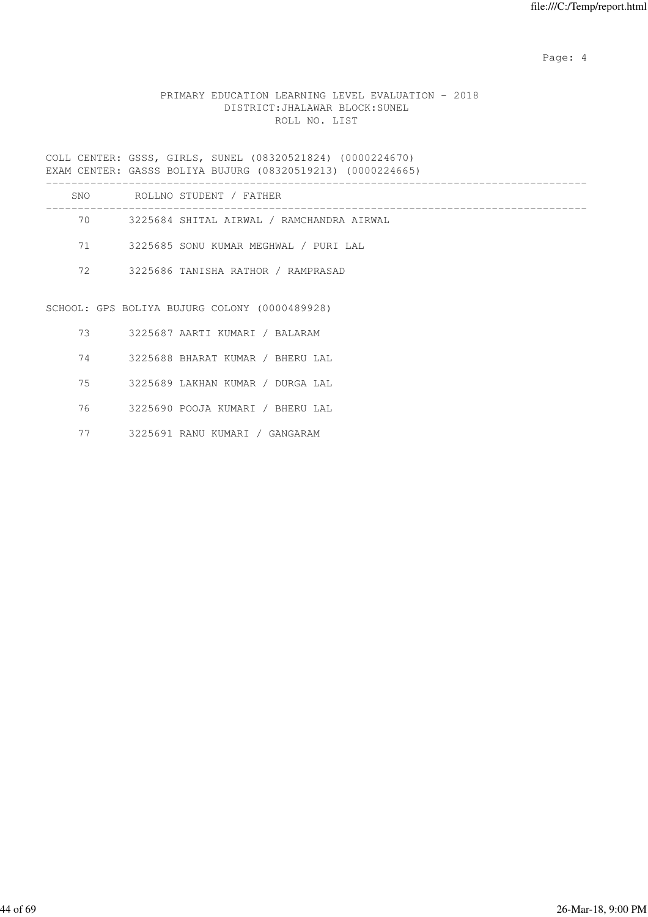Page: 4  $P$ 

# PRIMARY EDUCATION LEARNING LEVEL EVALUATION - 2018 DISTRICT:JHALAWAR BLOCK:SUNEL ROLL NO. LIST

COLL CENTER: GSSS, GIRLS, SUNEL (08320521824) (0000224670) EXAM CENTER: GASSS BOLIYA BUJURG (08320519213) (0000224665)

| SNO | ROLLNO STUDENT / FATHER                       |
|-----|-----------------------------------------------|
| 70  | 3225684 SHITAL AIRWAL / RAMCHANDRA AIRWAL     |
| 71  | 3225685 SONU KUMAR MEGHWAL / PURI LAL         |
| 72  | 3225686 TANISHA RATHOR / RAMPRASAD            |
|     | SCHOOL: GPS BOLIYA BUJURG COLONY (0000489928) |

- 73 3225687 AARTI KUMARI / BALARAM
- 74 3225688 BHARAT KUMAR / BHERU LAL
- 75 3225689 LAKHAN KUMAR / DURGA LAL
- 76 3225690 POOJA KUMARI / BHERU LAL
- 77 3225691 RANU KUMARI / GANGARAM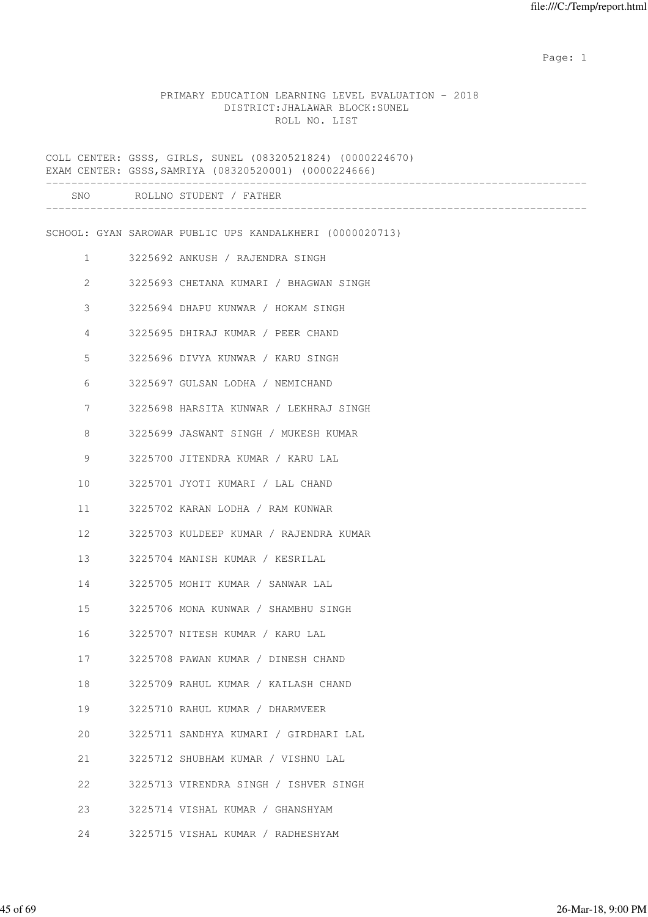expected to the control of the control of the control of the control of the control of the control of the control of the control of the control of the control of the control of the control of the control of the control of

#### PRIMARY EDUCATION LEARNING LEVEL EVALUATION - 2018 DISTRICT:JHALAWAR BLOCK:SUNEL ROLL NO. LIST

|                | COLL CENTER: GSSS, GIRLS, SUNEL (08320521824) (0000224670)<br>EXAM CENTER: GSSS, SAMRIYA (08320520001) (0000224666) |
|----------------|---------------------------------------------------------------------------------------------------------------------|
|                | SNO ROLLNO STUDENT / FATHER                                                                                         |
|                | SCHOOL: GYAN SAROWAR PUBLIC UPS KANDALKHERI (0000020713)                                                            |
| $\mathbf{1}$   | 3225692 ANKUSH / RAJENDRA SINGH                                                                                     |
| $\overline{c}$ | 3225693 CHETANA KUMARI / BHAGWAN SINGH                                                                              |
| 3              | 3225694 DHAPU KUNWAR / HOKAM SINGH                                                                                  |
| 4              | 3225695 DHIRAJ KUMAR / PEER CHAND                                                                                   |
| 5              | 3225696 DIVYA KUNWAR / KARU SINGH                                                                                   |
| 6              | 3225697 GULSAN LODHA / NEMICHAND                                                                                    |
| 7              | 3225698 HARSITA KUNWAR / LEKHRAJ SINGH                                                                              |
| 8              | 3225699 JASWANT SINGH / MUKESH KUMAR                                                                                |
| 9              | 3225700 JITENDRA KUMAR / KARU LAL                                                                                   |
| 10             | 3225701 JYOTI KUMARI / LAL CHAND                                                                                    |
| 11             | 3225702 KARAN LODHA / RAM KUNWAR                                                                                    |
| 12             | 3225703 KULDEEP KUMAR / RAJENDRA KUMAR                                                                              |
| 13             | 3225704 MANISH KUMAR / KESRILAL                                                                                     |
| 14             | 3225705 MOHIT KUMAR / SANWAR LAL                                                                                    |
| 15             | 3225706 MONA KUNWAR / SHAMBHU SINGH                                                                                 |
| 16             | 3225707 NITESH KUMAR / KARU LAL                                                                                     |
| 17             | 3225708 PAWAN KUMAR / DINESH CHAND                                                                                  |
| 18             | 3225709 RAHUL KUMAR / KAILASH CHAND                                                                                 |
| 19             | 3225710 RAHUL KUMAR / DHARMVEER                                                                                     |
| 20             | 3225711 SANDHYA KUMARI / GIRDHARI LAL                                                                               |
| 21             | 3225712 SHUBHAM KUMAR / VISHNU LAL                                                                                  |
| 22             | 3225713 VIRENDRA SINGH / ISHVER SINGH                                                                               |
| 23             | 3225714 VISHAL KUMAR / GHANSHYAM                                                                                    |
| 24             | 3225715 VISHAL KUMAR / RADHESHYAM                                                                                   |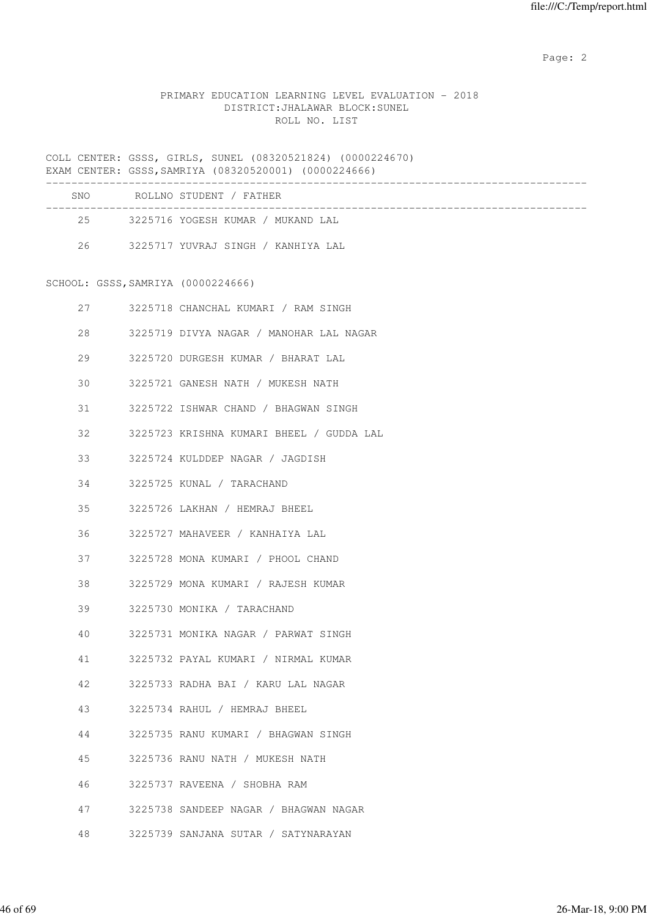# PRIMARY EDUCATION LEARNING LEVEL EVALUATION - 2018 DISTRICT:JHALAWAR BLOCK:SUNEL ROLL NO. LIST

COLL CENTER: GSSS, GIRLS, SUNEL (08320521824) (0000224670) EXAM CENTER: GSSS,SAMRIYA (08320520001) (0000224666)

| SNO.   | ROLLNO STUDENT / FATHER            |  |
|--------|------------------------------------|--|
| $25 -$ | 3225716 YOGESH KUMAR / MUKAND LAL  |  |
| 26     | 3225717 YUVRAJ SINGH / KANHIYA LAL |  |

SCHOOL: GSSS,SAMRIYA (0000224666)

| 27 | 3225718 CHANCHAL KUMARI / RAM SINGH      |
|----|------------------------------------------|
| 28 | 3225719 DIVYA NAGAR / MANOHAR LAL NAGAR  |
| 29 | 3225720 DURGESH KUMAR / BHARAT LAL       |
| 30 | 3225721 GANESH NATH / MUKESH NATH        |
| 31 | 3225722 ISHWAR CHAND / BHAGWAN SINGH     |
| 32 | 3225723 KRISHNA KUMARI BHEEL / GUDDA LAL |
| 33 | 3225724 KULDDEP NAGAR / JAGDISH          |
| 34 | 3225725 KUNAL / TARACHAND                |
| 35 | 3225726 LAKHAN / HEMRAJ BHEEL            |
| 36 | 3225727 MAHAVEER / KANHAIYA LAL          |
| 37 | 3225728 MONA KUMARI / PHOOL CHAND        |
| 38 | 3225729 MONA KUMARI / RAJESH KUMAR       |
| 39 | 3225730 MONIKA / TARACHAND               |
| 40 | 3225731 MONIKA NAGAR / PARWAT SINGH      |
| 41 | 3225732 PAYAL KUMARI / NIRMAL KUMAR      |
| 42 | 3225733 RADHA BAI / KARU LAL NAGAR       |
| 43 | 3225734 RAHUL / HEMRAJ BHEEL             |
| 44 | 3225735 RANU KUMARI / BHAGWAN SINGH      |
| 45 | 3225736 RANU NATH / MUKESH NATH          |
| 46 | 3225737 RAVEENA / SHOBHA RAM             |
| 47 | 3225738 SANDEEP NAGAR / BHAGWAN NAGAR    |
| 48 | 3225739 SANJANA SUTAR / SATYNARAYAN      |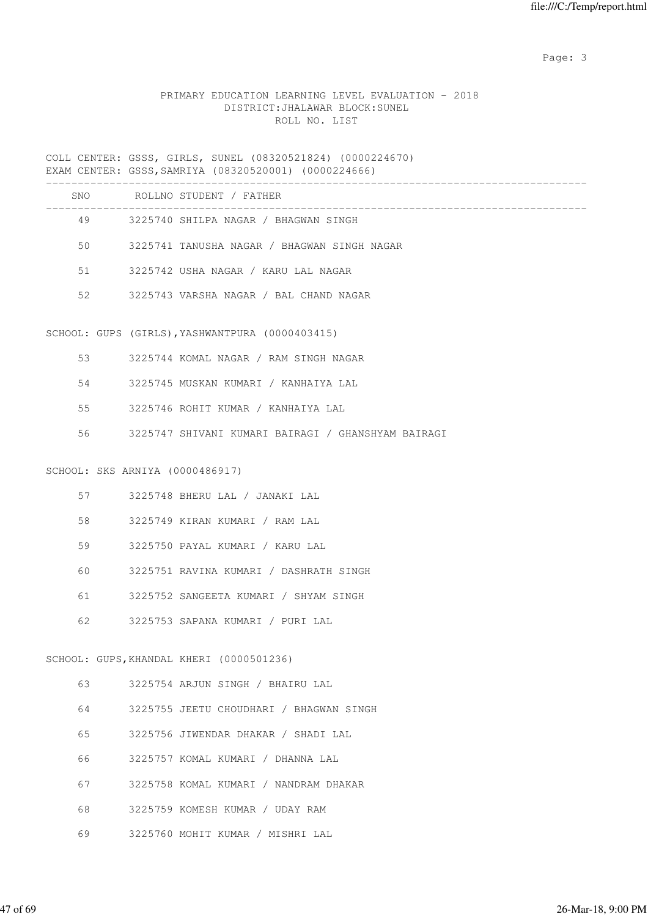# PRIMARY EDUCATION LEARNING LEVEL EVALUATION - 2018 DISTRICT:JHALAWAR BLOCK:SUNEL ROLL NO. LIST

COLL CENTER: GSSS, GIRLS, SUNEL (08320521824) (0000224670) EXAM CENTER: GSSS,SAMRIYA (08320520001) (0000224666)

|    |                                 | SNO ROLLNO STUDENT / FATHER                        |
|----|---------------------------------|----------------------------------------------------|
|    |                                 | 49 3225740 SHILPA NAGAR / BHAGWAN SINGH            |
| 50 |                                 | 3225741 TANUSHA NAGAR / BHAGWAN SINGH NAGAR        |
| 51 |                                 | 3225742 USHA NAGAR / KARU LAL NAGAR                |
| 52 |                                 | 3225743 VARSHA NAGAR / BAL CHAND NAGAR             |
|    |                                 |                                                    |
|    |                                 | SCHOOL: GUPS (GIRLS), YASHWANTPURA (0000403415)    |
| 53 |                                 | 3225744 KOMAL NAGAR / RAM SINGH NAGAR              |
| 54 |                                 | 3225745 MUSKAN KUMARI / KANHAIYA LAL               |
| 55 |                                 | 3225746 ROHIT KUMAR / KANHAIYA LAL                 |
|    |                                 | 3225747 SHIVANI KUMARI BAIRAGI / GHANSHYAM BAIRAGI |
|    |                                 |                                                    |
|    | SCHOOL: SKS ARNIYA (0000486917) |                                                    |
|    | 57 — 1                          | 3225748 BHERU LAL / JANAKI LAL                     |
| 58 |                                 | 3225749 KIRAN KUMARI / RAM LAL                     |
| 59 |                                 | 3225750 PAYAL KUMARI / KARU LAL                    |
| 60 |                                 | 3225751 RAVINA KUMARI / DASHRATH SINGH             |
| 61 |                                 | 3225752 SANGEETA KUMARI / SHYAM SINGH              |
| 62 |                                 | 3225753 SAPANA KUMARI / PURI LAL                   |
|    |                                 | SCHOOL: GUPS, KHANDAL KHERI (0000501236)           |
|    |                                 |                                                    |
| 63 |                                 | 3225754 ARJUN SINGH / BHAIRU LAL                   |
| 64 |                                 | 3225755 JEETU CHOUDHARI / BHAGWAN SINGH            |
| 65 |                                 | 3225756 JIWENDAR DHAKAR / SHADI LAL                |
| 66 |                                 | 3225757 KOMAL KUMARI / DHANNA LAL                  |
| 67 |                                 | 3225758 KOMAL KUMARI / NANDRAM DHAKAR              |
| 68 |                                 | 3225759 KOMESH KUMAR / UDAY RAM                    |
| 69 |                                 | 3225760 MOHIT KUMAR / MISHRI LAL                   |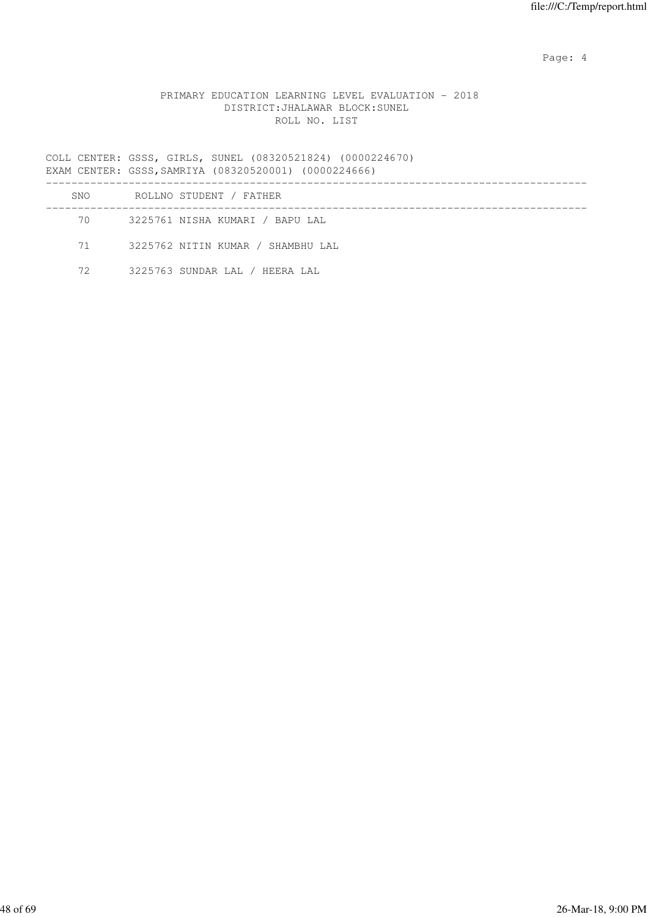Page: 4  $P$ 

## PRIMARY EDUCATION LEARNING LEVEL EVALUATION - 2018 DISTRICT:JHALAWAR BLOCK:SUNEL ROLL NO. LIST

COLL CENTER: GSSS, GIRLS, SUNEL (08320521824) (0000224670) EXAM CENTER: GSSS,SAMRIYA (08320520001) (0000224666)

| SNO. | ROLLNO STUDENT / FATHER           |  |
|------|-----------------------------------|--|
|      | 3225761 NISHA KUMARI / BAPU LAL   |  |
| 71 — | 3225762 NITIN KUMAR / SHAMBHU LAL |  |
| 72   | 3225763 SUNDAR LAL / HEERA LAL    |  |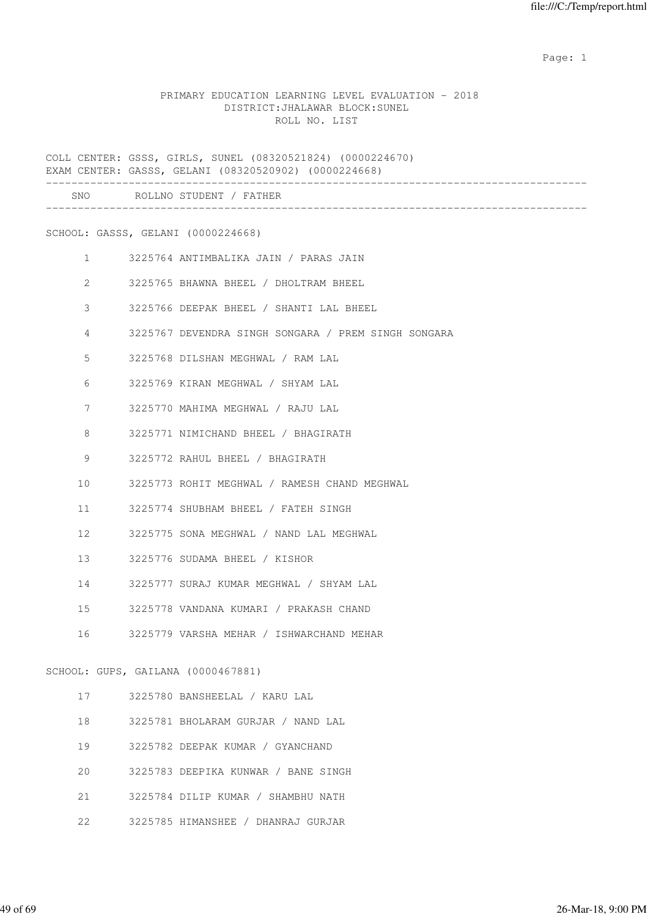example of the state of the state of the state of the state of the state of the state of the state of the state of the state of the state of the state of the state of the state of the state of the state of the state of the

#### PRIMARY EDUCATION LEARNING LEVEL EVALUATION - 2018 DISTRICT:JHALAWAR BLOCK:SUNEL ROLL NO. LIST

COLL CENTER: GSSS, GIRLS, SUNEL (08320521824) (0000224670) EXAM CENTER: GASSS, GELANI (08320520902) (0000224668) -------------------------------------------------------------------------------------

| SNO          | ROLLNO STUDENT / FATHER                             |
|--------------|-----------------------------------------------------|
|              | SCHOOL: GASSS, GELANI (0000224668)                  |
| $\mathbf{1}$ | 3225764 ANTIMBALIKA JAIN / PARAS JAIN               |
| 2            | 3225765 BHAWNA BHEEL / DHOLTRAM BHEEL               |
| 3            | 3225766 DEEPAK BHEEL / SHANTI LAL BHEEL             |
| 4            | 3225767 DEVENDRA SINGH SONGARA / PREM SINGH SONGARA |
| 5            | 3225768 DILSHAN MEGHWAL / RAM LAL                   |
| 6            | 3225769 KIRAN MEGHWAL / SHYAM LAL                   |
| 7            | 3225770 MAHIMA MEGHWAL / RAJU LAL                   |
| 8            | 3225771 NIMICHAND BHEEL / BHAGIRATH                 |
| 9            | 3225772 RAHUL BHEEL / BHAGIRATH                     |
| 10           | 3225773 ROHIT MEGHWAL / RAMESH CHAND MEGHWAL        |
| 11           | 3225774 SHUBHAM BHEEL / FATEH SINGH                 |
| 12           | 3225775 SONA MEGHWAL / NAND LAL MEGHWAL             |
| 13           | 3225776 SUDAMA BHEEL / KISHOR                       |
| 14           | 3225777 SURAJ KUMAR MEGHWAL / SHYAM LAL             |
| 15           | 3225778 VANDANA KUMARI / PRAKASH CHAND              |
| 16           | 3225779 VARSHA MEHAR / ISHWARCHAND MEHAR            |
|              | SCHOOL: GUPS, GAILANA (0000467881)                  |
| 17           | 3225780 BANSHEELAL / KARU LAL                       |
| 18           | 3225781 BHOLARAM GURJAR / NAND LAL                  |
| 19           | 3225782 DEEPAK KUMAR / GYANCHAND                    |
| 20           | 3225783 DEEPIKA KUNWAR / BANE SINGH                 |
| 21           | 3225784 DILIP KUMAR / SHAMBHU NATH                  |

22 3225785 HIMANSHEE / DHANRAJ GURJAR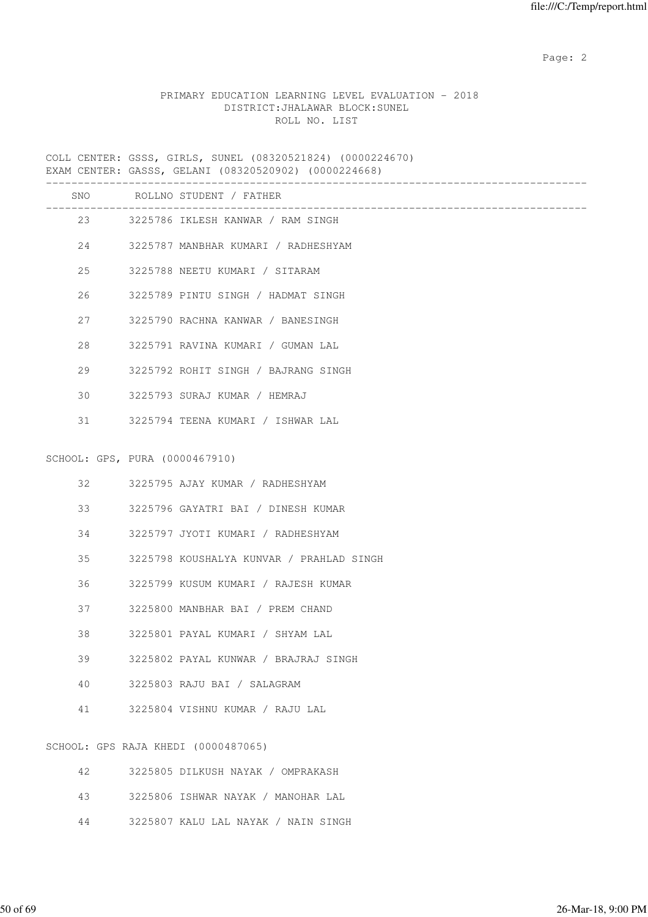# PRIMARY EDUCATION LEARNING LEVEL EVALUATION - 2018 DISTRICT:JHALAWAR BLOCK:SUNEL ROLL NO. LIST

COLL CENTER: GSSS, GIRLS, SUNEL (08320521824) (0000224670) EXAM CENTER: GASSS, GELANI (08320520902) (0000224668)

|    |                                | SNO ROLLNO STUDENT / FATHER<br>. _ _ _ _ _ _ _ _ _ _ |
|----|--------------------------------|------------------------------------------------------|
|    |                                | 23 3225786 IKLESH KANWAR / RAM SINGH                 |
| 24 |                                | 3225787 MANBHAR KUMARI / RADHESHYAM                  |
| 25 |                                | 3225788 NEETU KUMARI / SITARAM                       |
| 26 |                                | 3225789 PINTU SINGH / HADMAT SINGH                   |
| 27 |                                | 3225790 RACHNA KANWAR / BANESINGH                    |
| 28 |                                | 3225791 RAVINA KUMARI / GUMAN LAL                    |
| 29 |                                | 3225792 ROHIT SINGH / BAJRANG SINGH                  |
| 30 |                                | 3225793 SURAJ KUMAR / HEMRAJ                         |
| 31 |                                | 3225794 TEENA KUMARI / ISHWAR LAL                    |
|    |                                |                                                      |
|    | SCHOOL: GPS, PURA (0000467910) |                                                      |
| 32 |                                | 3225795 AJAY KUMAR / RADHESHYAM                      |
| 33 |                                | 3225796 GAYATRI BAI / DINESH KUMAR                   |
| 34 |                                | 3225797 JYOTI KUMARI / RADHESHYAM                    |
| 35 |                                | 3225798 KOUSHALYA KUNVAR / PRAHLAD SINGH             |
| 36 |                                | 3225799 KUSUM KUMARI / RAJESH KUMAR                  |
| 37 |                                | 3225800 MANBHAR BAI / PREM CHAND                     |
| 38 |                                | 3225801 PAYAL KUMARI / SHYAM LAL                     |
| 39 |                                | 3225802 PAYAL KUNWAR / BRAJRAJ SINGH                 |
| 40 |                                | 3225803 RAJU BAI / SALAGRAM                          |
| 41 |                                | 3225804 VISHNU KUMAR / RAJU LAL                      |
|    |                                | SCHOOL: GPS RAJA KHEDI (0000487065)                  |
| 42 |                                | 3225805 DILKUSH NAYAK / OMPRAKASH                    |
| 43 |                                | 3225806 ISHWAR NAYAK / MANOHAR LAL                   |
| 44 |                                | 3225807 KALU LAL NAYAK / NAIN SINGH                  |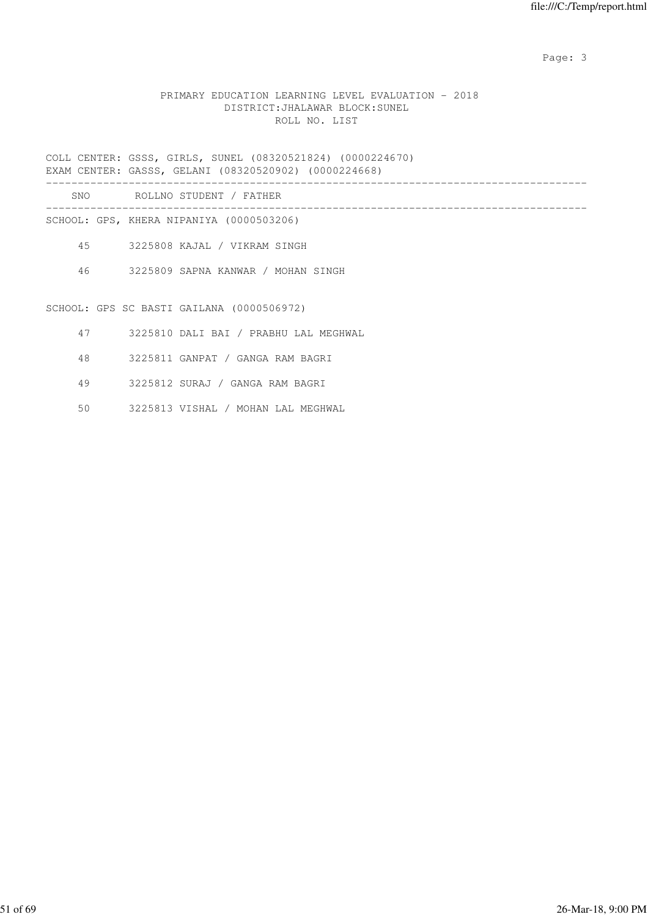### PRIMARY EDUCATION LEARNING LEVEL EVALUATION - 2018 DISTRICT:JHALAWAR BLOCK:SUNEL ROLL NO. LIST

COLL CENTER: GSSS, GIRLS, SUNEL (08320521824) (0000224670) EXAM CENTER: GASSS, GELANI (08320520902) (0000224668)

------------------------------------------------------------------------------------- SNO ROLLNO STUDENT / FATHER

------------------------------------------------------------------------------------- SCHOOL: GPS, KHERA NIPANIYA (0000503206)

45 3225808 KAJAL / VIKRAM SINGH

46 3225809 SAPNA KANWAR / MOHAN SINGH

SCHOOL: GPS SC BASTI GAILANA (0000506972)

- 47 3225810 DALI BAI / PRABHU LAL MEGHWAL
- 48 3225811 GANPAT / GANGA RAM BAGRI
- 49 3225812 SURAJ / GANGA RAM BAGRI
- 50 3225813 VISHAL / MOHAN LAL MEGHWAL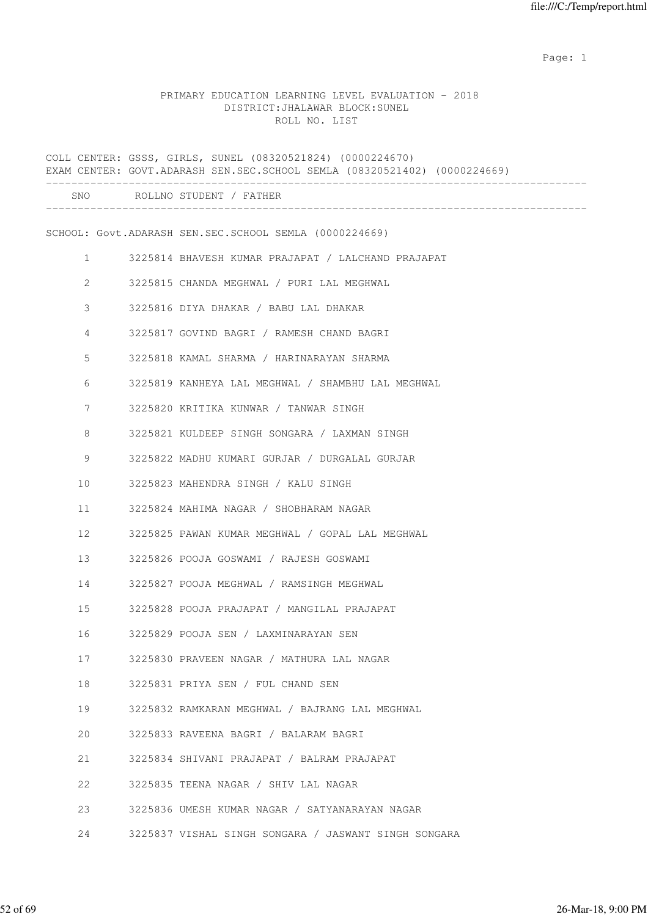example of the state of the state of the state of the state of the state of the state of the state of the state of the state of the state of the state of the state of the state of the state of the state of the state of the

#### PRIMARY EDUCATION LEARNING LEVEL EVALUATION - 2018 DISTRICT:JHALAWAR BLOCK:SUNEL ROLL NO. LIST

|              | COLL CENTER: GSSS, GIRLS, SUNEL (08320521824) (0000224670)<br>EXAM CENTER: GOVT.ADARASH SEN.SEC.SCHOOL SEMLA (08320521402) (0000224669) |
|--------------|-----------------------------------------------------------------------------------------------------------------------------------------|
|              | SNO ROLLNO STUDENT / FATHER                                                                                                             |
|              | SCHOOL: Govt.ADARASH SEN.SEC.SCHOOL SEMLA (0000224669)                                                                                  |
| $\mathbf{1}$ | 3225814 BHAVESH KUMAR PRAJAPAT / LALCHAND PRAJAPAT                                                                                      |
| 2            | 3225815 CHANDA MEGHWAL / PURI LAL MEGHWAL                                                                                               |
| 3            | 3225816 DIYA DHAKAR / BABU LAL DHAKAR                                                                                                   |
| 4            | 3225817 GOVIND BAGRI / RAMESH CHAND BAGRI                                                                                               |
| 5            | 3225818 KAMAL SHARMA / HARINARAYAN SHARMA                                                                                               |
| 6            | 3225819 KANHEYA LAL MEGHWAL / SHAMBHU LAL MEGHWAL                                                                                       |
| 7            | 3225820 KRITIKA KUNWAR / TANWAR SINGH                                                                                                   |
| 8            | 3225821 KULDEEP SINGH SONGARA / LAXMAN SINGH                                                                                            |
| 9            | 3225822 MADHU KUMARI GURJAR / DURGALAL GURJAR                                                                                           |
| 10           | 3225823 MAHENDRA SINGH / KALU SINGH                                                                                                     |
| 11           | 3225824 MAHIMA NAGAR / SHOBHARAM NAGAR                                                                                                  |
| 12           | 3225825 PAWAN KUMAR MEGHWAL / GOPAL LAL MEGHWAL                                                                                         |
| 13           | 3225826 POOJA GOSWAMI / RAJESH GOSWAMI                                                                                                  |
| 14           | 3225827 POOJA MEGHWAL / RAMSINGH MEGHWAL                                                                                                |
| 15           | 3225828 POOJA PRAJAPAT / MANGILAL PRAJAPAT                                                                                              |
| 16           | 3225829 POOJA SEN / LAXMINARAYAN SEN                                                                                                    |
| 17           | 3225830 PRAVEEN NAGAR / MATHURA LAL NAGAR                                                                                               |
| 18           | 3225831 PRIYA SEN / FUL CHAND SEN                                                                                                       |
| 19           | 3225832 RAMKARAN MEGHWAL / BAJRANG LAL MEGHWAL                                                                                          |
| 20           | 3225833 RAVEENA BAGRI / BALARAM BAGRI                                                                                                   |
| 21           | 3225834 SHIVANI PRAJAPAT / BALRAM PRAJAPAT                                                                                              |
| 22           | 3225835 TEENA NAGAR / SHIV LAL NAGAR                                                                                                    |
| 23           | 3225836 UMESH KUMAR NAGAR / SATYANARAYAN NAGAR                                                                                          |
| 24           | 3225837 VISHAL SINGH SONGARA / JASWANT SINGH SONGARA                                                                                    |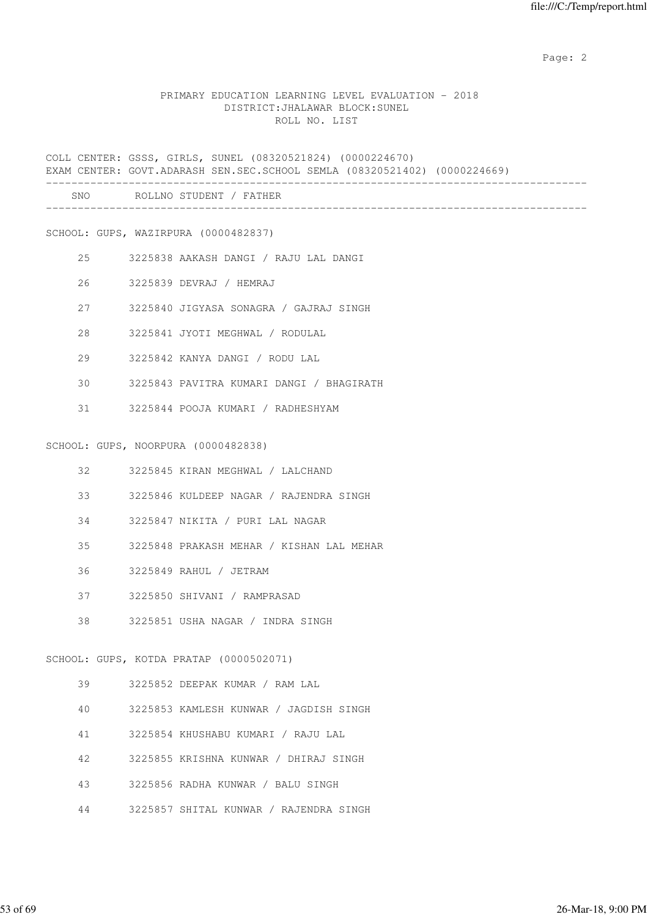#### PRIMARY EDUCATION LEARNING LEVEL EVALUATION - 2018 DISTRICT:JHALAWAR BLOCK:SUNEL ROLL NO. LIST

COLL CENTER: GSSS, GIRLS, SUNEL (08320521824) (0000224670) EXAM CENTER: GOVT.ADARASH SEN.SEC.SCHOOL SEMLA (08320521402) (0000224669) ------------------------------------------------------------------------------------- SNO ROLLNO STUDENT / FATHER ------------------------------------------------------------------------------------- SCHOOL: GUPS, WAZIRPURA (0000482837) 25 3225838 AAKASH DANGI / RAJU LAL DANGI 26 3225839 DEVRAJ / HEMRAJ 27 3225840 JIGYASA SONAGRA / GAJRAJ SINGH 28 3225841 JYOTI MEGHWAL / RODULAL 29 3225842 KANYA DANGI / RODU LAL 30 3225843 PAVITRA KUMARI DANGI / BHAGIRATH 31 3225844 POOJA KUMARI / RADHESHYAM SCHOOL: GUPS, NOORPURA (0000482838) 32 3225845 KIRAN MEGHWAL / LALCHAND 33 3225846 KULDEEP NAGAR / RAJENDRA SINGH 34 3225847 NIKITA / PURI LAL NAGAR 35 3225848 PRAKASH MEHAR / KISHAN LAL MEHAR 36 3225849 RAHUL / JETRAM 37 3225850 SHIVANI / RAMPRASAD 38 3225851 USHA NAGAR / INDRA SINGH SCHOOL: GUPS, KOTDA PRATAP (0000502071) 39 3225852 DEEPAK KUMAR / RAM LAL 40 3225853 KAMLESH KUNWAR / JAGDISH SINGH 41 3225854 KHUSHABU KUMARI / RAJU LAL 42 3225855 KRISHNA KUNWAR / DHIRAJ SINGH 43 3225856 RADHA KUNWAR / BALU SINGH

44 3225857 SHITAL KUNWAR / RAJENDRA SINGH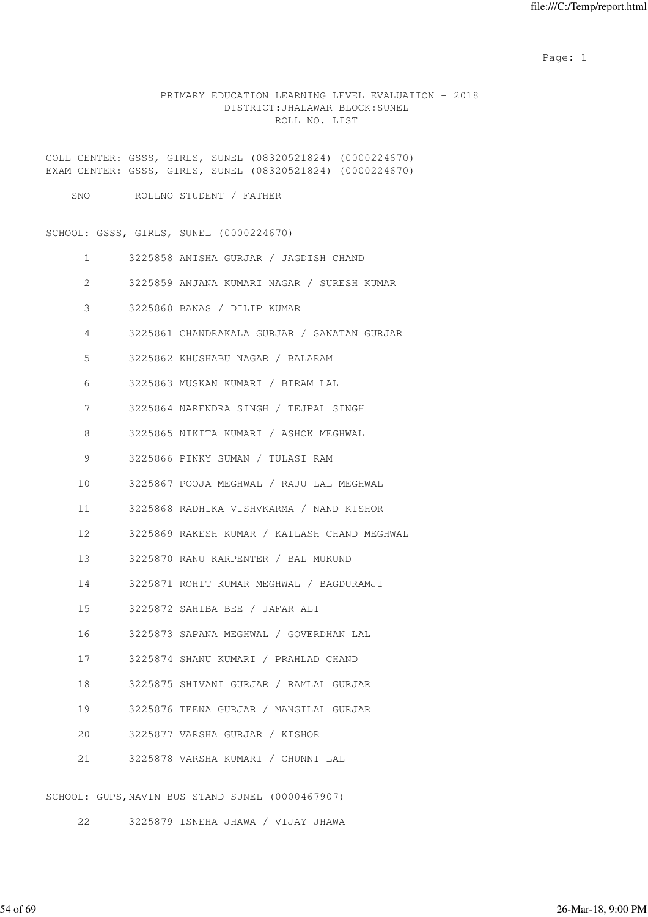example of the state of the state of the state of the state of the state of the state of the state of the state of the state of the state of the state of the state of the state of the state of the state of the state of the

#### PRIMARY EDUCATION LEARNING LEVEL EVALUATION - 2018 DISTRICT:JHALAWAR BLOCK:SUNEL ROLL NO. LIST

COLL CENTER: GSSS, GIRLS, SUNEL (08320521824) (0000224670) EXAM CENTER: GSSS, GIRLS, SUNEL (08320521824) (0000224670) ------------------------------------------------------------------------------------- SNO ROLLNO STUDENT / FATHER ------------------------------------------------------------------------------------- SCHOOL: GSSS, GIRLS, SUNEL (0000224670) 1 3225858 ANISHA GURJAR / JAGDISH CHAND 2 3225859 ANJANA KUMARI NAGAR / SURESH KUMAR 3 3225860 BANAS / DILIP KUMAR 4 3225861 CHANDRAKALA GURJAR / SANATAN GURJAR 5 3225862 KHUSHABU NAGAR / BALARAM 6 3225863 MUSKAN KUMARI / BIRAM LAL 7 3225864 NARENDRA SINGH / TEJPAL SINGH 8 3225865 NIKITA KUMARI / ASHOK MEGHWAL 9 3225866 PINKY SUMAN / TULASI RAM 10 3225867 POOJA MEGHWAL / RAJU LAL MEGHWAL 11 3225868 RADHIKA VISHVKARMA / NAND KISHOR 12 3225869 RAKESH KUMAR / KAILASH CHAND MEGHWAL 13 3225870 RANU KARPENTER / BAL MUKUND 14 3225871 ROHIT KUMAR MEGHWAL / BAGDURAMJI 15 3225872 SAHIBA BEE / JAFAR ALI 16 3225873 SAPANA MEGHWAL / GOVERDHAN LAL 17 3225874 SHANU KUMARI / PRAHLAD CHAND 18 3225875 SHIVANI GURJAR / RAMLAL GURJAR 19 3225876 TEENA GURJAR / MANGILAL GURJAR 20 3225877 VARSHA GURJAR / KISHOR 21 3225878 VARSHA KUMARI / CHUNNI LAL SCHOOL: GUPS,NAVIN BUS STAND SUNEL (0000467907)

22 3225879 ISNEHA JHAWA / VIJAY JHAWA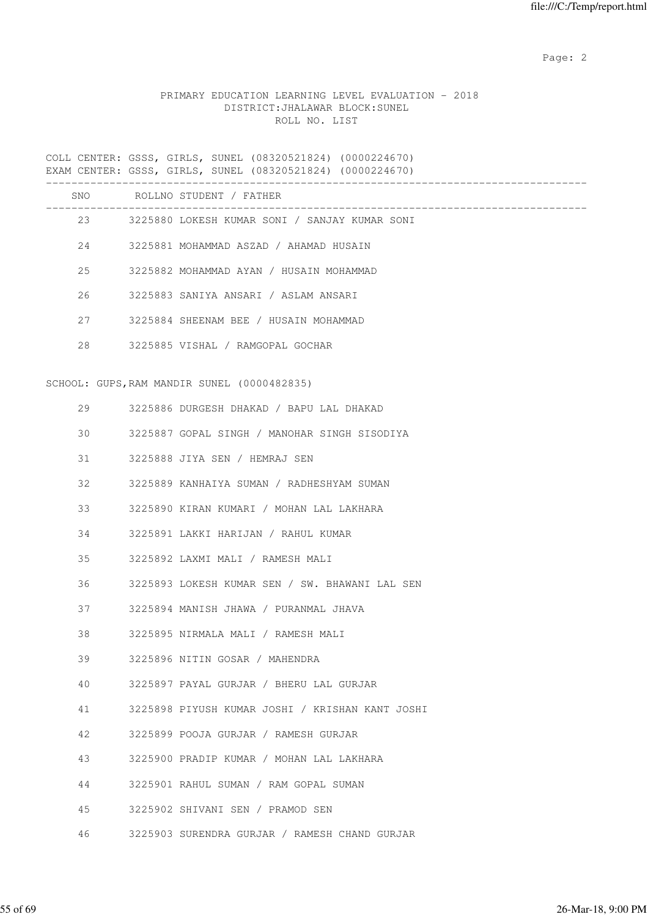# PRIMARY EDUCATION LEARNING LEVEL EVALUATION - 2018 DISTRICT:JHALAWAR BLOCK:SUNEL ROLL NO. LIST

COLL CENTER: GSSS, GIRLS, SUNEL (08320521824) (0000224670) EXAM CENTER: GSSS, GIRLS, SUNEL (08320521824) (0000224670) -------------------------------------------------------------------------------------

| SNO |               | ROLLNO STUDENT / FATHER                         |
|-----|---------------|-------------------------------------------------|
|     | 23 and $\sim$ | 3225880 LOKESH KUMAR SONI / SANJAY KUMAR SONI   |
| 24  |               | 3225881 MOHAMMAD ASZAD / AHAMAD HUSAIN          |
| 25  |               | 3225882 MOHAMMAD AYAN / HUSAIN MOHAMMAD         |
| 26  |               | 3225883 SANIYA ANSARI / ASLAM ANSARI            |
| 27  |               | 3225884 SHEENAM BEE / HUSAIN MOHAMMAD           |
| 28  |               | 3225885 VISHAL / RAMGOPAL GOCHAR                |
|     |               | SCHOOL: GUPS, RAM MANDIR SUNEL (0000482835)     |
| 29  |               | 3225886 DURGESH DHAKAD / BAPU LAL DHAKAD        |
| 30  |               | 3225887 GOPAL SINGH / MANOHAR SINGH SISODIYA    |
| 31  |               | 3225888 JIYA SEN / HEMRAJ SEN                   |
| 32  |               | 3225889 KANHAIYA SUMAN / RADHESHYAM SUMAN       |
| 33  |               | 3225890 KIRAN KUMARI / MOHAN LAL LAKHARA        |
| 34  |               | 3225891 LAKKI HARIJAN / RAHUL KUMAR             |
| 35  |               | 3225892 LAXMI MALI / RAMESH MALI                |
| 36  |               | 3225893 LOKESH KUMAR SEN / SW. BHAWANI LAL SEN  |
| 37  |               | 3225894 MANISH JHAWA / PURANMAL JHAVA           |
| 38  |               | 3225895 NIRMALA MALI / RAMESH MALI              |
| 39  |               | 3225896 NITIN GOSAR / MAHENDRA                  |
| 40  |               | 3225897 PAYAL GURJAR / BHERU LAL GURJAR         |
| 41  |               | 3225898 PIYUSH KUMAR JOSHI / KRISHAN KANT JOSHI |
| 42  |               | 3225899 POOJA GURJAR / RAMESH GURJAR            |
| 43  |               | 3225900 PRADIP KUMAR / MOHAN LAL LAKHARA        |
| 44  |               | 3225901 RAHUL SUMAN / RAM GOPAL SUMAN           |
| 45  |               | 3225902 SHIVANI SEN / PRAMOD SEN                |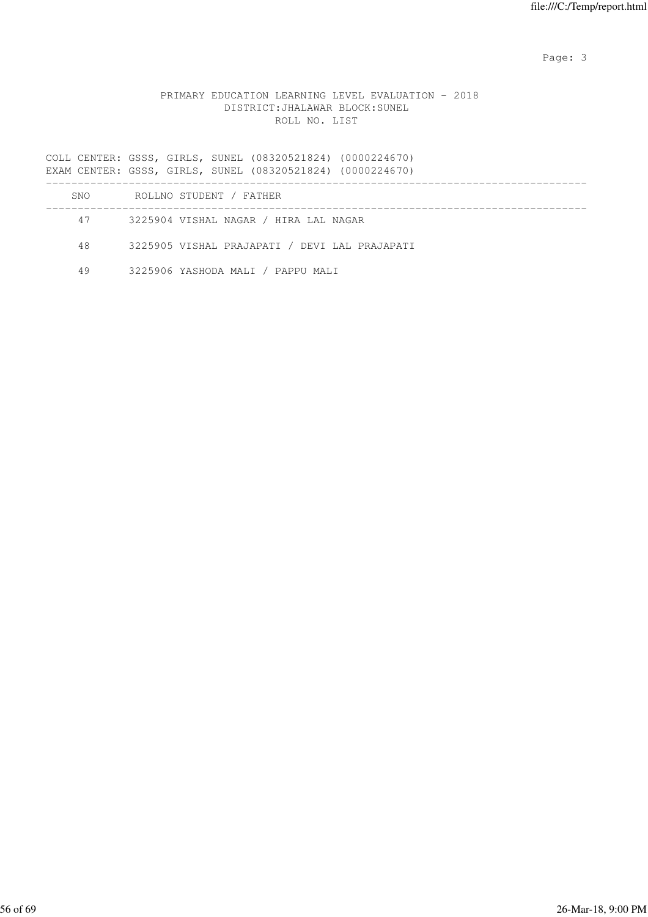# PRIMARY EDUCATION LEARNING LEVEL EVALUATION - 2018 DISTRICT:JHALAWAR BLOCK:SUNEL ROLL NO. LIST

COLL CENTER: GSSS, GIRLS, SUNEL (08320521824) (0000224670) EXAM CENTER: GSSS, GIRLS, SUNEL (08320521824) (0000224670) ------------------------------------------------------------------------------------- SNO ROLLNO STUDENT / FATHER ------------------------------------------------------------------------------------- 47 3225904 VISHAL NAGAR / HIRA LAL NAGAR 48 3225905 VISHAL PRAJAPATI / DEVI LAL PRAJAPATI

49 3225906 YASHODA MALI / PAPPU MALI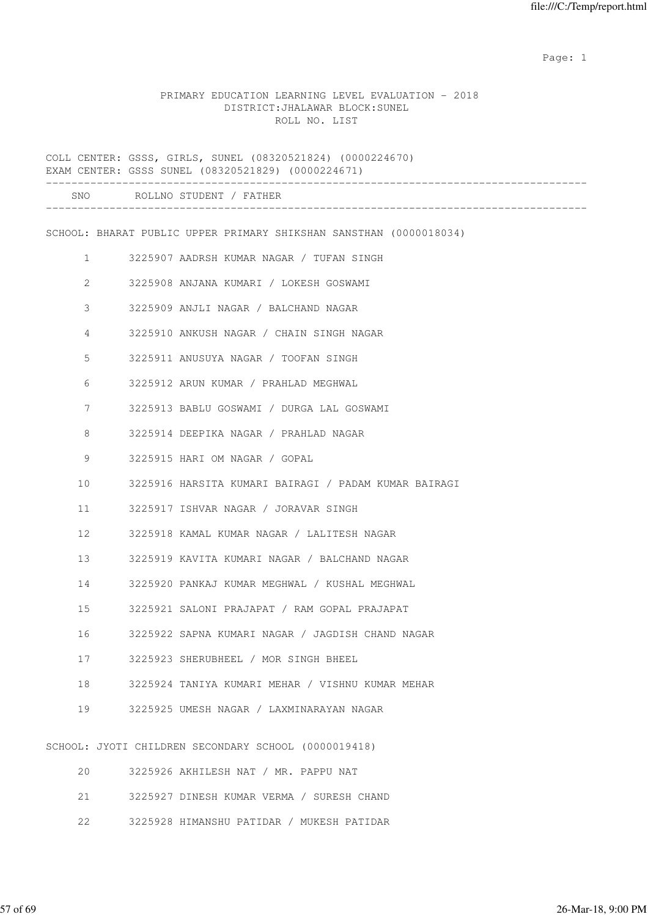example of the state of the state of the state of the state of the state of the state of the state of the state of the state of the state of the state of the state of the state of the state of the state of the state of the

#### PRIMARY EDUCATION LEARNING LEVEL EVALUATION - 2018 DISTRICT:JHALAWAR BLOCK:SUNEL ROLL NO. LIST

COLL CENTER: GSSS, GIRLS, SUNEL (08320521824) (0000224670) EXAM CENTER: GSSS SUNEL (08320521829) (0000224671) ------------------------------------------------------------------------------------- SNO ROLLNO STUDENT / FATHER ------------------------------------------------------------------------------------- SCHOOL: BHARAT PUBLIC UPPER PRIMARY SHIKSHAN SANSTHAN (0000018034) 1 3225907 AADRSH KUMAR NAGAR / TUFAN SINGH 2 3225908 ANJANA KUMARI / LOKESH GOSWAMI 3 3225909 ANJLI NAGAR / BALCHAND NAGAR 4 3225910 ANKUSH NAGAR / CHAIN SINGH NAGAR 5 3225911 ANUSUYA NAGAR / TOOFAN SINGH 6 3225912 ARUN KUMAR / PRAHLAD MEGHWAL 7 3225913 BABLU GOSWAMI / DURGA LAL GOSWAMI 8 3225914 DEEPIKA NAGAR / PRAHLAD NAGAR 9 3225915 HARI OM NAGAR / GOPAL 10 3225916 HARSITA KUMARI BAIRAGI / PADAM KUMAR BAIRAGI 11 3225917 ISHVAR NAGAR / JORAVAR SINGH 12 3225918 KAMAL KUMAR NAGAR / LALITESH NAGAR 13 3225919 KAVITA KUMARI NAGAR / BALCHAND NAGAR 14 3225920 PANKAJ KUMAR MEGHWAL / KUSHAL MEGHWAL 15 3225921 SALONI PRAJAPAT / RAM GOPAL PRAJAPAT 16 3225922 SAPNA KUMARI NAGAR / JAGDISH CHAND NAGAR 17 3225923 SHERUBHEEL / MOR SINGH BHEEL 18 3225924 TANIYA KUMARI MEHAR / VISHNU KUMAR MEHAR 19 3225925 UMESH NAGAR / LAXMINARAYAN NAGAR SCHOOL: JYOTI CHILDREN SECONDARY SCHOOL (0000019418) 20 3225926 AKHILESH NAT / MR. PAPPU NAT

- 21 3225927 DINESH KUMAR VERMA / SURESH CHAND
- 22 3225928 HIMANSHU PATIDAR / MUKESH PATIDAR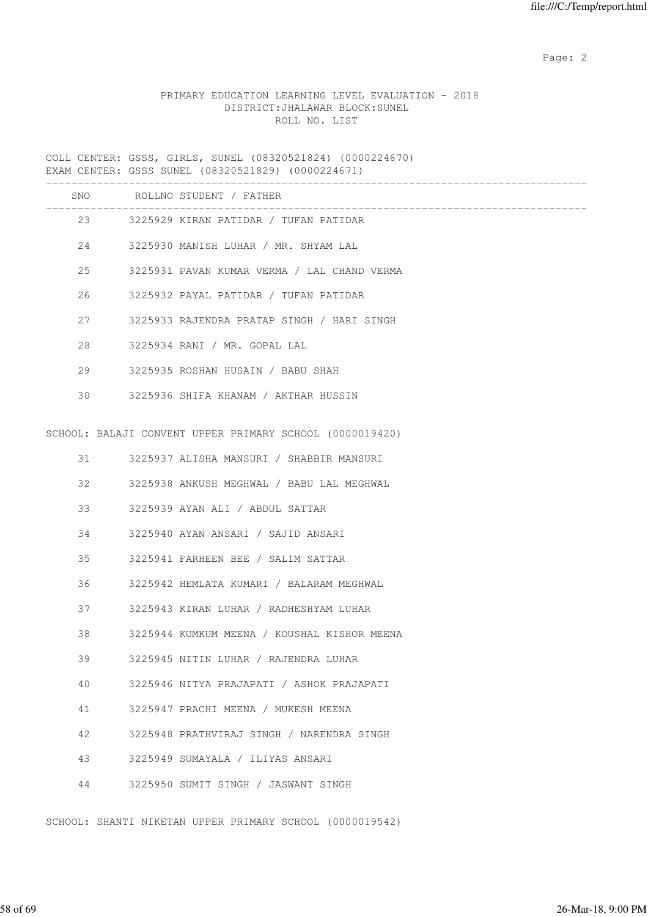# PRIMARY EDUCATION LEARNING LEVEL EVALUATION - 2018 DISTRICT:JHALAWAR BLOCK:SUNEL ROLL NO. LIST

COLL CENTER: GSSS, GIRLS, SUNEL (08320521824) (0000224670) EXAM CENTER: GSSS SUNEL (08320521829) (0000224671)

|    |        | SNO ROLLNO STUDENT / FATHER                              |
|----|--------|----------------------------------------------------------|
|    |        | ___________<br>23 3225929 KIRAN PATIDAR / TUFAN PATIDAR  |
|    |        | 24 3225930 MANISH LUHAR / MR. SHYAM LAL                  |
|    | 25     | 3225931 PAVAN KUMAR VERMA / LAL CHAND VERMA              |
|    | 26     | 3225932 PAYAL PATIDAR / TUFAN PATIDAR                    |
|    | 27     | 3225933 RAJENDRA PRATAP SINGH / HARI SINGH               |
| 28 |        | 3225934 RANI / MR. GOPAL LAL                             |
|    | 29     | 3225935 ROSHAN HUSAIN / BABU SHAH                        |
|    |        | 30 3225936 SHIFA KHANAM / AKTHAR HUSSIN                  |
|    |        | SCHOOL: BALAJI CONVENT UPPER PRIMARY SCHOOL (0000019420) |
|    | 31 — 1 | 3225937 ALISHA MANSURI / SHABBIR MANSURI                 |
| 32 |        | 3225938 ANKUSH MEGHWAL / BABU LAL MEGHWAL                |
| 33 |        | 3225939 AYAN ALI / ABDUL SATTAR                          |
| 34 |        | 3225940 AYAN ANSARI / SAJID ANSARI                       |
| 35 |        | 3225941 FARHEEN BEE / SALIM SATTAR                       |
|    | 36     | 3225942 HEMLATA KUMARI / BALARAM MEGHWAL                 |
|    | 37 — 1 | 3225943 KIRAN LUHAR / RADHESHYAM LUHAR                   |
| 38 |        | 3225944 KUMKUM MEENA / KOUSHAL KISHOR MEENA              |
| 39 |        | 3225945 NITIN LUHAR / RAJENDRA LUHAR                     |
| 40 |        | 3225946 NITYA PRAJAPATI / ASHOK PRAJAPATI                |
| 41 |        | 3225947 PRACHI MEENA / MUKESH MEENA                      |
| 42 |        | 3225948 PRATHVIRAJ SINGH / NARENDRA SINGH                |
| 43 |        | 3225949 SUMAYALA / ILIYAS ANSARI                         |
| 44 |        | 3225950 SUMIT SINGH / JASWANT SINGH                      |

SCHOOL: SHANTI NIKETAN UPPER PRIMARY SCHOOL (0000019542)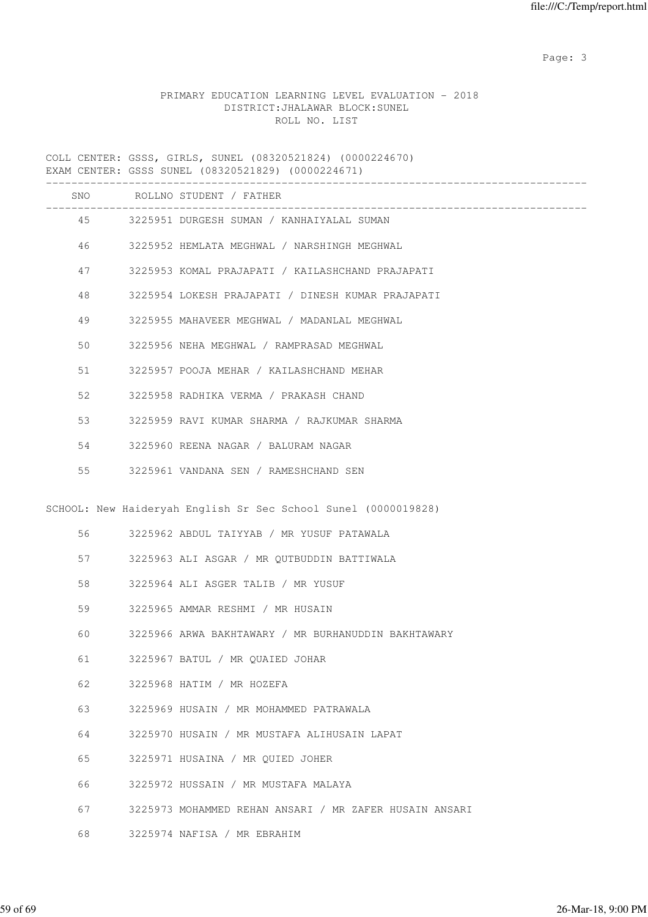# PRIMARY EDUCATION LEARNING LEVEL EVALUATION - 2018 DISTRICT:JHALAWAR BLOCK:SUNEL ROLL NO. LIST

COLL CENTER: GSSS, GIRLS, SUNEL (08320521824) (0000224670) EXAM CENTER: GSSS SUNEL (08320521829) (0000224671)

|    |        | SNO ROLLNO STUDENT / FATHER                                    |
|----|--------|----------------------------------------------------------------|
|    |        | 45 3225951 DURGESH SUMAN / KANHAIYALAL SUMAN                   |
|    | 46 7   | 3225952 HEMLATA MEGHWAL / NARSHINGH MEGHWAL                    |
| 47 |        | 3225953 KOMAL PRAJAPATI / KAILASHCHAND PRAJAPATI               |
| 48 |        | 3225954 LOKESH PRAJAPATI / DINESH KUMAR PRAJAPATI              |
| 49 |        | 3225955 MAHAVEER MEGHWAL / MADANLAL MEGHWAL                    |
| 50 |        | 3225956 NEHA MEGHWAL / RAMPRASAD MEGHWAL                       |
| 51 |        | 3225957 POOJA MEHAR / KAILASHCHAND MEHAR                       |
| 52 |        | 3225958 RADHIKA VERMA / PRAKASH CHAND                          |
| 53 |        | 3225959 RAVI KUMAR SHARMA / RAJKUMAR SHARMA                    |
| 54 |        | 3225960 REENA NAGAR / BALURAM NAGAR                            |
| 55 |        | 3225961 VANDANA SEN / RAMESHCHAND SEN                          |
|    |        | SCHOOL: New Haideryah English Sr Sec School Sunel (0000019828) |
|    |        |                                                                |
| 56 |        | 3225962 ABDUL TAIYYAB / MR YUSUF PATAWALA                      |
|    | 57 — 1 | 3225963 ALI ASGAR / MR QUTBUDDIN BATTIWALA                     |
| 58 |        | 3225964 ALI ASGER TALIB / MR YUSUF                             |
| 59 |        | 3225965 AMMAR RESHMI / MR HUSAIN                               |
| 60 |        | 3225966 ARWA BAKHTAWARY / MR BURHANUDDIN BAKHTAWARY            |
| 61 |        | 3225967 BATUL / MR QUAIED JOHAR                                |
| 62 |        | 3225968 HATIM / MR HOZEFA                                      |
| 63 |        | 3225969 HUSAIN / MR MOHAMMED PATRAWALA                         |
| 64 |        | 3225970 HUSAIN / MR MUSTAFA ALIHUSAIN LAPAT                    |
| 65 |        | 3225971 HUSAINA / MR OUIED JOHER                               |
| 66 |        | 3225972 HUSSAIN / MR MUSTAFA MALAYA                            |
| 67 |        | 3225973 MOHAMMED REHAN ANSARI / MR ZAFER HUSAIN ANSARI         |
| 68 |        | 3225974 NAFISA / MR EBRAHIM                                    |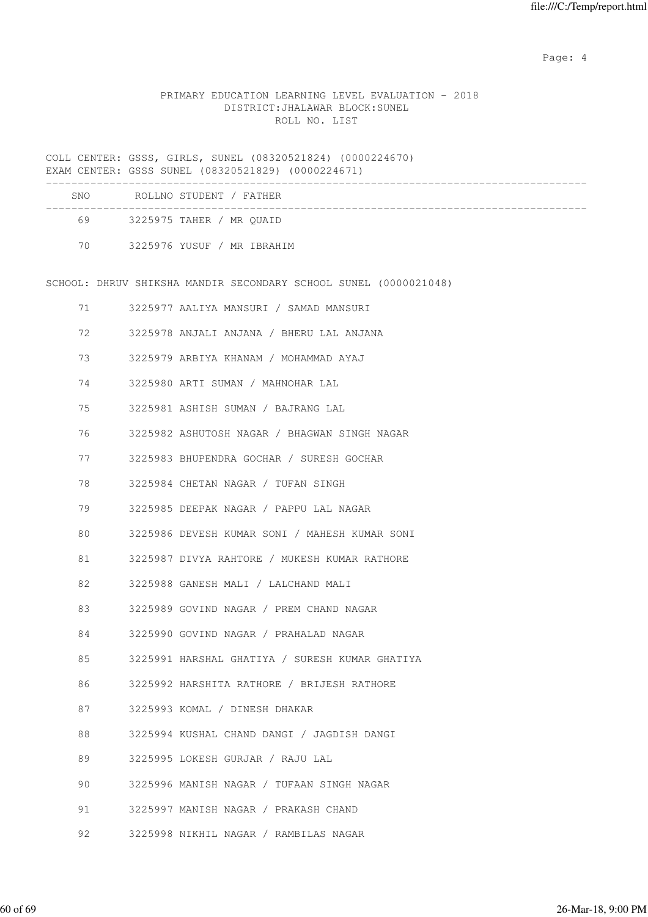Page: 4  $P$ 

# PRIMARY EDUCATION LEARNING LEVEL EVALUATION - 2018 DISTRICT:JHALAWAR BLOCK:SUNEL ROLL NO. LIST

COLL CENTER: GSSS, GIRLS, SUNEL (08320521824) (0000224670) EXAM CENTER: GSSS SUNEL (08320521829) (0000224671)

| <b>SNO</b> | ROLLNO STUDENT / FATHER    |  |
|------------|----------------------------|--|
| 69         | 3225975 TAHER / MR OUAID   |  |
| 70         | 3225976 YUSUF / MR IBRAHIM |  |

SCHOOL: DHRUV SHIKSHA MANDIR SECONDARY SCHOOL SUNEL (0000021048)

| 71 | 3225977 AALIYA MANSURI / SAMAD MANSURI         |
|----|------------------------------------------------|
| 72 | 3225978 ANJALI ANJANA / BHERU LAL ANJANA       |
| 73 | 3225979 ARBIYA KHANAM / MOHAMMAD AYAJ          |
| 74 | 3225980 ARTI SUMAN / MAHNOHAR LAL              |
| 75 | 3225981 ASHISH SUMAN / BAJRANG LAL             |
| 76 | 3225982 ASHUTOSH NAGAR / BHAGWAN SINGH NAGAR   |
| 77 | 3225983 BHUPENDRA GOCHAR / SURESH GOCHAR       |
| 78 | 3225984 CHETAN NAGAR / TUFAN SINGH             |
| 79 | 3225985 DEEPAK NAGAR / PAPPU LAL NAGAR         |
| 80 | 3225986 DEVESH KUMAR SONI / MAHESH KUMAR SONI  |
| 81 | 3225987 DIVYA RAHTORE / MUKESH KUMAR RATHORE   |
| 82 | 3225988 GANESH MALI / LALCHAND MALI            |
| 83 | 3225989 GOVIND NAGAR / PREM CHAND NAGAR        |
| 84 | 3225990 GOVIND NAGAR / PRAHALAD NAGAR          |
| 85 | 3225991 HARSHAL GHATIYA / SURESH KUMAR GHATIYA |
| 86 | 3225992 HARSHITA RATHORE / BRIJESH RATHORE     |
| 87 | 3225993 KOMAL / DINESH DHAKAR                  |
| 88 | 3225994 KUSHAL CHAND DANGI / JAGDISH DANGI     |
| 89 | 3225995 LOKESH GURJAR / RAJU LAL               |
| 90 | 3225996 MANISH NAGAR / TUFAAN SINGH NAGAR      |
| 91 | 3225997 MANISH NAGAR / PRAKASH CHAND           |

92 3225998 NIKHIL NAGAR / RAMBILAS NAGAR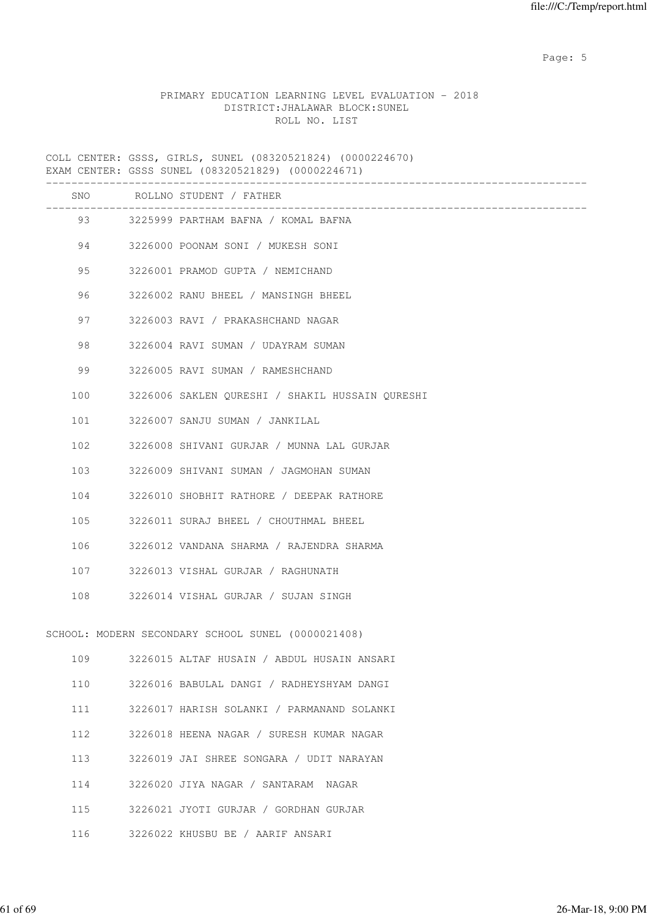Page: 5  $P$  and  $P$  and  $P$  and  $P$  and  $P$  and  $P$  and  $P$  and  $P$  and  $P$  and  $P$  and  $P$  and  $P$  and  $P$  and  $P$  and  $P$  and  $P$  and  $P$  and  $P$  and  $P$  and  $P$  and  $P$  and  $P$  and  $P$  and  $P$  and  $P$  and  $P$  and  $P$  an

## PRIMARY EDUCATION LEARNING LEVEL EVALUATION - 2018 DISTRICT:JHALAWAR BLOCK:SUNEL ROLL NO. LIST

COLL CENTER: GSSS, GIRLS, SUNEL (08320521824) (0000224670) EXAM CENTER: GSSS SUNEL (08320521829) (0000224671)

|     |     | SNO ROLLNO STUDENT / FATHER<br>--------------------- |
|-----|-----|------------------------------------------------------|
|     |     | 93 3225999 PARTHAM BAFNA / KOMAL BAFNA               |
|     |     | 94 3226000 POONAM SONI / MUKESH SONI                 |
| 95  |     | 3226001 PRAMOD GUPTA / NEMICHAND                     |
| 96  |     | 3226002 RANU BHEEL / MANSINGH BHEEL                  |
| 97  |     | 3226003 RAVI / PRAKASHCHAND NAGAR                    |
| 98  |     | 3226004 RAVI SUMAN / UDAYRAM SUMAN                   |
| 99  |     | 3226005 RAVI SUMAN / RAMESHCHAND                     |
| 100 |     | 3226006 SAKLEN QURESHI / SHAKIL HUSSAIN QURESHI      |
| 101 |     | 3226007 SANJU SUMAN / JANKILAL                       |
| 102 |     | 3226008 SHIVANI GURJAR / MUNNA LAL GURJAR            |
| 103 |     | 3226009 SHIVANI SUMAN / JAGMOHAN SUMAN               |
| 104 |     | 3226010 SHOBHIT RATHORE / DEEPAK RATHORE             |
| 105 |     | 3226011 SURAJ BHEEL / CHOUTHMAL BHEEL                |
|     |     | 106 3226012 VANDANA SHARMA / RAJENDRA SHARMA         |
|     | 107 | 3226013 VISHAL GURJAR / RAGHUNATH                    |
|     | 108 | 3226014 VISHAL GURJAR / SUJAN SINGH                  |
|     |     | SCHOOL: MODERN SECONDARY SCHOOL SUNEL (0000021408)   |
|     |     | 109 3226015 ALTAF HUSAIN / ABDUL HUSAIN ANSARI       |
| 110 |     | 3226016 BABULAL DANGI / RADHEYSHYAM DANGI            |
| 111 |     | 3226017 HARISH SOLANKI / PARMANAND SOLANKI           |
| 112 |     | 3226018 HEENA NAGAR / SURESH KUMAR NAGAR             |
| 113 |     | 3226019 JAI SHREE SONGARA / UDIT NARAYAN             |
| 114 |     | 3226020 JIYA NAGAR / SANTARAM NAGAR                  |
| 115 |     | 3226021 JYOTI GURJAR / GORDHAN GURJAR                |
| 116 |     | 3226022 KHUSBU BE / AARIF ANSARI                     |
|     |     |                                                      |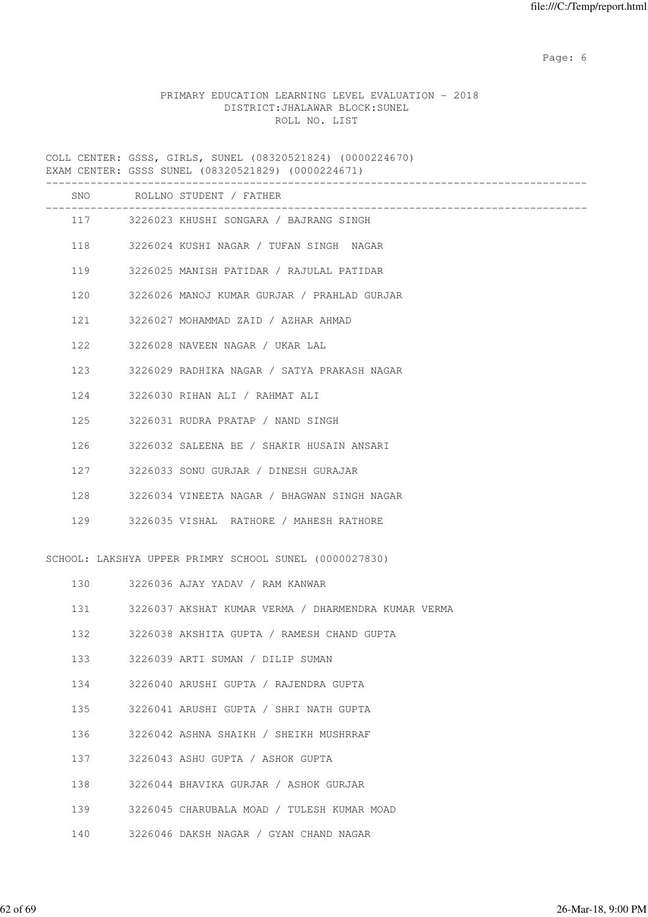Page: 6  $P$  and  $P$  and  $P$  and  $P$  and  $P$  and  $P$  and  $P$  and  $P$  and  $P$  and  $P$  and  $P$  and  $P$  and  $P$  and  $P$  and  $P$  and  $P$  and  $P$  and  $P$  and  $P$  and  $P$  and  $P$  and  $P$  and  $P$  and  $P$  and  $P$  and  $P$  and  $P$  an

# PRIMARY EDUCATION LEARNING LEVEL EVALUATION - 2018 DISTRICT:JHALAWAR BLOCK:SUNEL ROLL NO. LIST

COLL CENTER: GSSS, GIRLS, SUNEL (08320521824) (0000224670) EXAM CENTER: GSSS SUNEL (08320521829) (0000224671)

|     |     | SNO ROLLNO STUDENT / FATHER                            |
|-----|-----|--------------------------------------------------------|
|     |     | 117 3226023 KHUSHI SONGARA / BAJRANG SINGH             |
|     |     | 118 3226024 KUSHI NAGAR / TUFAN SINGH NAGAR            |
|     | 119 | 3226025 MANISH PATIDAR / RAJULAL PATIDAR               |
|     | 120 | 3226026 MANOJ KUMAR GURJAR / PRAHLAD GURJAR            |
|     | 121 | 3226027 MOHAMMAD ZAID / AZHAR AHMAD                    |
|     | 122 | 3226028 NAVEEN NAGAR / UKAR LAL                        |
|     | 123 | 3226029 RADHIKA NAGAR / SATYA PRAKASH NAGAR            |
|     | 124 | 3226030 RIHAN ALI / RAHMAT ALI                         |
|     | 125 | 3226031 RUDRA PRATAP / NAND SINGH                      |
|     | 126 | 3226032 SALEENA BE / SHAKIR HUSAIN ANSARI              |
|     | 127 | 3226033 SONU GURJAR / DINESH GURAJAR                   |
|     | 128 | 3226034 VINEETA NAGAR / BHAGWAN SINGH NAGAR            |
|     |     | 129 3226035 VISHAL RATHORE / MAHESH RATHORE            |
|     |     | SCHOOL: LAKSHYA UPPER PRIMRY SCHOOL SUNEL (0000027830) |
|     | 130 | 3226036 AJAY YADAV / RAM KANWAR                        |
|     | 131 | 3226037 AKSHAT KUMAR VERMA / DHARMENDRA KUMAR VERMA    |
|     | 132 | 3226038 AKSHITA GUPTA / RAMESH CHAND GUPTA             |
|     | 133 | 3226039 ARTI SUMAN / DILIP SUMAN                       |
| 134 |     | 3226040 ARUSHI GUPTA / RAJENDRA GUPTA                  |
| 135 |     | 3226041 ARUSHI GUPTA / SHRI NATH GUPTA                 |
| 136 |     | 3226042 ASHNA SHAIKH / SHEIKH MUSHRRAF                 |
| 137 |     | 3226043 ASHU GUPTA / ASHOK GUPTA                       |
| 138 |     | 3226044 BHAVIKA GURJAR / ASHOK GURJAR                  |
| 139 |     | 3226045 CHARUBALA MOAD / TULESH KUMAR MOAD             |

140 3226046 DAKSH NAGAR / GYAN CHAND NAGAR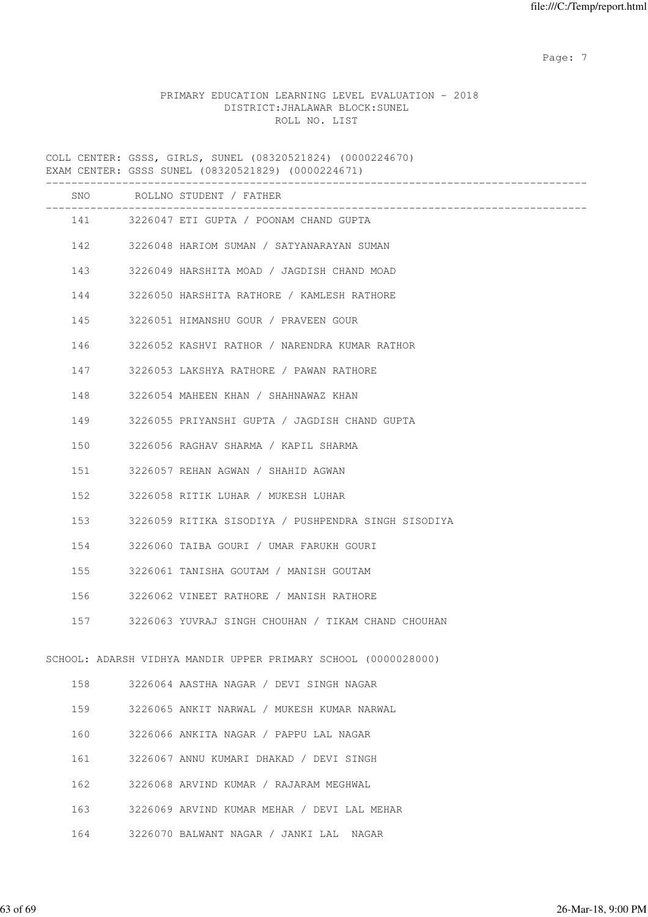Page: 7  $P$  and  $P$  and  $P$  and  $P$  and  $P$  and  $P$  and  $P$  and  $P$  and  $P$  and  $P$  and  $P$  and  $P$  and  $P$  and  $P$  and  $P$  and  $P$  and  $P$  and  $P$  and  $P$  and  $P$  and  $P$  and  $P$  and  $P$  and  $P$  and  $P$  and  $P$  and  $P$  an

# PRIMARY EDUCATION LEARNING LEVEL EVALUATION - 2018 DISTRICT:JHALAWAR BLOCK:SUNEL ROLL NO. LIST

COLL CENTER: GSSS, GIRLS, SUNEL (08320521824) (0000224670) EXAM CENTER: GSSS SUNEL (08320521829) (0000224671)

|     |     | SNO ROLLNO STUDENT / FATHER                                    |
|-----|-----|----------------------------------------------------------------|
|     |     | 141 3226047 ETI GUPTA / POONAM CHAND GUPTA                     |
|     |     | 142 3226048 HARIOM SUMAN / SATYANARAYAN SUMAN                  |
|     | 143 | 3226049 HARSHITA MOAD / JAGDISH CHAND MOAD                     |
|     | 144 | 3226050 HARSHITA RATHORE / KAMLESH RATHORE                     |
|     | 145 | 3226051 HIMANSHU GOUR / PRAVEEN GOUR                           |
|     | 146 | 3226052 KASHVI RATHOR / NARENDRA KUMAR RATHOR                  |
|     | 147 | 3226053 LAKSHYA RATHORE / PAWAN RATHORE                        |
|     | 148 | 3226054 MAHEEN KHAN / SHAHNAWAZ KHAN                           |
|     | 149 | 3226055 PRIYANSHI GUPTA / JAGDISH CHAND GUPTA                  |
| 150 |     | 3226056 RAGHAV SHARMA / KAPIL SHARMA                           |
|     | 151 | 3226057 REHAN AGWAN / SHAHID AGWAN                             |
| 152 |     | 3226058 RITIK LUHAR / MUKESH LUHAR                             |
|     | 153 | 3226059 RITIKA SISODIYA / PUSHPENDRA SINGH SISODIYA            |
|     | 154 | 3226060 TAIBA GOURI / UMAR FARUKH GOURI                        |
|     | 155 | 3226061 TANISHA GOUTAM / MANISH GOUTAM                         |
|     | 156 | 3226062 VINEET RATHORE / MANISH RATHORE                        |
|     | 157 | 3226063 YUVRAJ SINGH CHOUHAN / TIKAM CHAND CHOUHAN             |
|     |     | SCHOOL: ADARSH VIDHYA MANDIR UPPER PRIMARY SCHOOL (0000028000) |
| 158 |     | 3226064 AASTHA NAGAR / DEVI SINGH NAGAR                        |
| 159 |     | 3226065 ANKIT NARWAL / MUKESH KUMAR NARWAL                     |
| 160 |     | 3226066 ANKITA NAGAR / PAPPU LAL NAGAR                         |
| 161 |     | 3226067 ANNU KUMARI DHAKAD / DEVI SINGH                        |
| 162 |     | 3226068 ARVIND KUMAR / RAJARAM MEGHWAL                         |
| 163 |     | 3226069 ARVIND KUMAR MEHAR / DEVI LAL MEHAR                    |
| 164 |     | 3226070 BALWANT NAGAR / JANKI LAL NAGAR                        |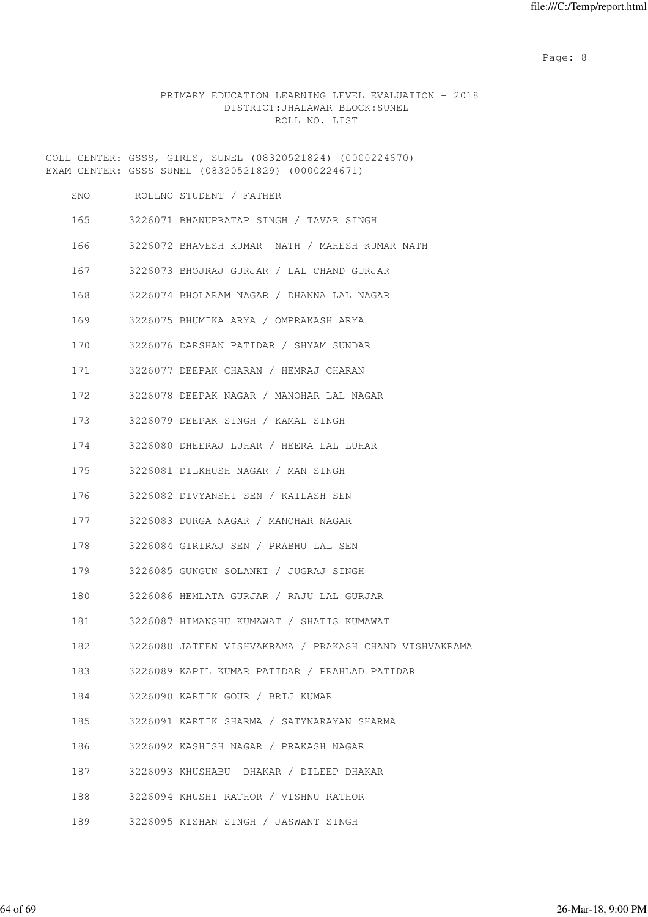en de la provincia de la provincia de la provincia de la provincia de la provincia de la provincia de la provi

# PRIMARY EDUCATION LEARNING LEVEL EVALUATION - 2018 DISTRICT:JHALAWAR BLOCK:SUNEL ROLL NO. LIST

COLL CENTER: GSSS, GIRLS, SUNEL (08320521824) (0000224670) EXAM CENTER: GSSS SUNEL (08320521829) (0000224671) ------------------------------------------------------------------------------------- SNO ROLLNO STUDENT / FATHER ------------------------------------------------------------------------------------- 165 3226071 BHANUPRATAP SINGH / TAVAR SINGH 166 3226072 BHAVESH KUMAR NATH / MAHESH KUMAR NATH 167 3226073 BHOJRAJ GURJAR / LAL CHAND GURJAR 168 3226074 BHOLARAM NAGAR / DHANNA LAL NAGAR 169 3226075 BHUMIKA ARYA / OMPRAKASH ARYA 170 3226076 DARSHAN PATIDAR / SHYAM SUNDAR 171 3226077 DEEPAK CHARAN / HEMRAJ CHARAN 172 3226078 DEEPAK NAGAR / MANOHAR LAL NAGAR 173 3226079 DEEPAK SINGH / KAMAL SINGH 174 3226080 DHEERAJ LUHAR / HEERA LAL LUHAR 175 3226081 DILKHUSH NAGAR / MAN SINGH 176 3226082 DIVYANSHI SEN / KAILASH SEN 177 3226083 DURGA NAGAR / MANOHAR NAGAR 178 3226084 GIRIRAJ SEN / PRABHU LAL SEN 179 3226085 GUNGUN SOLANKI / JUGRAJ SINGH 180 3226086 HEMLATA GURJAR / RAJU LAL GURJAR 181 3226087 HIMANSHU KUMAWAT / SHATIS KUMAWAT 182 3226088 JATEEN VISHVAKRAMA / PRAKASH CHAND VISHVAKRAMA 183 3226089 KAPIL KUMAR PATIDAR / PRAHLAD PATIDAR 184 3226090 KARTIK GOUR / BRIJ KUMAR 185 3226091 KARTIK SHARMA / SATYNARAYAN SHARMA 186 3226092 KASHISH NAGAR / PRAKASH NAGAR 187 3226093 KHUSHABU DHAKAR / DILEEP DHAKAR 188 3226094 KHUSHI RATHOR / VISHNU RATHOR 189 3226095 KISHAN SINGH / JASWANT SINGH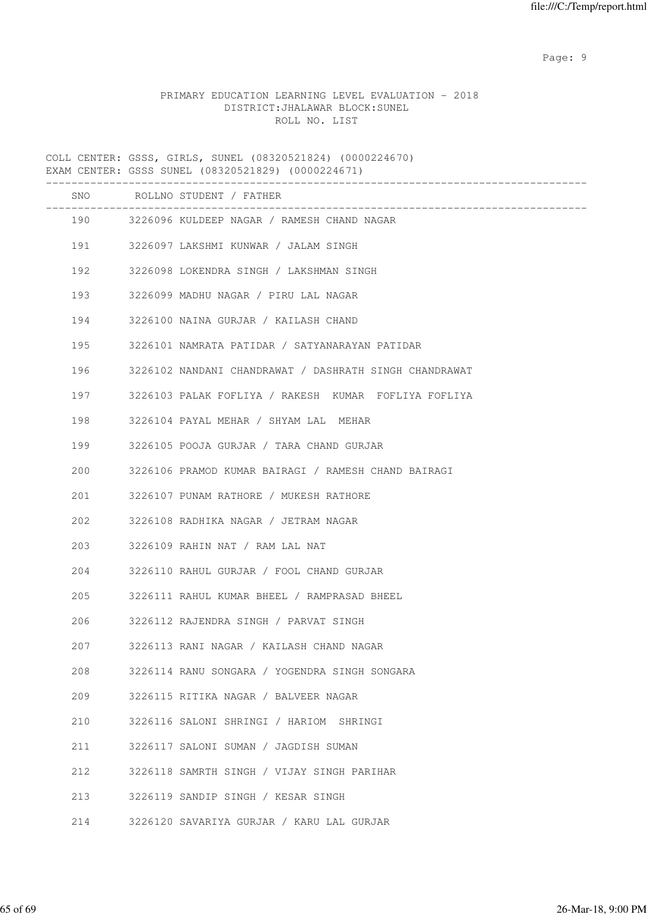en de la provincia de la provincia de la provincia de la provincia de la provincia de la provincia de la provi

# PRIMARY EDUCATION LEARNING LEVEL EVALUATION - 2018 DISTRICT:JHALAWAR BLOCK:SUNEL ROLL NO. LIST

COLL CENTER: GSSS, GIRLS, SUNEL (08320521824) (0000224670) EXAM CENTER: GSSS SUNEL (08320521829) (0000224671)

|     | SNO ROLLNO STUDENT / FATHER                                |
|-----|------------------------------------------------------------|
|     | 190 3226096 KULDEEP NAGAR / RAMESH CHAND NAGAR             |
|     | 191 3226097 LAKSHMI KUNWAR / JALAM SINGH                   |
|     | 192 3226098 LOKENDRA SINGH / LAKSHMAN SINGH                |
| 193 | 3226099 MADHU NAGAR / PIRU LAL NAGAR                       |
| 194 | 3226100 NAINA GURJAR / KAILASH CHAND                       |
| 195 | 3226101 NAMRATA PATIDAR / SATYANARAYAN PATIDAR             |
|     | 196 3226102 NANDANI CHANDRAWAT / DASHRATH SINGH CHANDRAWAT |
| 197 | 3226103 PALAK FOFLIYA / RAKESH KUMAR FOFLIYA FOFLIYA       |
| 198 | 3226104 PAYAL MEHAR / SHYAM LAL MEHAR                      |
| 199 | 3226105 POOJA GURJAR / TARA CHAND GURJAR                   |
| 200 | 3226106 PRAMOD KUMAR BAIRAGI / RAMESH CHAND BAIRAGI        |
| 201 | 3226107 PUNAM RATHORE / MUKESH RATHORE                     |
| 202 | 3226108 RADHIKA NAGAR / JETRAM NAGAR                       |
| 203 | 3226109 RAHIN NAT / RAM LAL NAT                            |
| 204 | 3226110 RAHUL GURJAR / FOOL CHAND GURJAR                   |
| 205 | 3226111 RAHUL KUMAR BHEEL / RAMPRASAD BHEEL                |
| 206 | 3226112 RAJENDRA SINGH / PARVAT SINGH                      |
| 207 | 3226113 RANI NAGAR / KAILASH CHAND NAGAR                   |
| 208 | 3226114 RANU SONGARA / YOGENDRA SINGH SONGARA              |
| 209 | 3226115 RITIKA NAGAR / BALVEER NAGAR                       |
| 210 | 3226116 SALONI SHRINGI / HARIOM SHRINGI                    |
| 211 | 3226117 SALONI SUMAN / JAGDISH SUMAN                       |
| 212 | 3226118 SAMRTH SINGH / VIJAY SINGH PARIHAR                 |
| 213 | 3226119 SANDIP SINGH / KESAR SINGH                         |
| 214 | 3226120 SAVARIYA GURJAR / KARU LAL GURJAR                  |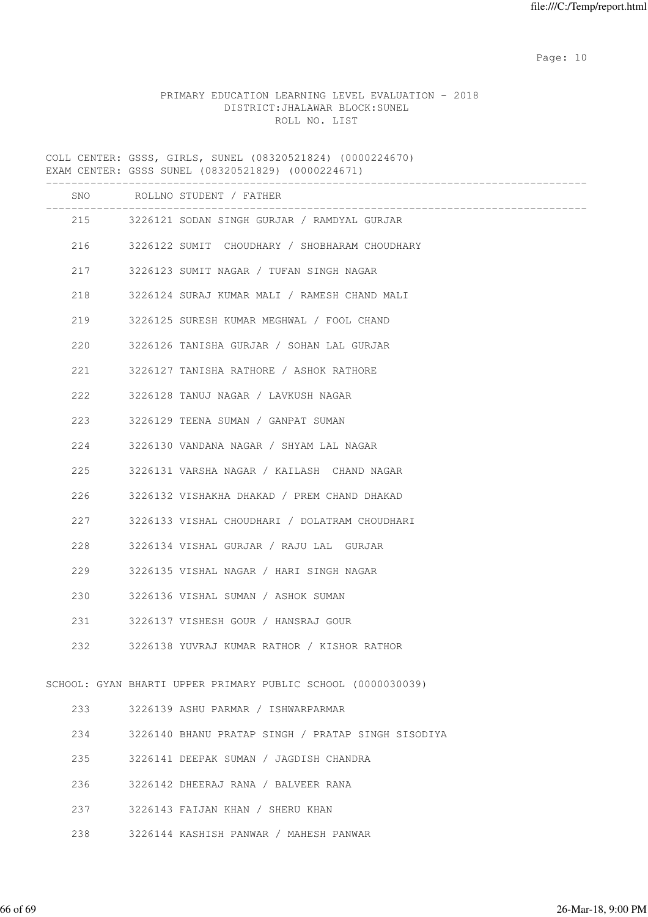# PRIMARY EDUCATION LEARNING LEVEL EVALUATION - 2018 DISTRICT:JHALAWAR BLOCK:SUNEL ROLL NO. LIST

COLL CENTER: GSSS, GIRLS, SUNEL (08320521824) (0000224670) EXAM CENTER: GSSS SUNEL (08320521829) (0000224671) ------------------------------------------------------------------------------------- SNO ROLLNO STUDENT / FATHER ------------------------------------------------------------------------------------- 215 3226121 SODAN SINGH GURJAR / RAMDYAL GURJAR 216 3226122 SUMIT CHOUDHARY / SHOBHARAM CHOUDHARY 217 3226123 SUMIT NAGAR / TUFAN SINGH NAGAR 218 3226124 SURAJ KUMAR MALI / RAMESH CHAND MALI 219 3226125 SURESH KUMAR MEGHWAL / FOOL CHAND 220 3226126 TANISHA GURJAR / SOHAN LAL GURJAR 221 3226127 TANISHA RATHORE / ASHOK RATHORE 222 3226128 TANUJ NAGAR / LAVKUSH NAGAR 223 3226129 TEENA SUMAN / GANPAT SUMAN 224 3226130 VANDANA NAGAR / SHYAM LAL NAGAR 225 3226131 VARSHA NAGAR / KAILASH CHAND NAGAR 226 3226132 VISHAKHA DHAKAD / PREM CHAND DHAKAD 227 3226133 VISHAL CHOUDHARI / DOLATRAM CHOUDHARI 228 3226134 VISHAL GURJAR / RAJU LAL GURJAR 229 3226135 VISHAL NAGAR / HARI SINGH NAGAR 230 3226136 VISHAL SUMAN / ASHOK SUMAN 231 3226137 VISHESH GOUR / HANSRAJ GOUR 232 3226138 YUVRAJ KUMAR RATHOR / KISHOR RATHOR SCHOOL: GYAN BHARTI UPPER PRIMARY PUBLIC SCHOOL (0000030039) 233 3226139 ASHU PARMAR / ISHWARPARMAR 234 3226140 BHANU PRATAP SINGH / PRATAP SINGH SISODIYA 235 3226141 DEEPAK SUMAN / JAGDISH CHANDRA 236 3226142 DHEERAJ RANA / BALVEER RANA 237 3226143 FAIJAN KHAN / SHERU KHAN 238 3226144 KASHISH PANWAR / MAHESH PANWAR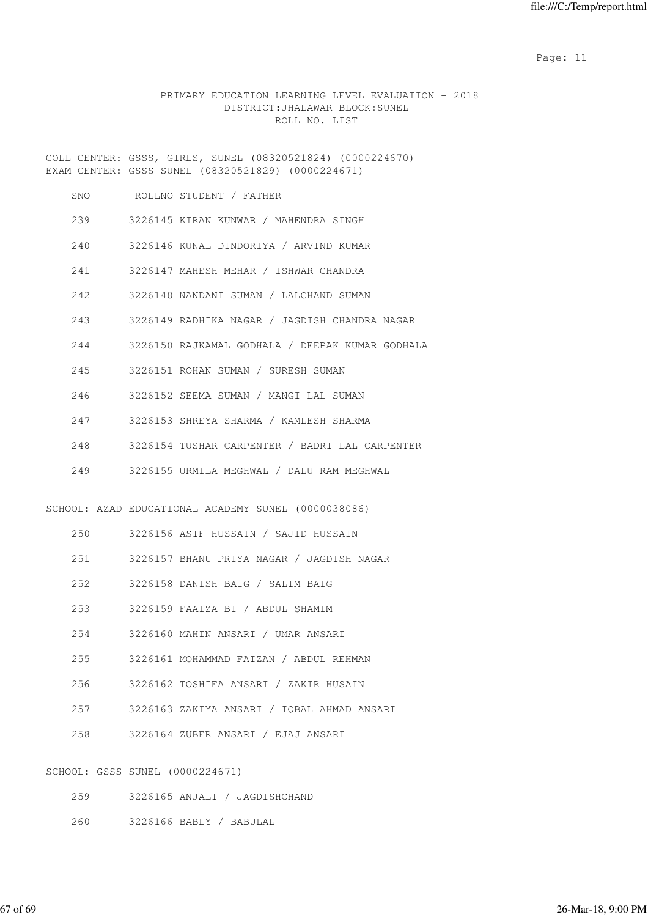# PRIMARY EDUCATION LEARNING LEVEL EVALUATION - 2018 DISTRICT:JHALAWAR BLOCK:SUNEL ROLL NO. LIST

COLL CENTER: GSSS, GIRLS, SUNEL (08320521824) (0000224670) EXAM CENTER: GSSS SUNEL (08320521829) (0000224671)

|     |                                 | SNO ROLLNO STUDENT / FATHER                         |
|-----|---------------------------------|-----------------------------------------------------|
|     |                                 | 239 3226145 KIRAN KUNWAR / MAHENDRA SINGH           |
|     |                                 | 240 3226146 KUNAL DINDORIYA / ARVIND KUMAR          |
|     |                                 | 241 3226147 MAHESH MEHAR / ISHWAR CHANDRA           |
|     | 242                             | 3226148 NANDANI SUMAN / LALCHAND SUMAN              |
|     | 243                             | 3226149 RADHIKA NAGAR / JAGDISH CHANDRA NAGAR       |
|     | 244                             | 3226150 RAJKAMAL GODHALA / DEEPAK KUMAR GODHALA     |
|     | 245                             | 3226151 ROHAN SUMAN / SURESH SUMAN                  |
|     | 246                             | 3226152 SEEMA SUMAN / MANGI LAL SUMAN               |
|     | 247                             | 3226153 SHREYA SHARMA / KAMLESH SHARMA              |
| 248 |                                 | 3226154 TUSHAR CARPENTER / BADRI LAL CARPENTER      |
| 249 |                                 | 3226155 URMILA MEGHWAL / DALU RAM MEGHWAL           |
|     |                                 |                                                     |
|     |                                 | SCHOOL: AZAD EDUCATIONAL ACADEMY SUNEL (0000038086) |
|     |                                 |                                                     |
|     |                                 | 251 3226157 BHANU PRIYA NAGAR / JAGDISH NAGAR       |
|     | 252                             | 3226158 DANISH BAIG / SALIM BAIG                    |
|     | 253                             | 3226159 FAAIZA BI / ABDUL SHAMIM                    |
|     | 254                             | 3226160 MAHIN ANSARI / UMAR ANSARI                  |
| 255 |                                 | 3226161 MOHAMMAD FAIZAN / ABDUL REHMAN              |
| 256 |                                 | 3226162 TOSHIFA ANSARI / ZAKIR HUSAIN               |
| 257 |                                 | 3226163 ZAKIYA ANSARI / IQBAL AHMAD ANSARI          |
| 258 |                                 | 3226164 ZUBER ANSARI / EJAJ ANSARI                  |
|     |                                 |                                                     |
|     | SCHOOL: GSSS SUNEL (0000224671) |                                                     |
| 259 |                                 | 3226165 ANJALI / JAGDISHCHAND                       |
| 260 |                                 | 3226166 BABLY / BABULAL                             |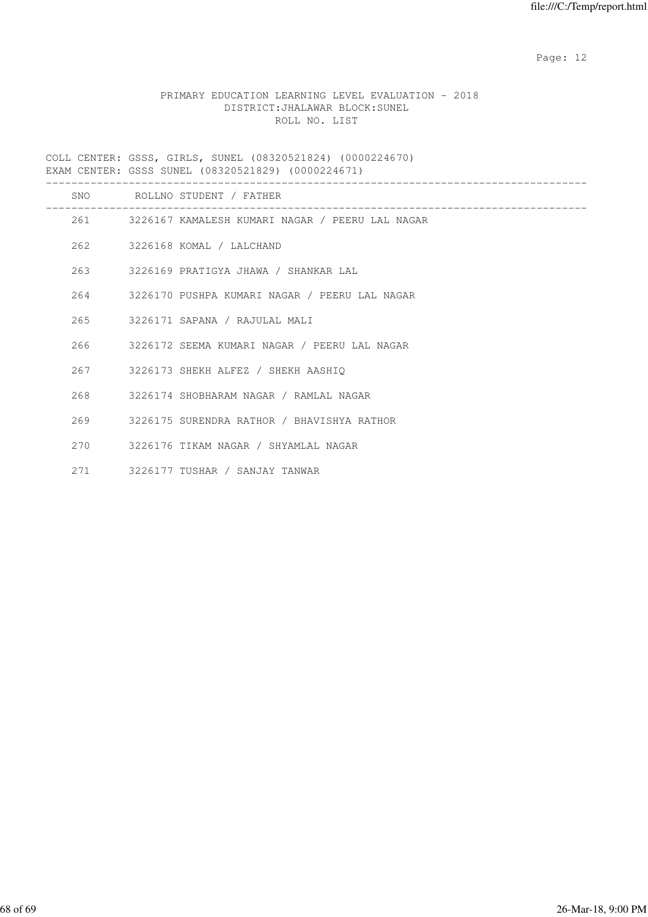# PRIMARY EDUCATION LEARNING LEVEL EVALUATION - 2018 DISTRICT:JHALAWAR BLOCK:SUNEL ROLL NO. LIST

COLL CENTER: GSSS, GIRLS, SUNEL (08320521824) (0000224670) EXAM CENTER: GSSS SUNEL (08320521829) (0000224671)

|      | SNO ROLLNO STUDENT / FATHER                         |
|------|-----------------------------------------------------|
|      | 261 3226167 KAMALESH KUMARI NAGAR / PEERU LAL NAGAR |
|      | 262 3226168 KOMAL / LALCHAND                        |
|      | 263 3226169 PRATIGYA JHAWA / SHANKAR LAL            |
|      | 264 3226170 PUSHPA KUMARI NAGAR / PEERU LAL NAGAR   |
|      | 265 3226171 SAPANA / RAJULAL MALI                   |
|      | 266 3226172 SEEMA KUMARI NAGAR / PEERU LAL NAGAR    |
|      | 267 3226173 SHEKH ALFEZ / SHEKH AASHIQ              |
|      | 268 3226174 SHOBHARAM NAGAR / RAMLAL NAGAR          |
|      | 269 3226175 SURENDRA RATHOR / BHAVISHYA RATHOR      |
|      | 270 3226176 TIKAM NAGAR / SHYAMLAL NAGAR            |
| 2.71 | 3226177 TUSHAR / SANJAY TANWAR                      |